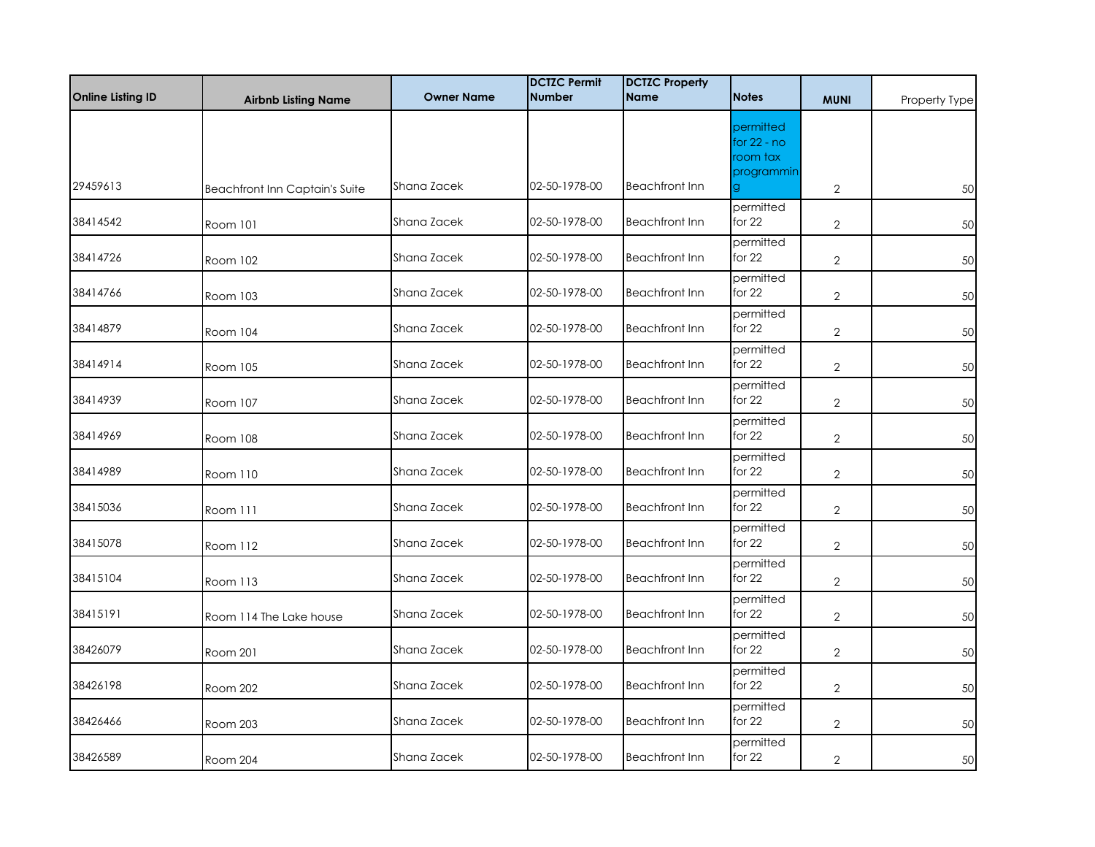| <b>Online Listing ID</b> | <b>Airbnb Listing Name</b>            | <b>Owner Name</b> | <b>DCTZC Permit</b><br><b>Number</b> | <b>DCTZC Property</b><br><b>Name</b> | <b>Notes</b>                                         | <b>MUNI</b>    | Property Type |
|--------------------------|---------------------------------------|-------------------|--------------------------------------|--------------------------------------|------------------------------------------------------|----------------|---------------|
|                          |                                       |                   |                                      |                                      | permitted<br>for $22 - no$<br>room tax<br>programmin |                |               |
| 29459613                 | <b>Beachfront Inn Captain's Suite</b> | Shana Zacek       | 02-50-1978-00                        | <b>Beachfront Inn</b>                | g.                                                   | $\overline{2}$ | 50            |
| 38414542                 | Room 101                              | Shana Zacek       | 02-50-1978-00                        | <b>Beachfront Inn</b>                | permitted<br>for $22$                                | $\overline{2}$ | 50            |
| 38414726                 | Room 102                              | Shana Zacek       | 02-50-1978-00                        | <b>Beachfront Inn</b>                | permitted<br>for $22$                                | $\overline{2}$ | 50            |
| 38414766                 | Room 103                              | Shana Zacek       | 02-50-1978-00                        | <b>Beachfront Inn</b>                | permitted<br>for $22$                                | $\overline{2}$ | 50            |
| 38414879                 | Room 104                              | Shana Zacek       | 02-50-1978-00                        | <b>Beachfront Inn</b>                | permitted<br>for $22$                                | $\overline{2}$ | 50            |
| 38414914                 | Room 105                              | Shana Zacek       | 02-50-1978-00                        | <b>Beachfront Inn</b>                | permitted<br>for 22                                  | $\overline{2}$ | 50            |
| 38414939                 | Room 107                              | Shana Zacek       | 02-50-1978-00                        | <b>Beachfront Inn</b>                | permitted<br>for $22$                                | $\overline{2}$ | 50            |
| 38414969                 | Room 108                              | Shana Zacek       | 02-50-1978-00                        | <b>Beachfront Inn</b>                | permitted<br>for $22$                                | $\overline{2}$ | 50            |
| 38414989                 | Room 110                              | Shana Zacek       | 02-50-1978-00                        | <b>Beachfront Inn</b>                | permitted<br>for 22                                  | $\overline{2}$ | 50            |
| 38415036                 | Room 111                              | Shana Zacek       | 02-50-1978-00                        | <b>Beachfront Inn</b>                | permitted<br>for $22$                                | $\overline{2}$ | 50            |
| 38415078                 | Room 112                              | Shana Zacek       | 02-50-1978-00                        | <b>Beachfront Inn</b>                | permitted<br>for $22$                                | $\overline{2}$ | 50            |
| 38415104                 | Room 113                              | Shana Zacek       | 02-50-1978-00                        | <b>Beachfront Inn</b>                | permitted<br>for $22$                                | $\overline{2}$ | 50            |
| 38415191                 | Room 114 The Lake house               | Shana Zacek       | 02-50-1978-00                        | <b>Beachfront Inn</b>                | permitted<br>for $22$                                | $\overline{2}$ | 50            |
| 38426079                 | Room 201                              | Shana Zacek       | 02-50-1978-00                        | <b>Beachfront Inn</b>                | permitted<br>for $22$                                | $\overline{2}$ | 50            |
| 38426198                 | Room 202                              | Shana Zacek       | 02-50-1978-00                        | <b>Beachfront Inn</b>                | permitted<br>for $22$                                | $\overline{2}$ | 50            |
| 38426466                 | Room 203                              | Shana Zacek       | 02-50-1978-00                        | <b>Beachfront Inn</b>                | permitted<br>for $22$                                | $\overline{2}$ | 50            |
| 38426589                 | Room 204                              | Shana Zacek       | 02-50-1978-00                        | <b>Beachfront Inn</b>                | permitted<br>for $22$                                | $\overline{2}$ | 50            |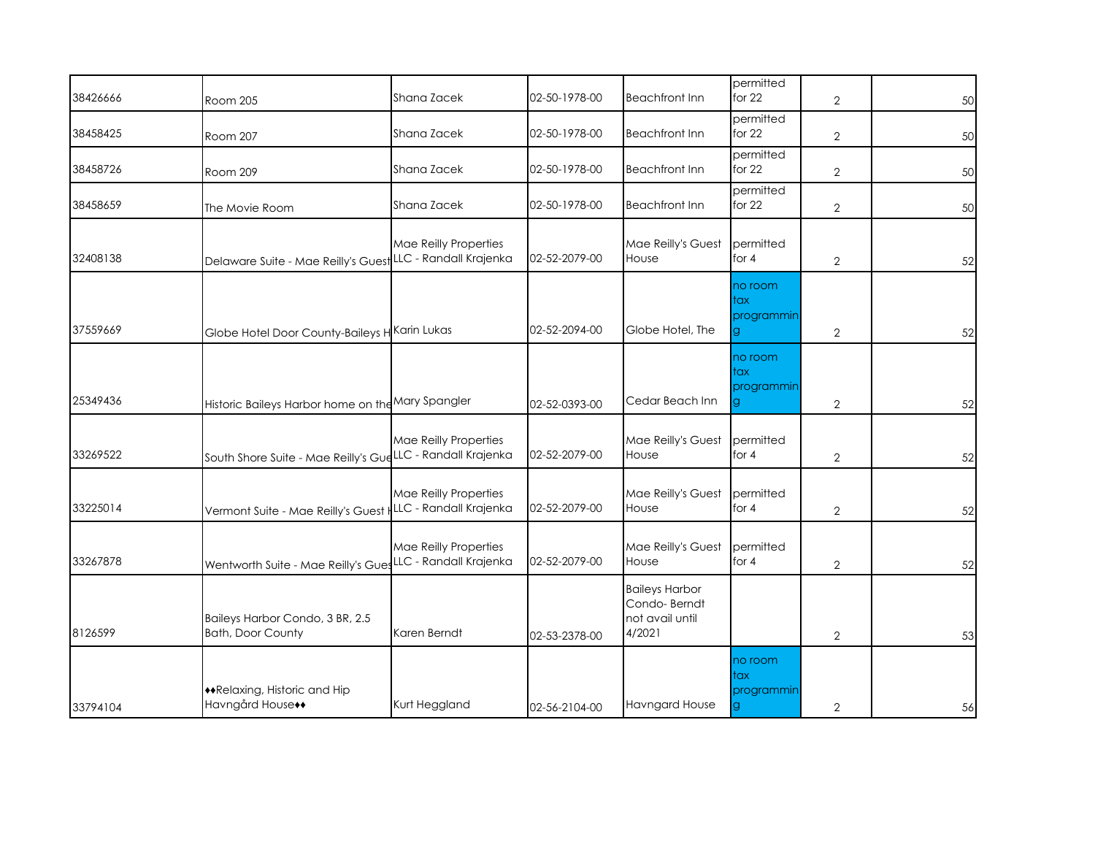| 38426666 | Room 205                                                   | Shana Zacek                                     | 02-50-1978-00 | <b>Beachfront Inn</b>                                              | permitted<br>for $22$              | $\mathbf{2}$   | 50 |
|----------|------------------------------------------------------------|-------------------------------------------------|---------------|--------------------------------------------------------------------|------------------------------------|----------------|----|
| 38458425 | Room 207                                                   | Shana Zacek                                     | 02-50-1978-00 | <b>Beachfront Inn</b>                                              | permitted<br>for $22$              | $\overline{2}$ | 50 |
| 38458726 | Room 209                                                   | Shana Zacek                                     | 02-50-1978-00 | <b>Beachfront Inn</b>                                              | permitted<br>for $22$              | $\overline{2}$ | 50 |
| 38458659 | The Movie Room                                             | Shana Zacek                                     | 02-50-1978-00 | <b>Beachfront Inn</b>                                              | permitted<br>for $22$              | $\overline{2}$ | 50 |
| 32408138 | Delaware Suite - Mae Reilly's Guest                        | Mae Reilly Properties<br>LLC - Randall Krajenka | 02-52-2079-00 | Mae Reilly's Guest<br>House                                        | permitted<br>for $4$               | $\mathbf{2}$   | 52 |
| 37559669 | Globe Hotel Door County-Baileys H Karin Lukas              |                                                 | 02-52-2094-00 | Globe Hotel, The                                                   | no room<br>tax<br>programmin<br>g  | $\mathbf{2}$   | 52 |
| 25349436 | Historic Baileys Harbor home on the Mary Spangler          |                                                 | 02-52-0393-00 | Cedar Beach Inn                                                    | no room<br>tax<br>programmin<br>g. | $\mathbf{2}$   | 52 |
| 33269522 | South Shore Suite - Mae Reilly's GudLLC - Randall Krajenka | Mae Reilly Properties                           | 02-52-2079-00 | Mae Reilly's Guest<br>House                                        | permitted<br>for 4                 | $\overline{2}$ | 52 |
| 33225014 | Vermont Suite - Mae Reilly's Guest                         | Mae Reilly Properties<br>LLC - Randall Krajenka | 02-52-2079-00 | Mae Reilly's Guest<br>House                                        | permitted<br>for 4                 | $\overline{2}$ | 52 |
| 33267878 | Wentworth Suite - Mae Reilly's Gues                        | Mae Reilly Properties<br>LLC - Randall Krajenka | 02-52-2079-00 | Mae Reilly's Guest<br>House                                        | permitted<br>for 4                 | $\overline{2}$ | 52 |
| 8126599  | Baileys Harbor Condo, 3 BR, 2.5<br>Bath, Door County       | Karen Berndt                                    | 02-53-2378-00 | <b>Baileys Harbor</b><br>Condo-Berndt<br>not avail until<br>4/2021 |                                    | $\overline{2}$ | 53 |
| 33794104 | ◆Relaxing, Historic and Hip<br>Havngård House++            | Kurt Heggland                                   | 02-56-2104-00 | <b>Havngard House</b>                                              | no room<br>tax<br>programmin<br>g  | 2              | 56 |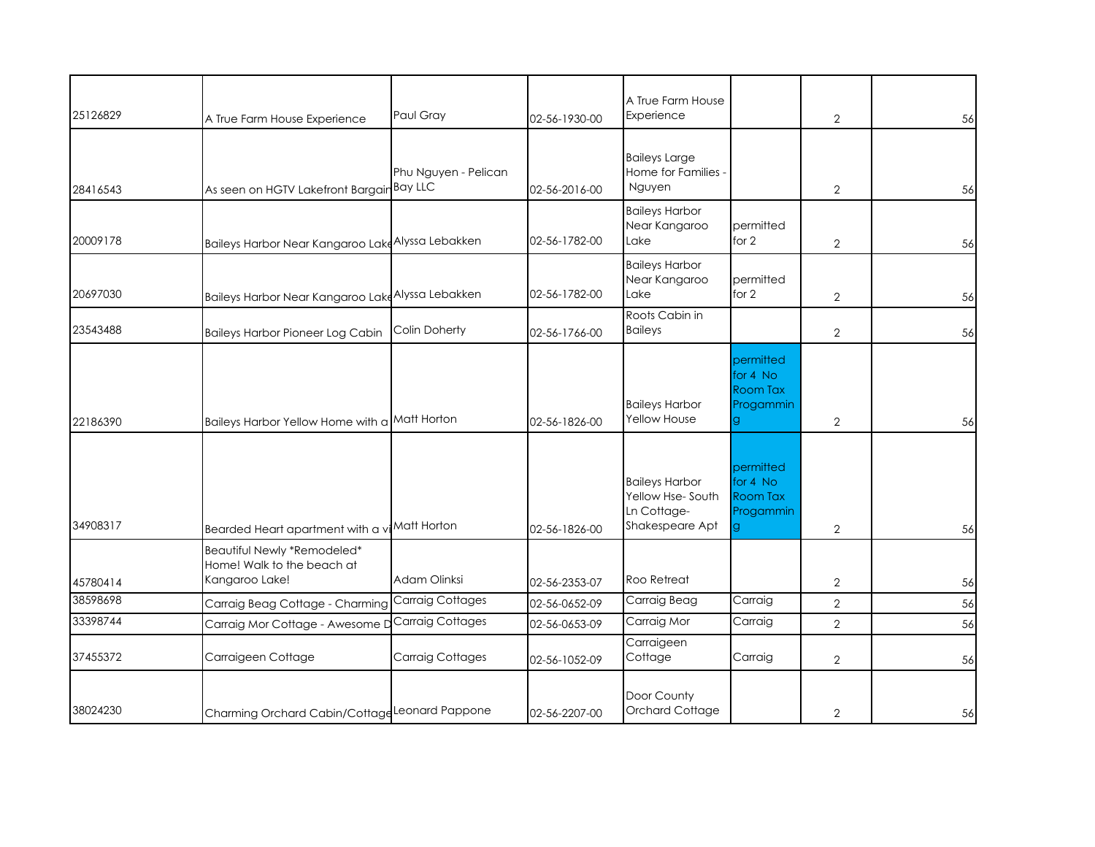| 25126829 | A True Farm House Experience                                                | Paul Gray               | 02-56-1930-00 | A True Farm House<br>Experience                                             |                                                             | $\overline{2}$ | 56 |
|----------|-----------------------------------------------------------------------------|-------------------------|---------------|-----------------------------------------------------------------------------|-------------------------------------------------------------|----------------|----|
| 28416543 | As seen on HGTV Lakefront Bargain Bay LLC                                   | Phu Nguyen - Pelican    | 02-56-2016-00 | <b>Baileys Large</b><br>Home for Families -<br>Nguyen                       |                                                             | $\overline{2}$ | 56 |
| 20009178 | Baileys Harbor Near Kangaroo Lake Alyssa Lebakken                           |                         | 02-56-1782-00 | <b>Baileys Harbor</b><br>Near Kangaroo<br>Lake                              | permitted<br>for 2                                          | $\overline{2}$ | 56 |
| 20697030 | Baileys Harbor Near Kangaroo Laka <sup>Alyssa</sup> Lebakken                |                         | 02-56-1782-00 | <b>Baileys Harbor</b><br>Near Kangaroo<br>Lake                              | permitted<br>for $2$                                        | $\overline{2}$ | 56 |
| 23543488 | <b>Baileys Harbor Pioneer Log Cabin</b>                                     | Colin Doherty           | 02-56-1766-00 | Roots Cabin in<br><b>Baileys</b>                                            |                                                             | $\overline{2}$ | 56 |
| 22186390 | Baileys Harbor Yellow Home with a Matt Horton                               |                         | 02-56-1826-00 | <b>Baileys Harbor</b><br>Yellow House                                       | permitted<br>for 4 No<br>Room Tax<br>Progammin<br>g.        | 2              | 56 |
| 34908317 | Bearded Heart apartment with a vi <sup>Matt</sup> Horton                    |                         | 02-56-1826-00 | <b>Baileys Harbor</b><br>Yellow Hse-South<br>Ln Cottage-<br>Shakespeare Apt | permitted<br>for 4 No<br><b>Room Tax</b><br>Progammin<br>g. | $\overline{2}$ | 56 |
| 45780414 | Beautiful Newly *Remodeled*<br>Home! Walk to the beach at<br>Kangaroo Lake! | Adam Olinksi            | 02-56-2353-07 | Roo Retreat                                                                 |                                                             | $\overline{2}$ | 56 |
| 38598698 | Carraig Beag Cottage - Charming                                             | <b>Carraig Cottages</b> | 02-56-0652-09 | Carraig Beag                                                                | Carraig                                                     | $\overline{2}$ | 56 |
| 33398744 | Carraig Mor Cottage - Awesome I                                             | Carraig Cottages        | 02-56-0653-09 | Carraig Mor                                                                 | Carraig                                                     | $\overline{2}$ | 56 |
| 37455372 | Carraigeen Cottage                                                          | Carraig Cottages        | 02-56-1052-09 | Carraigeen<br>Cottage                                                       | Carraig                                                     | $\overline{2}$ | 56 |
| 38024230 | Charming Orchard Cabin/Cottage Leonard Pappone                              |                         | 02-56-2207-00 | Door County<br>Orchard Cottage                                              |                                                             | $\mathbf{2}$   | 56 |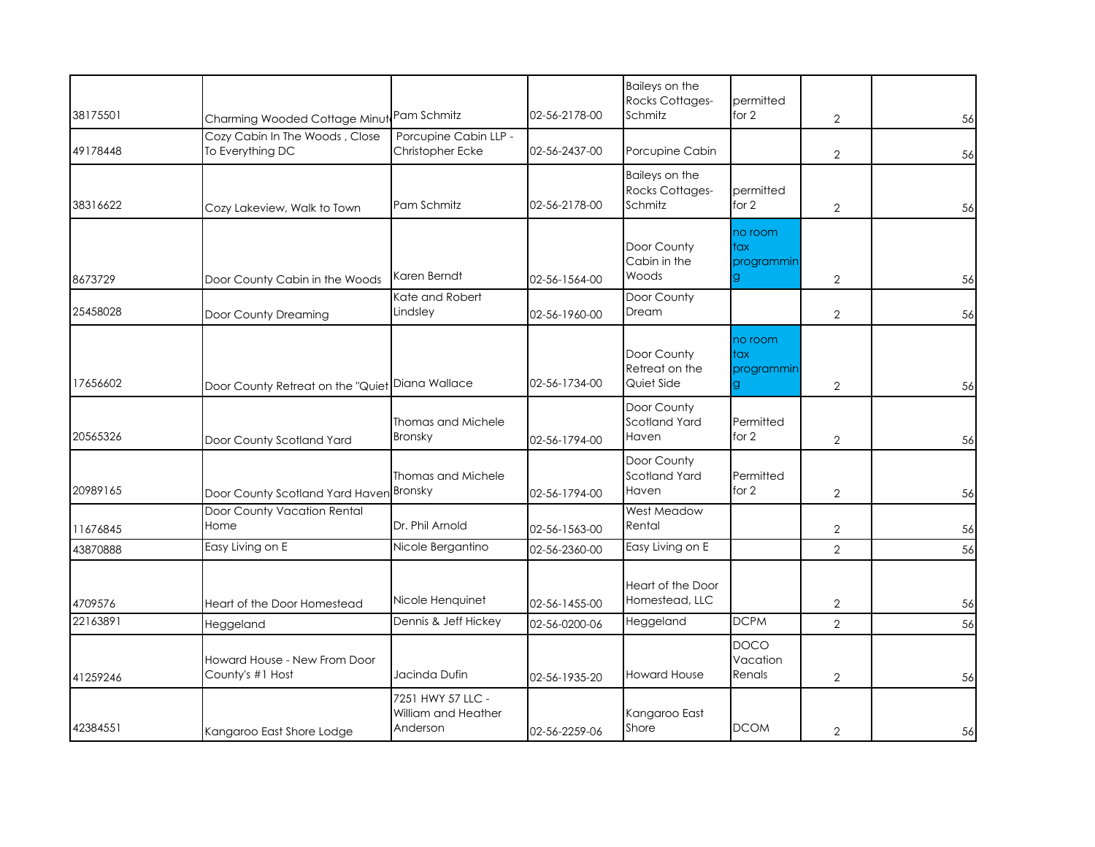|          |                                                    |                                                      |               | Baileys on the<br>Rocks Cottages-            | permitted                          |                |    |
|----------|----------------------------------------------------|------------------------------------------------------|---------------|----------------------------------------------|------------------------------------|----------------|----|
| 38175501 | Charming Wooded Cottage Minut Pam Schmitz          |                                                      | 02-56-2178-00 | Schmitz                                      | for 2                              | $\overline{2}$ | 56 |
| 49178448 | Cozy Cabin In The Woods, Close<br>To Everything DC | Porcupine Cabin LLP -<br>Christopher Ecke            | 02-56-2437-00 | Porcupine Cabin                              |                                    | $\overline{2}$ | 56 |
| 38316622 | Cozy Lakeview, Walk to Town                        | Pam Schmitz                                          | 02-56-2178-00 | Baileys on the<br>Rocks Cottages-<br>Schmitz | permitted<br>for 2                 | $\overline{2}$ | 56 |
| 8673729  | Door County Cabin in the Woods                     | Karen Berndt                                         | 02-56-1564-00 | Door County<br>Cabin in the<br>Woods         | no room<br>tax<br>programmin<br>g. | $\overline{2}$ | 56 |
| 25458028 | Door County Dreaming                               | Kate and Robert<br>Lindsley                          | 02-56-1960-00 | Door County<br>Dream                         |                                    | $\overline{2}$ | 56 |
| 17656602 | Door County Retreat on the "Quiet Diana Wallace    |                                                      | 02-56-1734-00 | Door County<br>Retreat on the<br>Quiet Side  | no room<br>tax<br>programmin       | $\overline{2}$ | 56 |
| 20565326 | Door County Scotland Yard                          | Thomas and Michele<br>Bronsky                        | 02-56-1794-00 | Door County<br>Scotland Yard<br>Haven        | Permitted<br>for 2                 | $\overline{2}$ | 56 |
| 20989165 | Door County Scotland Yard Haven                    | Thomas and Michele<br>Bronsky                        | 02-56-1794-00 | Door County<br>Scotland Yard<br>Haven        | Permitted<br>for 2                 | 2              | 56 |
| 11676845 | Door County Vacation Rental<br>Home                | Dr. Phil Arnold                                      | 02-56-1563-00 | West Meadow<br>Rental                        |                                    | $\mathbf{2}$   | 56 |
| 43870888 | Easy Living on E                                   | Nicole Bergantino                                    | 02-56-2360-00 | Easy Living on E                             |                                    | $\overline{2}$ | 56 |
| 4709576  | Heart of the Door Homestead                        | Nicole Henquinet                                     | 02-56-1455-00 | Heart of the Door<br>Homestead, LLC          |                                    | $\overline{2}$ | 56 |
| 22163891 | Heggeland                                          | Dennis & Jeff Hickey                                 | 02-56-0200-06 | Heggeland                                    | <b>DCPM</b>                        | $\overline{2}$ | 56 |
| 41259246 | Howard House - New From Door<br>County's #1 Host   | Jacinda Dufin                                        | 02-56-1935-20 | <b>Howard House</b>                          | <b>DOCO</b><br>Vacation<br>Renals  | $\overline{2}$ | 56 |
| 42384551 | Kangaroo East Shore Lodge                          | 7251 HWY 57 LLC -<br>William and Heather<br>Anderson | 02-56-2259-06 | Kangaroo East<br>Shore                       | <b>DCOM</b>                        | $\overline{2}$ | 56 |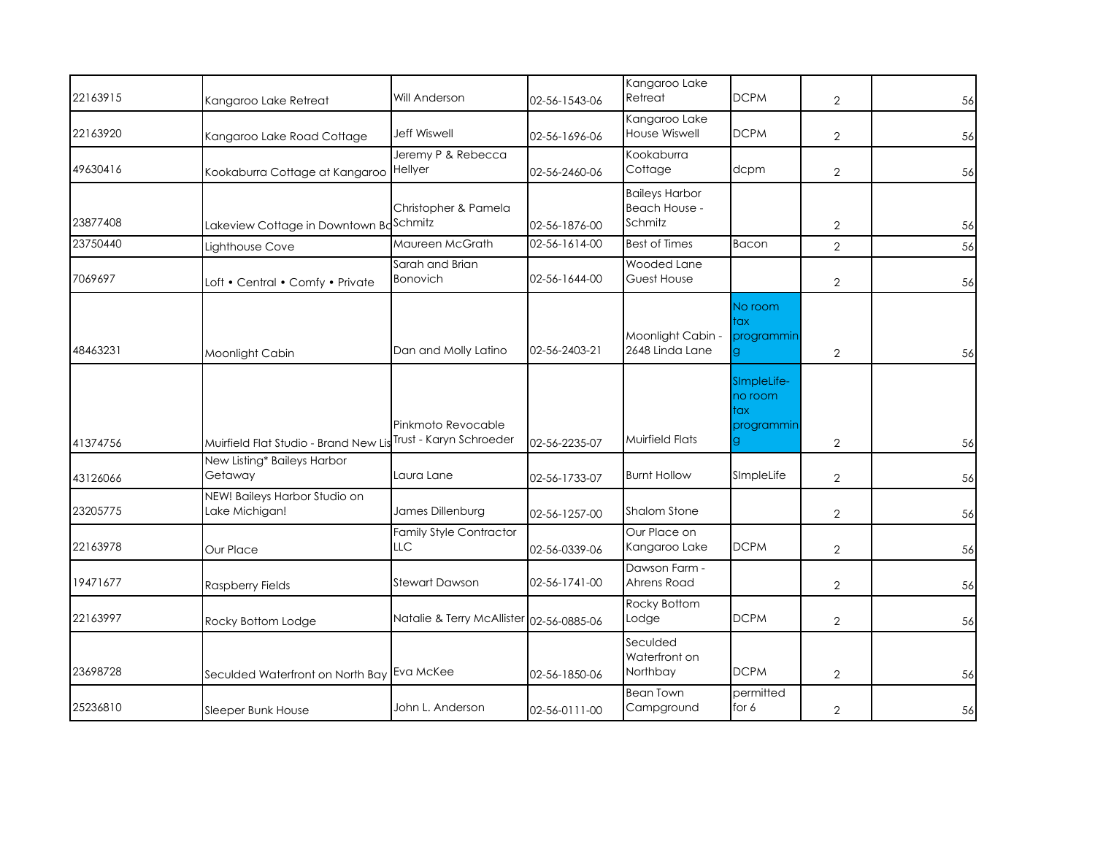| 22163915 | Kangaroo Lake Retreat                           | Will Anderson                                 | 02-56-1543-06 | Kangaroo Lake<br>Retreat                          | <b>DCPM</b>                                       | $\mathbf{2}$   | 56 |
|----------|-------------------------------------------------|-----------------------------------------------|---------------|---------------------------------------------------|---------------------------------------------------|----------------|----|
| 22163920 | Kangaroo Lake Road Cottage                      | <b>Jeff Wiswell</b>                           | 02-56-1696-06 | Kangaroo Lake<br>House Wiswell                    | <b>DCPM</b>                                       | $\mathbf{2}$   | 56 |
| 49630416 | Kookaburra Cottage at Kangaroo                  | Jeremy P & Rebecca<br>Hellyer                 | 02-56-2460-06 | Kookaburra<br>Cottage                             | dcpm                                              | $\overline{2}$ | 56 |
| 23877408 | Lakeview Cottage in Downtown Bo                 | Christopher & Pamela<br>Schmitz               | 02-56-1876-00 | <b>Baileys Harbor</b><br>Beach House -<br>Schmitz |                                                   | 2              | 56 |
| 23750440 | Lighthouse Cove                                 | Maureen McGrath                               | 02-56-1614-00 | <b>Best of Times</b>                              | Bacon                                             | $\overline{2}$ | 56 |
| 7069697  | Loft • Central • Comfy • Private                | Sarah and Brian<br>Bonovich                   | 02-56-1644-00 | Wooded Lane<br>Guest House                        |                                                   | $\overline{2}$ | 56 |
| 48463231 | Moonlight Cabin                                 | Dan and Molly Latino                          | 02-56-2403-21 | Moonlight Cabin -<br>2648 Linda Lane              | No room<br>tax<br>programmin<br>g.                | $\overline{2}$ | 56 |
| 41374756 | Muirfield Flat Studio - Brand New Lis           | Pinkmoto Revocable<br>Trust - Karyn Schroeder | 02-56-2235-07 | Muirfield Flats                                   | SImpleLife-<br>no room<br>tax<br>programmin<br>g. | 2              | 56 |
| 43126066 | New Listing* Baileys Harbor<br>Getaway          | Laura Lane                                    | 02-56-1733-07 | <b>Burnt Hollow</b>                               | SImpleLife                                        | $\overline{2}$ | 56 |
| 23205775 | NEW! Baileys Harbor Studio on<br>Lake Michigan! | James Dillenburg                              | 02-56-1257-00 | <b>Shalom Stone</b>                               |                                                   | $\overline{2}$ | 56 |
| 22163978 | Our Place                                       | <b>Family Style Contractor</b><br>LLC         | 02-56-0339-06 | Our Place on<br>Kangaroo Lake                     | <b>DCPM</b>                                       | $\mathbf{2}$   | 56 |
| 19471677 | <b>Raspberry Fields</b>                         | <b>Stewart Dawson</b>                         | 02-56-1741-00 | Dawson Farm -<br>Ahrens Road                      |                                                   | $\mathbf{2}$   | 56 |
| 22163997 | Rocky Bottom Lodge                              | Natalie & Terry McAllister 02-56-0885-06      |               | Rocky Bottom<br>Lodge                             | <b>DCPM</b>                                       | $\overline{2}$ | 56 |
| 23698728 | Seculded Waterfront on North Bay                | Eva McKee                                     | 02-56-1850-06 | Seculded<br>Waterfront on<br>Northbay             | <b>DCPM</b>                                       | $\mathbf{2}$   | 56 |
| 25236810 | Sleeper Bunk House                              | John L. Anderson                              | 02-56-0111-00 | <b>Bean Town</b><br>Campground                    | permitted<br>for 6                                | $\mathbf{2}$   | 56 |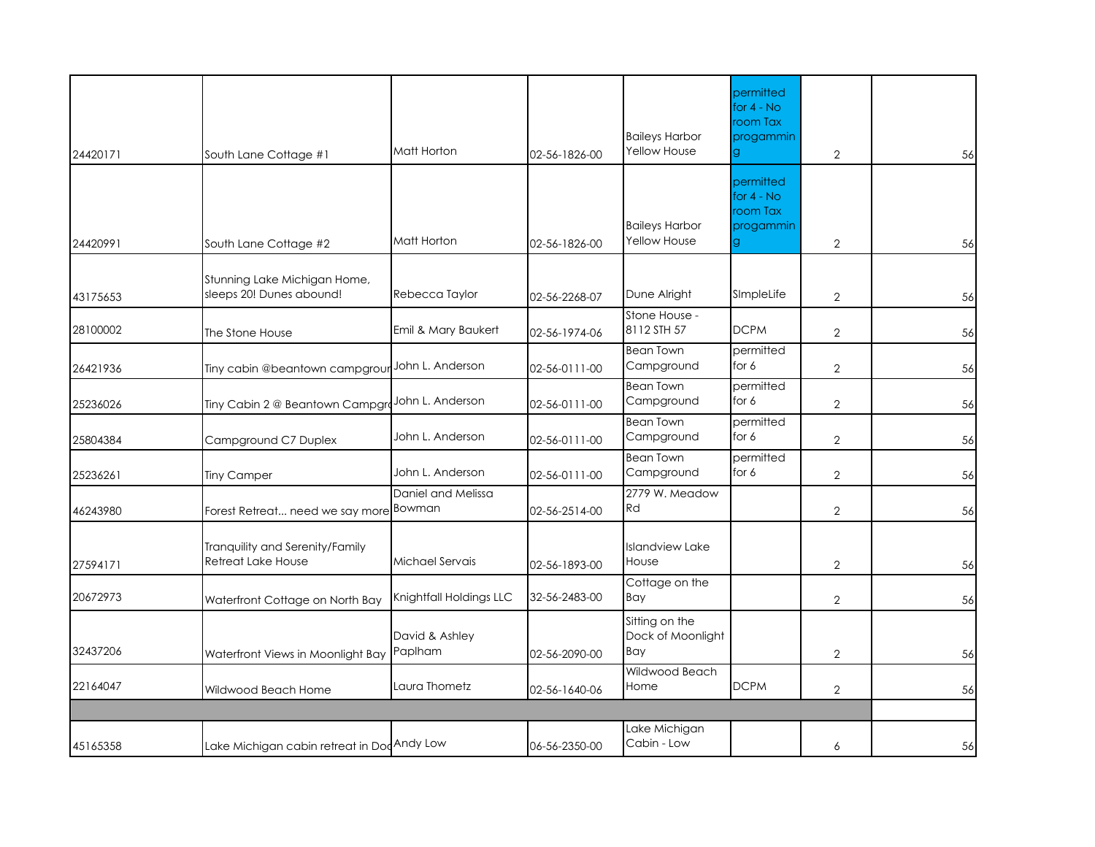| 24420171 | South Lane Cottage #1                                    | Matt Horton               | 02-56-1826-00 | <b>Baileys Harbor</b><br>Yellow House        | permitted<br>for $4 - No$<br>room Tax<br>progammin<br>g | $\overline{2}$ | 56 |
|----------|----------------------------------------------------------|---------------------------|---------------|----------------------------------------------|---------------------------------------------------------|----------------|----|
| 24420991 | South Lane Cottage #2                                    | Matt Horton               | 02-56-1826-00 | <b>Baileys Harbor</b><br><b>Yellow House</b> | permitted<br>for $4 - No$<br>room Tax<br>progammin      | $\overline{2}$ | 56 |
| 43175653 | Stunning Lake Michigan Home,<br>sleeps 20! Dunes abound! | Rebecca Taylor            | 02-56-2268-07 | Dune Alright                                 | SImpleLife                                              | $\overline{2}$ | 56 |
| 28100002 | The Stone House                                          | Emil & Mary Baukert       | 02-56-1974-06 | Stone House -<br>8112 STH 57                 | <b>DCPM</b>                                             | $\overline{2}$ | 56 |
| 26421936 | Tiny cabin @beantown campgrour                           | John L. Anderson          | 02-56-0111-00 | <b>Bean Town</b><br>Campground               | permitted<br>for 6                                      | $\overline{2}$ | 56 |
| 25236026 | Tiny Cabin 2 @ Beantown CampgroJohn L. Anderson          |                           | 02-56-0111-00 | <b>Bean Town</b><br>Campground               | permitted<br>for 6                                      | $\mathbf{2}$   | 56 |
| 25804384 | Campground C7 Duplex                                     | John L. Anderson          | 02-56-0111-00 | <b>Bean Town</b><br>Campground               | permitted<br>for 6                                      | $\overline{2}$ | 56 |
| 25236261 | <b>Tiny Camper</b>                                       | John L. Anderson          | 02-56-0111-00 | <b>Bean Town</b><br>Campground               | permitted<br>for 6                                      | $\overline{2}$ | 56 |
| 46243980 | Forest Retreat need we say more Bowman                   | Daniel and Melissa        | 02-56-2514-00 | 2779 W. Meadow<br>Rd                         |                                                         | $\overline{2}$ | 56 |
| 27594171 | Tranquility and Serenity/Family<br>Retreat Lake House    | Michael Servais           | 02-56-1893-00 | <b>Islandview Lake</b><br>House              |                                                         | $\overline{2}$ | 56 |
| 20672973 | Waterfront Cottage on North Bay                          | Knightfall Holdings LLC   | 32-56-2483-00 | Cottage on the<br>Bay                        |                                                         | $\overline{2}$ | 56 |
| 32437206 | Waterfront Views in Moonlight Bay                        | David & Ashley<br>Paplham | 02-56-2090-00 | Sitting on the<br>Dock of Moonlight<br>Bay   |                                                         | $\overline{2}$ | 56 |
| 22164047 | Wildwood Beach Home                                      | Laura Thometz             | 02-56-1640-06 | Wildwood Beach<br>Home                       | <b>DCPM</b>                                             | $\overline{2}$ | 56 |
|          |                                                          |                           |               |                                              |                                                         |                |    |
| 45165358 | Lake Michigan cabin retreat in Dod Andy Low              |                           | 06-56-2350-00 | Lake Michigan<br>Cabin - Low                 |                                                         | 6              | 56 |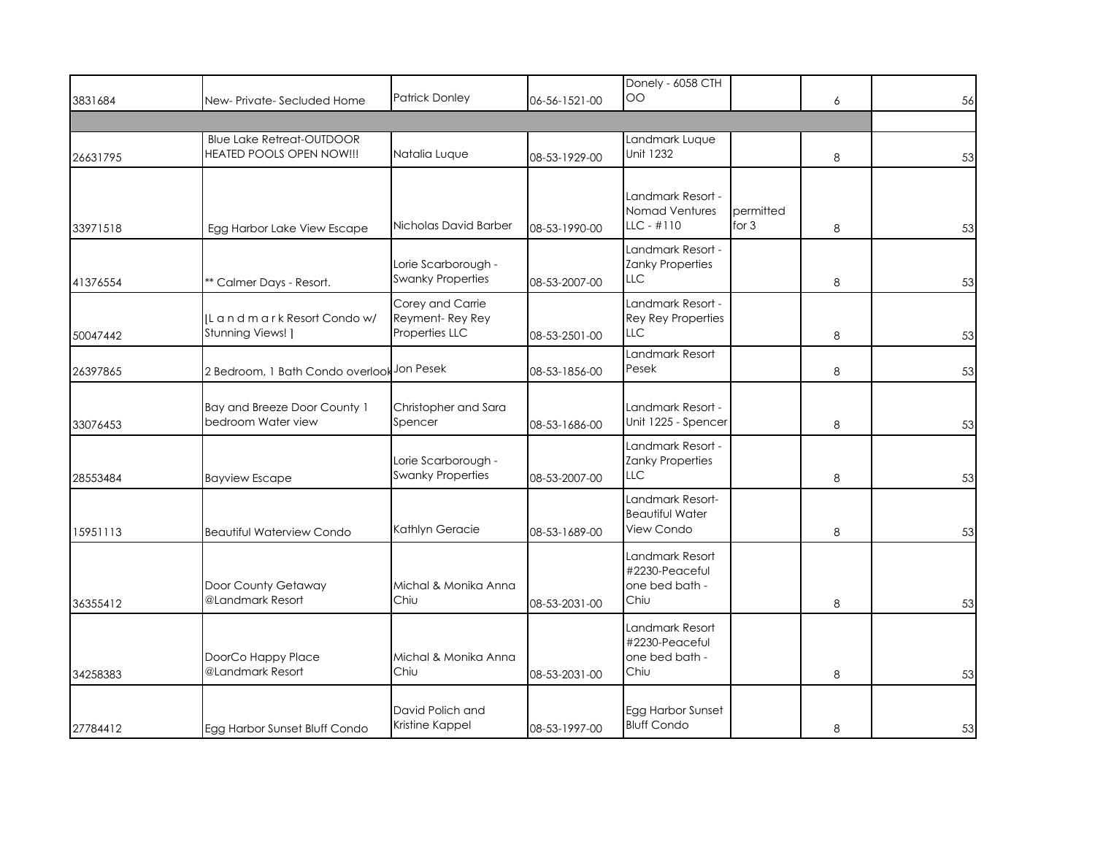|          |                                                               | <b>Patrick Donley</b>                                 |               | Donely - 6058 CTH<br><b>OO</b>                               |                      |   |    |
|----------|---------------------------------------------------------------|-------------------------------------------------------|---------------|--------------------------------------------------------------|----------------------|---|----|
| 3831684  | New-Private-Secluded Home                                     |                                                       | 06-56-1521-00 |                                                              |                      | 6 | 56 |
| 26631795 | <b>Blue Lake Retreat-OUTDOOR</b><br>HEATED POOLS OPEN NOW !!! | Natalia Luque                                         | 08-53-1929-00 | Landmark Luque<br>Unit 1232                                  |                      | 8 | 53 |
| 33971518 | Egg Harbor Lake View Escape                                   | Nicholas David Barber                                 | 08-53-1990-00 | Landmark Resort -<br>Nomad Ventures<br>$LLC - #110$          | permitted<br>for $3$ | 8 | 53 |
| 41376554 | ** Calmer Days - Resort.                                      | Lorie Scarborough -<br><b>Swanky Properties</b>       | 08-53-2007-00 | Landmark Resort -<br>Zanky Properties<br><b>LLC</b>          |                      | 8 | 53 |
| 50047442 | IL and mark Resort Condow/<br>Stunning Views! ]               | Corey and Carrie<br>Reyment-Rey Rey<br>Properties LLC | 08-53-2501-00 | Landmark Resort -<br><b>Rey Rey Properties</b><br><b>LLC</b> |                      | 8 | 53 |
| 26397865 | 2 Bedroom, 1 Bath Condo overlook Jon Pesek                    |                                                       | 08-53-1856-00 | Landmark Resort<br>Pesek                                     |                      | 8 | 53 |
| 33076453 | Bay and Breeze Door County 1<br>bedroom Water view            | Christopher and Sara<br>Spencer                       | 08-53-1686-00 | Landmark Resort -<br>Unit 1225 - Spencer                     |                      | 8 | 53 |
| 28553484 | <b>Bayview Escape</b>                                         | Lorie Scarborough -<br><b>Swanky Properties</b>       | 08-53-2007-00 | Landmark Resort -<br><b>Zanky Properties</b><br><b>LLC</b>   |                      | 8 | 53 |
| 15951113 | <b>Beautiful Waterview Condo</b>                              | Kathlyn Geracie                                       | 08-53-1689-00 | Landmark Resort-<br><b>Beautiful Water</b><br>View Condo     |                      | 8 | 53 |
| 36355412 | Door County Getaway<br>@Landmark Resort                       | Michal & Monika Anna<br>Chiu                          | 08-53-2031-00 | Landmark Resort<br>#2230-Peaceful<br>one bed bath -<br>Chiu  |                      | 8 | 53 |
| 34258383 | DoorCo Happy Place<br>@Landmark Resort                        | Michal & Monika Anna<br>Chiu                          | 08-53-2031-00 | Landmark Resort<br>#2230-Peaceful<br>one bed bath -<br>Chiu  |                      | 8 | 53 |
| 27784412 | Egg Harbor Sunset Bluff Condo                                 | David Polich and<br>Kristine Kappel                   | 08-53-1997-00 | Egg Harbor Sunset<br><b>Bluff Condo</b>                      |                      | 8 | 53 |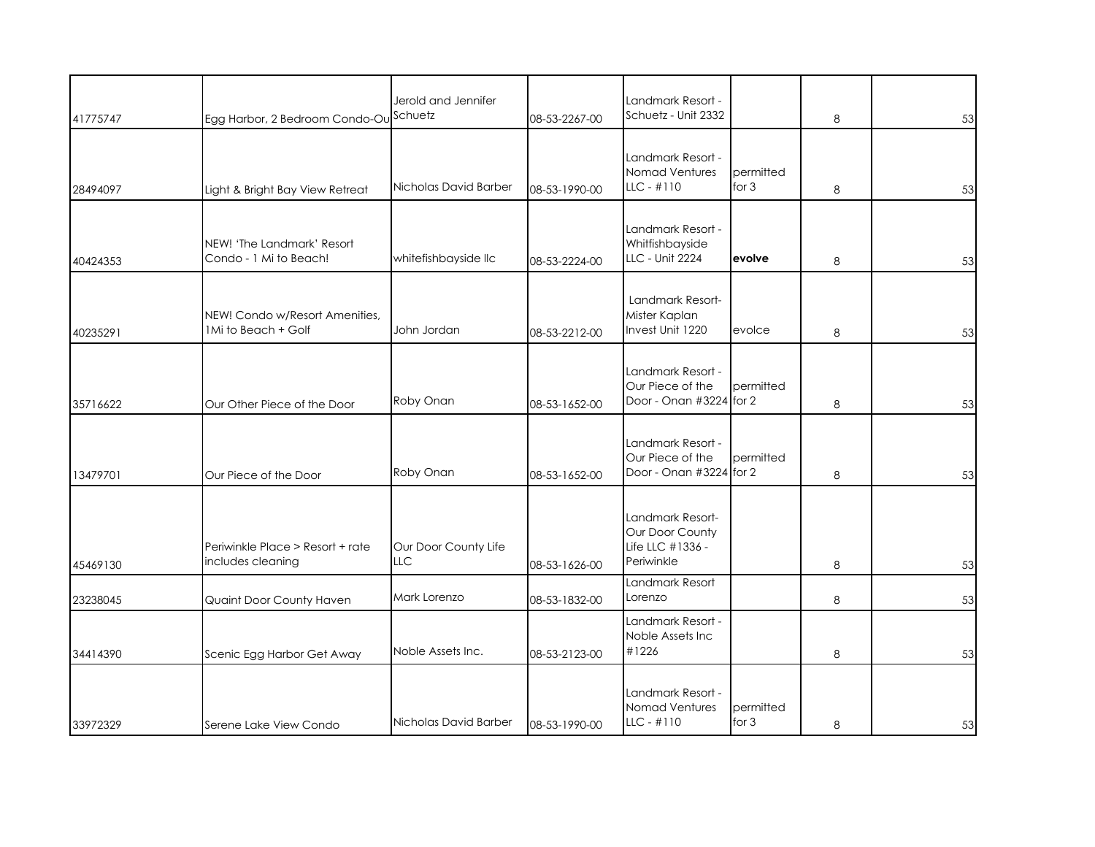|          |                                                       | Jerold and Jennifer                |               | Landmark Resort -                                                     |                      |   |    |
|----------|-------------------------------------------------------|------------------------------------|---------------|-----------------------------------------------------------------------|----------------------|---|----|
| 41775747 | Egg Harbor, 2 Bedroom Condo-Ou Schuetz                |                                    | 08-53-2267-00 | Schuetz - Unit 2332                                                   |                      | 8 | 53 |
| 28494097 | Light & Bright Bay View Retreat                       | Nicholas David Barber              | 08-53-1990-00 | Landmark Resort -<br>Nomad Ventures<br>$LLC - #110$                   | permitted<br>for $3$ | 8 | 53 |
| 40424353 | NEW! 'The Landmark' Resort<br>Condo - 1 Mi to Beach!  | whitefishbayside IIc               | 08-53-2224-00 | Landmark Resort -<br>Whitfishbayside<br>LLC - Unit 2224               | evolve               | 8 | 53 |
| 40235291 | NEW! Condo w/Resort Amenities,<br>1Mi to Beach + Golf | John Jordan                        | 08-53-2212-00 | Landmark Resort-<br>Mister Kaplan<br>Invest Unit 1220                 | evolce               | 8 | 53 |
| 35716622 | Our Other Piece of the Door                           | Roby Onan                          | 08-53-1652-00 | Landmark Resort -<br>Our Piece of the<br>Door - Onan #3224 for 2      | permitted            | 8 | 53 |
| 13479701 | Our Piece of the Door                                 | Roby Onan                          | 08-53-1652-00 | Landmark Resort -<br>Our Piece of the<br>Door - Onan #3224 for 2      | permitted            | 8 | 53 |
| 45469130 | Periwinkle Place > Resort + rate<br>includes cleaning | Our Door County Life<br><b>LLC</b> | 08-53-1626-00 | Landmark Resort-<br>Our Door County<br>Life LLC #1336 -<br>Periwinkle |                      | 8 | 53 |
| 23238045 | Quaint Door County Haven                              | Mark Lorenzo                       | 08-53-1832-00 | Landmark Resort<br>Lorenzo                                            |                      | 8 | 53 |
| 34414390 | Scenic Egg Harbor Get Away                            | Noble Assets Inc.                  | 08-53-2123-00 | Landmark Resort -<br>Noble Assets Inc<br>#1226                        |                      | 8 | 53 |
| 33972329 | Serene Lake View Condo                                | Nicholas David Barber              | 08-53-1990-00 | Landmark Resort -<br>Nomad Ventures<br>$LLC - #110$                   | permitted<br>for $3$ | 8 | 53 |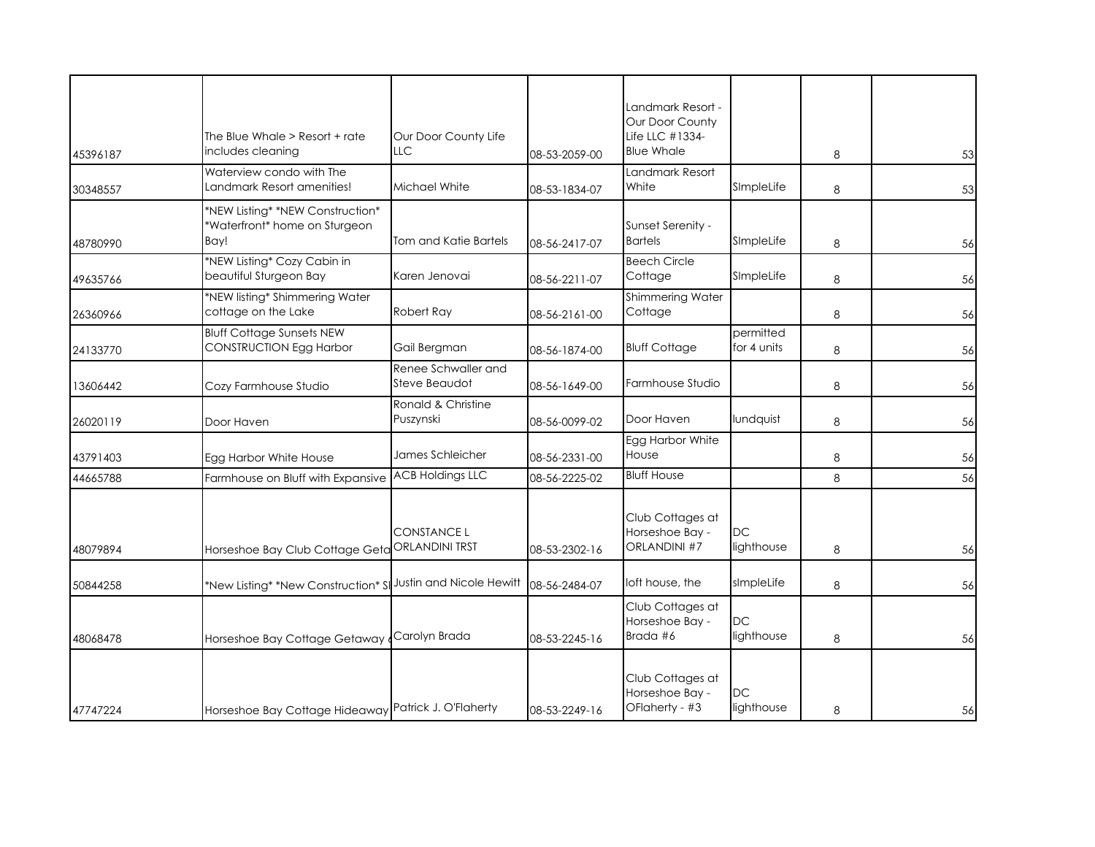| 45396187 | The Blue Whale > Resort + rate<br>includes cleaning                       | Our Door County Life<br>LLC          | 08-53-2059-00 | Landmark Resort -<br>Our Door County<br>Life LLC #1334-<br><b>Blue Whale</b> |                          | 8 | 53 |
|----------|---------------------------------------------------------------------------|--------------------------------------|---------------|------------------------------------------------------------------------------|--------------------------|---|----|
| 30348557 | Waterview condo with The<br>Landmark Resort amenities!                    | Michael White                        | 08-53-1834-07 | Landmark Resort<br>White                                                     | SImpleLife               | 8 | 53 |
| 48780990 | *NEW Listing* *NEW Construction*<br>*Waterfront* home on Sturgeon<br>Bay! | Tom and Katie Bartels                | 08-56-2417-07 | Sunset Serenity -<br><b>Bartels</b>                                          | SImpleLife               | 8 | 56 |
| 49635766 | *NEW Listing* Cozy Cabin in<br>beautiful Sturgeon Bay                     | Karen Jenovai                        | 08-56-2211-07 | <b>Beech Circle</b><br>Cottage                                               | SImpleLife               | 8 | 56 |
| 26360966 | *NEW listing* Shimmering Water<br>cottage on the Lake                     | Robert Ray                           | 08-56-2161-00 | Shimmering Water<br>Cottage                                                  |                          | 8 | 56 |
| 24133770 | <b>Bluff Cottage Sunsets NEW</b><br>CONSTRUCTION Egg Harbor               | Gail Bergman                         | 08-56-1874-00 | <b>Bluff Cottage</b>                                                         | permitted<br>for 4 units | 8 | 56 |
| 13606442 | Cozy Farmhouse Studio                                                     | Renee Schwaller and<br>Steve Beaudot | 08-56-1649-00 | Farmhouse Studio                                                             |                          | 8 | 56 |
| 26020119 | Door Haven                                                                | Ronald & Christine<br>Puszynski      | 08-56-0099-02 | Door Haven                                                                   | lundquist                | 8 | 56 |
| 43791403 | Egg Harbor White House                                                    | James Schleicher                     | 08-56-2331-00 | Egg Harbor White<br>House                                                    |                          | 8 | 56 |
| 44665788 | Farmhouse on Bluff with Expansive                                         | <b>ACB Holdings LLC</b>              | 08-56-2225-02 | <b>Bluff House</b>                                                           |                          | 8 | 56 |
| 48079894 | Horseshoe Bay Club Cottage Geta                                           | CONSTANCE L<br><b>ORLANDINI TRST</b> | 08-53-2302-16 | Club Cottages at<br>Horseshoe Bay -<br>ORLANDINI #7                          | DC<br>lighthouse         | 8 | 56 |
| 50844258 | *New Listing* *New Construction* SI                                       | Justin and Nicole Hewitt             | 08-56-2484-07 | loft house, the                                                              | sImpleLife               | 8 | 56 |
| 48068478 | Horseshoe Bay Cottage Getaway                                             | Carolyn Brada                        | 08-53-2245-16 | Club Cottages at<br>Horseshoe Bay -<br>Brada #6                              | <b>DC</b><br>lighthouse  | 8 | 56 |
| 47747224 | Horseshoe Bay Cottage Hideaway Patrick J. O'Flaherty                      |                                      | 08-53-2249-16 | Club Cottages at<br>Horseshoe Bay -<br>OFlaherty - #3                        | DC<br>lighthouse         | 8 | 56 |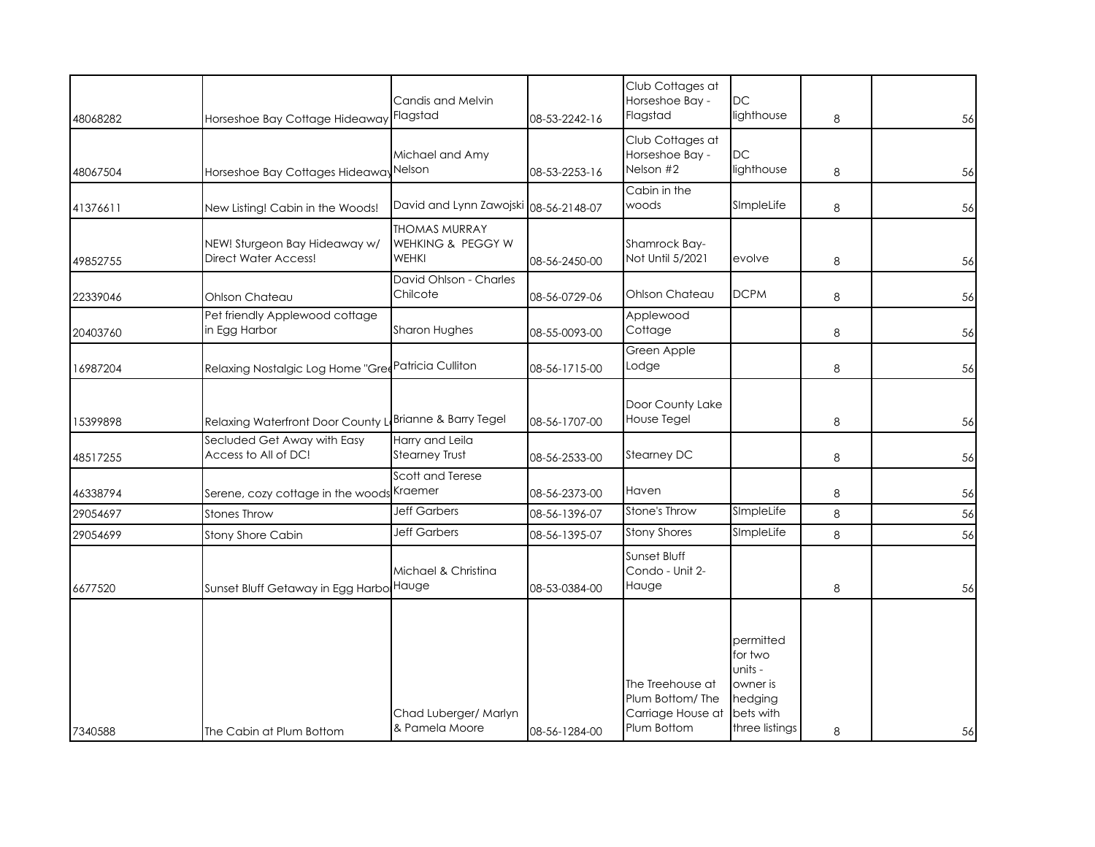| 48068282 | Horseshoe Bay Cottage Hideaway                               | Candis and Melvin<br>Flagstad                             | 08-53-2242-16 | Club Cottages at<br>Horseshoe Bay -<br>Flagstad                         | <b>DC</b><br>lighthouse                                                               | 8 | 56 |
|----------|--------------------------------------------------------------|-----------------------------------------------------------|---------------|-------------------------------------------------------------------------|---------------------------------------------------------------------------------------|---|----|
| 48067504 | Horseshoe Bay Cottages Hideaway <sup>Nelson</sup>            | Michael and Amy                                           | 08-53-2253-16 | Club Cottages at<br>Horseshoe Bay -<br>Nelson #2                        | <b>DC</b><br>lighthouse                                                               | 8 | 56 |
| 41376611 | New Listing! Cabin in the Woods!                             | David and Lynn Zawojski 08-56-2148-07                     |               | Cabin in the<br>woods                                                   | SImpleLife                                                                            | 8 | 56 |
| 49852755 | NEW! Sturgeon Bay Hideaway w/<br><b>Direct Water Access!</b> | <b>THOMAS MURRAY</b><br>WEHKING & PEGGY W<br><b>WEHKI</b> | 08-56-2450-00 | Shamrock Bay-<br>Not Until 5/2021                                       | evolve                                                                                | 8 | 56 |
| 22339046 | Ohlson Chateau                                               | David Ohlson - Charles<br>Chilcote                        | 08-56-0729-06 | Ohlson Chateau                                                          | <b>DCPM</b>                                                                           | 8 | 56 |
| 20403760 | Pet friendly Applewood cottage<br>in Egg Harbor              | Sharon Hughes                                             | 08-55-0093-00 | Applewood<br>Cottage                                                    |                                                                                       | 8 | 56 |
| 16987204 | Relaxing Nostalgic Log Home "Gred Patricia Culliton          |                                                           | 08-56-1715-00 | Green Apple<br>Lodge                                                    |                                                                                       | 8 | 56 |
| 15399898 | Relaxing Waterfront Door County LBrianne & Barry Tegel       |                                                           | 08-56-1707-00 | Door County Lake<br>House Tegel                                         |                                                                                       | 8 | 56 |
| 48517255 | Secluded Get Away with Easy<br>Access to All of DC!          | Harry and Leila<br><b>Stearney Trust</b>                  | 08-56-2533-00 | Stearney DC                                                             |                                                                                       | 8 | 56 |
| 46338794 | Serene, cozy cottage in the woods <sup>Kraemer</sup>         | Scott and Terese                                          | 08-56-2373-00 | Haven                                                                   |                                                                                       | 8 | 56 |
| 29054697 | Stones Throw                                                 | <b>Jeff Garbers</b>                                       | 08-56-1396-07 | Stone's Throw                                                           | SImpleLife                                                                            | 8 | 56 |
| 29054699 | Stony Shore Cabin                                            | <b>Jeff Garbers</b>                                       | 08-56-1395-07 | <b>Stony Shores</b>                                                     | SImpleLife                                                                            | 8 | 56 |
| 6677520  | Sunset Bluff Getaway in Egg Harbo Hauge                      | Michael & Christina                                       | 08-53-0384-00 | Sunset Bluff<br>Condo - Unit 2-<br>Hauge                                |                                                                                       | 8 | 56 |
| 7340588  | The Cabin at Plum Bottom                                     | Chad Luberger/ Marlyn<br>& Pamela Moore                   | 08-56-1284-00 | The Treehouse at<br>Plum Bottom/The<br>Carriage House at<br>Plum Bottom | permitted<br>for two<br>units -<br>owner is<br>hedging<br>bets with<br>three listings | 8 | 56 |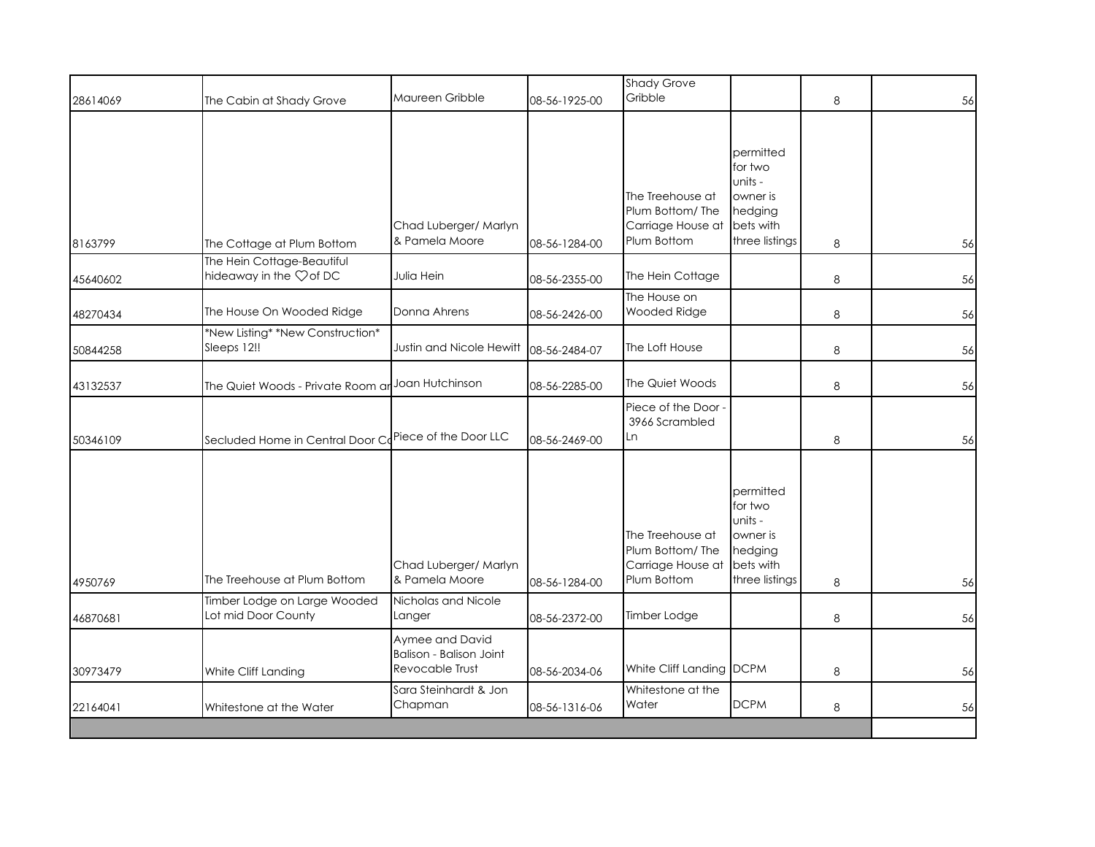| 28614069 | The Cabin at Shady Grove                                         | Maureen Gribble                                                      | 08-56-1925-00 | <b>Shady Grove</b><br>Gribble                                           |                                                                                       | 8 | 56 |
|----------|------------------------------------------------------------------|----------------------------------------------------------------------|---------------|-------------------------------------------------------------------------|---------------------------------------------------------------------------------------|---|----|
| 8163799  | The Cottage at Plum Bottom                                       | Chad Luberger/ Marlyn<br>& Pamela Moore                              | 08-56-1284-00 | The Treehouse at<br>Plum Bottom/The<br>Carriage House at<br>Plum Bottom | permitted<br>for two<br>units -<br>owner is<br>hedging<br>bets with<br>three listings | 8 | 56 |
| 45640602 | The Hein Cottage-Beautiful<br>hideaway in the $\heartsuit$ of DC | Julia Hein                                                           | 08-56-2355-00 | The Hein Cottage                                                        |                                                                                       | 8 | 56 |
| 48270434 | The House On Wooded Ridge                                        | Donna Ahrens                                                         | 08-56-2426-00 | The House on<br>Wooded Ridge                                            |                                                                                       | 8 | 56 |
| 50844258 | *New Listing* *New Construction*<br>Sleeps 12!!                  | Justin and Nicole Hewitt                                             | 08-56-2484-07 | The Loft House                                                          |                                                                                       | 8 | 56 |
| 43132537 | The Quiet Woods - Private Room ar                                | Joan Hutchinson                                                      | 08-56-2285-00 | The Quiet Woods                                                         |                                                                                       | 8 | 56 |
| 50346109 | Secluded Home in Central Door CoPiece of the Door LLC            |                                                                      | 08-56-2469-00 | Piece of the Door<br>3966 Scrambled<br>Ln                               |                                                                                       | 8 | 56 |
| 4950769  | The Treehouse at Plum Bottom                                     | Chad Luberger/ Marlyn<br>& Pamela Moore                              | 08-56-1284-00 | The Treehouse at<br>Plum Bottom/The<br>Carriage House at<br>Plum Bottom | permitted<br>for two<br>units -<br>owner is<br>hedging<br>bets with<br>three listings | 8 | 56 |
| 46870681 | Timber Lodge on Large Wooded<br>Lot mid Door County              | Nicholas and Nicole<br>Langer                                        | 08-56-2372-00 | Timber Lodge                                                            |                                                                                       | 8 | 56 |
| 30973479 | White Cliff Landing                                              | Aymee and David<br><b>Balison - Balison Joint</b><br>Revocable Trust | 08-56-2034-06 | White Cliff Landing DCPM                                                |                                                                                       | 8 | 56 |
| 22164041 | Whitestone at the Water                                          | Sara Steinhardt & Jon<br>Chapman                                     | 08-56-1316-06 | Whitestone at the<br>Water                                              | <b>DCPM</b>                                                                           | 8 | 56 |
|          |                                                                  |                                                                      |               |                                                                         |                                                                                       |   |    |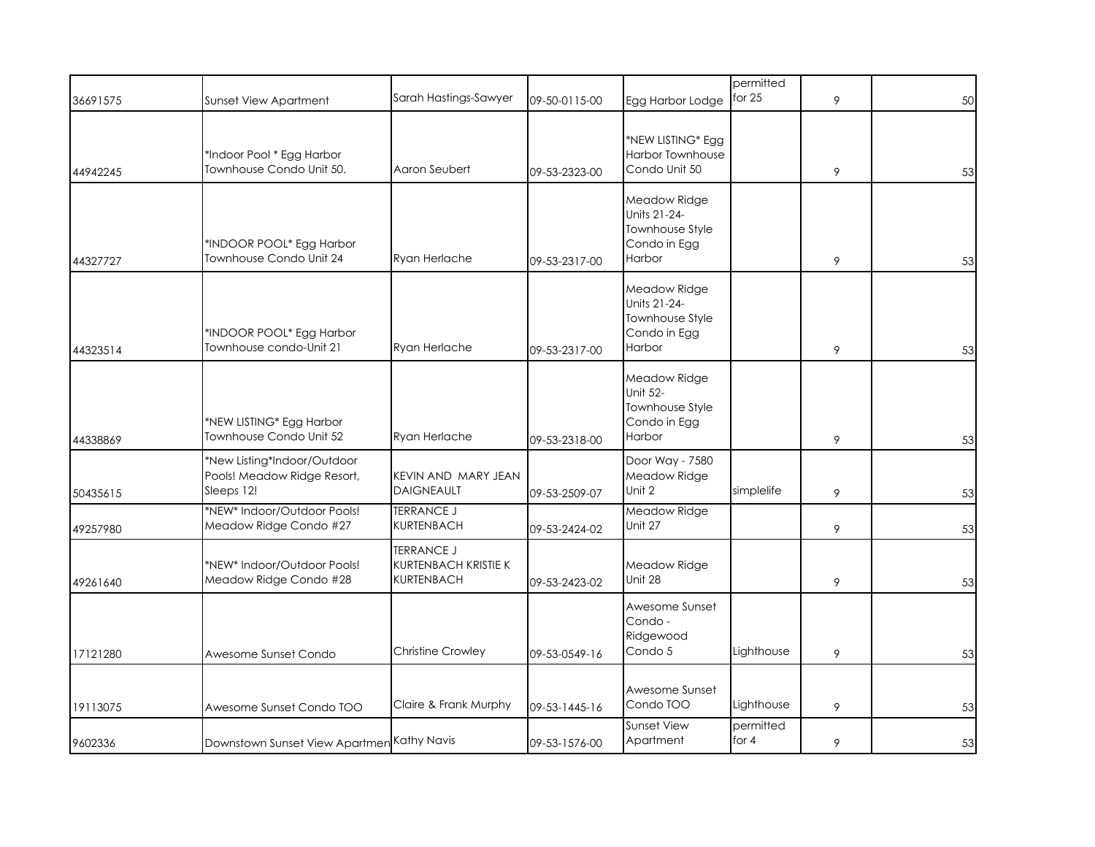| 36691575 | <b>Sunset View Apartment</b>                                             | Sarah Hastings-Sawyer                                          | 09-50-0115-00 | Egg Harbor Lodge                                                             | permitted<br>for $25$ | 9 | 50 |
|----------|--------------------------------------------------------------------------|----------------------------------------------------------------|---------------|------------------------------------------------------------------------------|-----------------------|---|----|
| 44942245 | *Indoor Pool * Egg Harbor<br>Townhouse Condo Unit 50.                    | Aaron Seubert                                                  | 09-53-2323-00 | *NEW LISTING* Egg<br><b>Harbor Townhouse</b><br>Condo Unit 50                |                       | 9 | 53 |
| 44327727 | *INDOOR POOL* Egg Harbor<br>Townhouse Condo Unit 24                      | Ryan Herlache                                                  | 09-53-2317-00 | Meadow Ridge<br>Units 21-24-<br>Townhouse Style<br>Condo in Egg<br>Harbor    |                       | 9 | 53 |
| 44323514 | *INDOOR POOL* Egg Harbor<br>Townhouse condo-Unit 21                      | Ryan Herlache                                                  | 09-53-2317-00 | Meadow Ridge<br>Units 21-24-<br>Townhouse Style<br>Condo in Egg<br>Harbor    |                       | 9 | 53 |
| 44338869 | *NEW LISTING* Egg Harbor<br>Townhouse Condo Unit 52                      | Ryan Herlache                                                  | 09-53-2318-00 | Meadow Ridge<br><b>Unit 52-</b><br>Townhouse Style<br>Condo in Egg<br>Harbor |                       | 9 | 53 |
| 50435615 | *New Listing*Indoor/Outdoor<br>Pools! Meadow Ridge Resort,<br>Sleeps 12! | KEVIN AND MARY JEAN<br><b>DAIGNEAULT</b>                       | 09-53-2509-07 | Door Way - 7580<br>Meadow Ridge<br>Unit 2                                    | simplelife            | 9 | 53 |
| 49257980 | *NEW* Indoor/Outdoor Pools!<br>Meadow Ridge Condo #27                    | <b>TERRANCE J</b><br>KURTENBACH                                | 09-53-2424-02 | Meadow Ridge<br>Unit 27                                                      |                       | 9 | 53 |
| 49261640 | *NEW* Indoor/Outdoor Pools!<br>Meadow Ridge Condo #28                    | <b>TERRANCE J</b><br>KURTENBACH KRISTIE K<br><b>KURTENBACH</b> | 09-53-2423-02 | Meadow Ridge<br>Unit 28                                                      |                       | 9 | 53 |
| 17121280 | Awesome Sunset Condo                                                     | <b>Christine Crowley</b>                                       | 09-53-0549-16 | Awesome Sunset<br>Condo -<br>Ridgewood<br>Condo 5                            | Lighthouse            | 9 | 53 |
| 19113075 | Awesome Sunset Condo TOO                                                 | Claire & Frank Murphy                                          | 09-53-1445-16 | Awesome Sunset<br>Condo TOO                                                  | Lighthouse            | 9 | 53 |
| 9602336  | Downstown Sunset View Apartmen Kathy Navis                               |                                                                | 09-53-1576-00 | Sunset View<br>Apartment                                                     | permitted<br>for $4$  | 9 | 53 |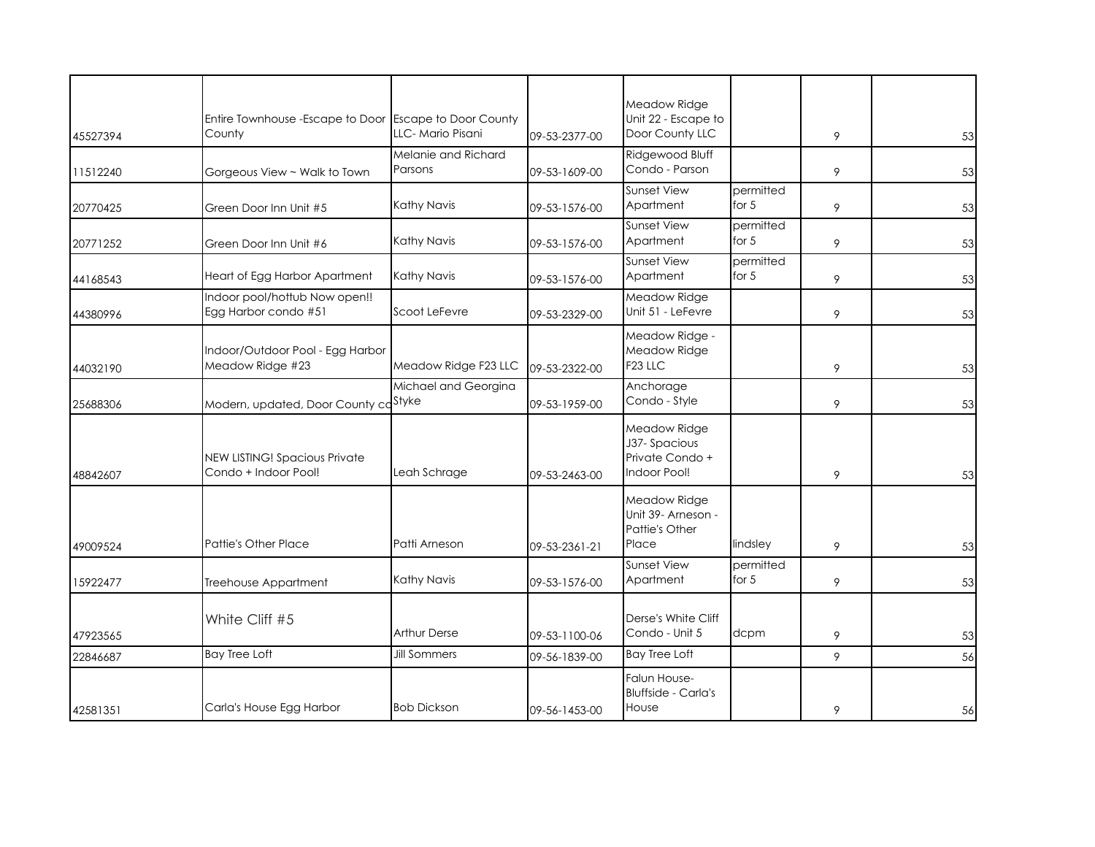| 45527394 | Entire Townhouse - Escape to Door Escape to Door County<br>County | LLC-Mario Pisani               | 09-53-2377-00 | Meadow Ridge<br>Unit 22 - Escape to<br>Door County LLC          |                      | 9 | 53 |
|----------|-------------------------------------------------------------------|--------------------------------|---------------|-----------------------------------------------------------------|----------------------|---|----|
| 11512240 | Gorgeous View ~ Walk to Town                                      | Melanie and Richard<br>Parsons | 09-53-1609-00 | Ridgewood Bluff<br>Condo - Parson                               |                      | 9 | 53 |
| 20770425 | Green Door Inn Unit #5                                            | Kathy Navis                    | 09-53-1576-00 | <b>Sunset View</b><br>Apartment                                 | permitted<br>for $5$ | 9 | 53 |
| 20771252 | Green Door Inn Unit #6                                            | Kathy Navis                    | 09-53-1576-00 | <b>Sunset View</b><br>Apartment                                 | permitted<br>for $5$ | 9 | 53 |
| 44168543 | Heart of Egg Harbor Apartment                                     | Kathy Navis                    | 09-53-1576-00 | <b>Sunset View</b><br>Apartment                                 | permitted<br>for $5$ | 9 | 53 |
| 44380996 | Indoor pool/hottub Now open!!<br>Egg Harbor condo #51             | Scoot LeFevre                  | 09-53-2329-00 | Meadow Ridge<br>Unit 51 - LeFevre                               |                      | 9 | 53 |
| 44032190 | Indoor/Outdoor Pool - Egg Harbor<br>Meadow Ridge #23              | Meadow Ridge F23 LLC           | 09-53-2322-00 | Meadow Ridge -<br>Meadow Ridge<br>F <sub>23</sub> LLC           |                      | 9 | 53 |
| 25688306 | Modern, updated, Door County ca <sup>Styke</sup>                  | Michael and Georgina           | 09-53-1959-00 | Anchorage<br>Condo - Style                                      |                      | 9 | 53 |
| 48842607 | <b>NEW LISTING! Spacious Private</b><br>Condo + Indoor Pool!      | Leah Schrage                   | 09-53-2463-00 | Meadow Ridge<br>J37-Spacious<br>Private Condo +<br>Indoor Pool! |                      | 9 | 53 |
| 49009524 | Pattie's Other Place                                              | Patti Arneson                  | 09-53-2361-21 | Meadow Ridge<br>Unit 39- Arneson -<br>Pattie's Other<br>Place   | lindsley             | 9 | 53 |
| 15922477 | Treehouse Appartment                                              | Kathy Navis                    | 09-53-1576-00 | <b>Sunset View</b><br>Apartment                                 | permitted<br>for $5$ | 9 | 53 |
| 47923565 | White Cliff #5                                                    | <b>Arthur Derse</b>            | 09-53-1100-06 | Derse's White Cliff<br>Condo - Unit 5                           | dcpm                 | 9 | 53 |
| 22846687 | <b>Bay Tree Loft</b>                                              | <b>Jill Sommers</b>            | 09-56-1839-00 | <b>Bay Tree Loft</b>                                            |                      | 9 | 56 |
| 42581351 | Carla's House Egg Harbor                                          | <b>Bob Dickson</b>             | 09-56-1453-00 | Falun House-<br><b>Bluffside - Carla's</b><br>House             |                      | 9 | 56 |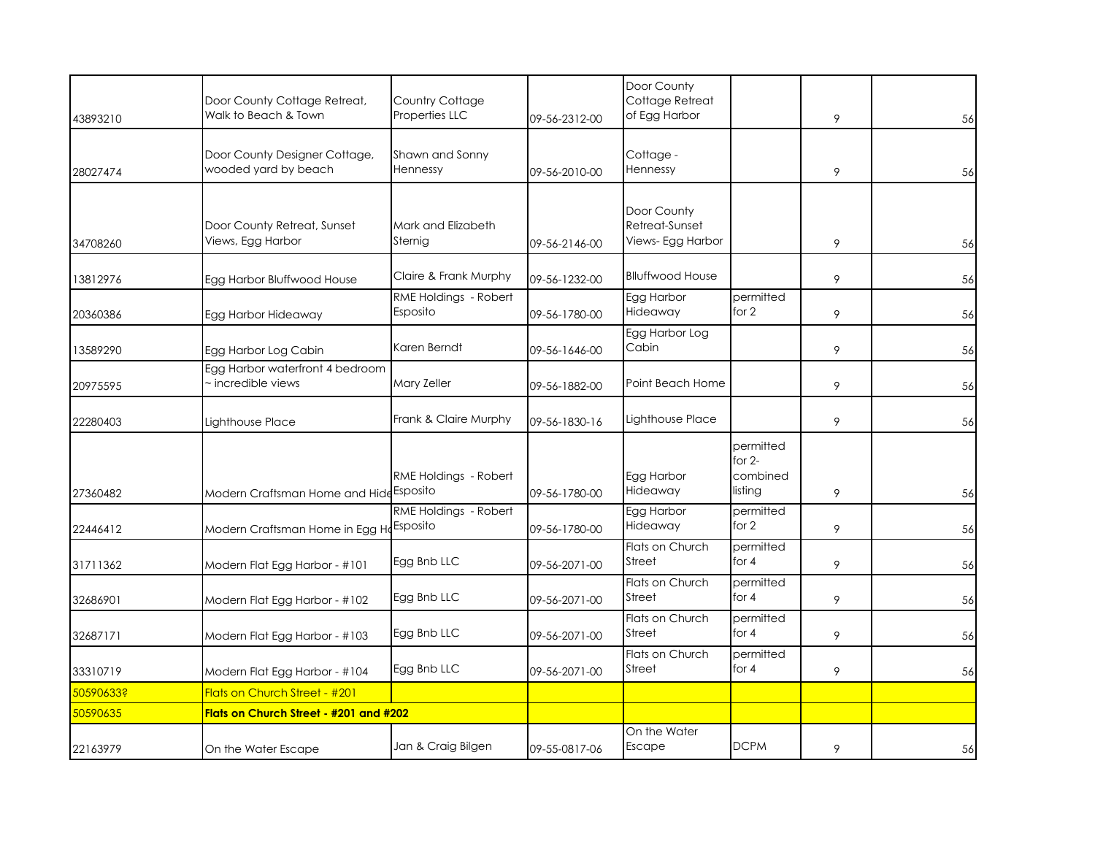| 43893210  | Door County Cottage Retreat,<br>Walk to Beach & Town  | Country Cottage<br>Properties LLC | 09-56-2312-00 | Door County<br>Cottage Retreat<br>of Egg Harbor    |                                              | 9 | 56 |
|-----------|-------------------------------------------------------|-----------------------------------|---------------|----------------------------------------------------|----------------------------------------------|---|----|
| 28027474  | Door County Designer Cottage,<br>wooded yard by beach | Shawn and Sonny<br>Hennessy       | 09-56-2010-00 | Cottage -<br>Hennessy                              |                                              | 9 | 56 |
| 34708260  | Door County Retreat, Sunset<br>Views, Egg Harbor      | Mark and Elizabeth<br>Sternig     | 09-56-2146-00 | Door County<br>Retreat-Sunset<br>Views- Egg Harbor |                                              | 9 | 56 |
| 13812976  | Egg Harbor Bluffwood House                            | Claire & Frank Murphy             | 09-56-1232-00 | <b>Blluffwood House</b>                            |                                              | 9 | 56 |
| 20360386  | Egg Harbor Hideaway                                   | RME Holdings - Robert<br>Esposito | 09-56-1780-00 | Egg Harbor<br>Hideaway                             | permitted<br>for 2                           | 9 | 56 |
| 13589290  | Egg Harbor Log Cabin                                  | Karen Berndt                      | 09-56-1646-00 | Egg Harbor Log<br>Cabin                            |                                              | 9 | 56 |
| 20975595  | Egg Harbor waterfront 4 bedroom<br>incredible views   | Mary Zeller                       | 09-56-1882-00 | Point Beach Home                                   |                                              | 9 | 56 |
| 22280403  | Lighthouse Place                                      | Frank & Claire Murphy             | 09-56-1830-16 | Lighthouse Place                                   |                                              | 9 | 56 |
| 27360482  | Modern Craftsman Home and Hide Esposito               | RME Holdings - Robert             | 09-56-1780-00 | Egg Harbor<br>Hideaway                             | permitted<br>for $2-$<br>combined<br>listing | 9 | 56 |
| 22446412  | Modern Craftsman Home in Egg He Esposito              | RME Holdings - Robert             | 09-56-1780-00 | Egg Harbor<br>Hideaway                             | permitted<br>for 2                           | 9 | 56 |
| 31711362  | Modern Flat Egg Harbor - #101                         | Egg Bnb LLC                       | 09-56-2071-00 | Flats on Church<br>Street                          | permitted<br>for $4$                         | 9 | 56 |
| 32686901  | Modern Flat Egg Harbor - #102                         | Egg Bnb LLC                       | 09-56-2071-00 | Flats on Church<br>Street                          | permitted<br>for $4$                         | 9 | 56 |
| 32687171  | Modern Flat Egg Harbor - #103                         | Egg Bnb LLC                       | 09-56-2071-00 | Flats on Church<br>Street                          | permitted<br>for 4                           | 9 | 56 |
| 33310719  | Modern Flat Egg Harbor - #104                         | Egg Bnb LLC                       | 09-56-2071-00 | Flats on Church<br>Street                          | permitted<br>for $4$                         | 9 | 56 |
| 50590633? | Flats on Church Street - #201                         |                                   |               |                                                    |                                              |   |    |
| 50590635  | Flats on Church Street - #201 and #202                |                                   |               |                                                    |                                              |   |    |
| 22163979  | On the Water Escape                                   | Jan & Craig Bilgen                | 09-55-0817-06 | On the Water<br>Escape                             | <b>DCPM</b>                                  | 9 | 56 |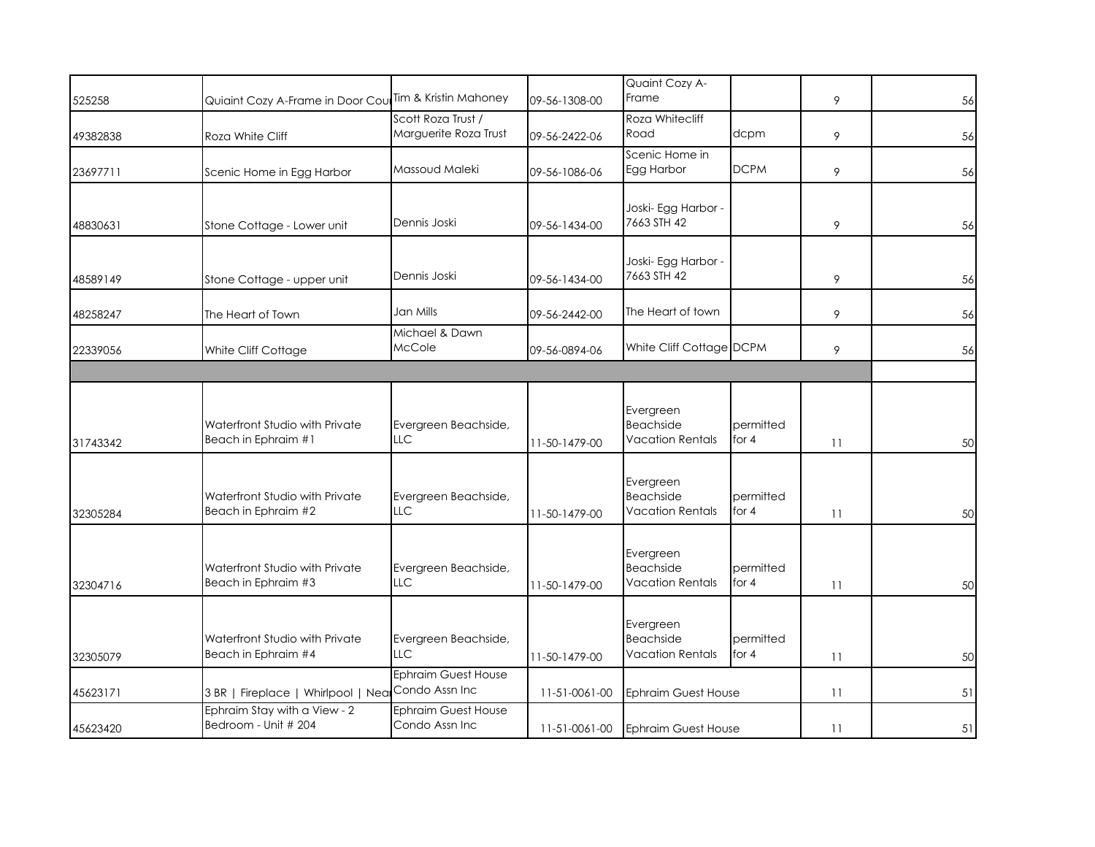| 525258   | Quiaint Cozy A-Frame in Door Cou Tim & Kristin Mahoney |                                              | 09-56-1308-00 | Quaint Cozy A-<br>Frame                                  |                      | 9  | 56 |
|----------|--------------------------------------------------------|----------------------------------------------|---------------|----------------------------------------------------------|----------------------|----|----|
| 49382838 | Roza White Cliff                                       | Scott Roza Trust /<br>Marguerite Roza Trust  | 09-56-2422-06 | Roza Whitecliff<br>Road                                  | dcpm                 | 9  | 56 |
| 23697711 | Scenic Home in Egg Harbor                              | Massoud Maleki                               | 09-56-1086-06 | Scenic Home in<br>Egg Harbor                             | <b>DCPM</b>          | 9  | 56 |
| 48830631 | Stone Cottage - Lower unit                             | Dennis Joski                                 | 09-56-1434-00 | Joski- Egg Harbor -<br>7663 STH 42                       |                      | 9  | 56 |
| 48589149 | Stone Cottage - upper unit                             | Dennis Joski                                 | 09-56-1434-00 | Joski- Egg Harbor -<br>7663 STH 42                       |                      | 9  | 56 |
| 48258247 | The Heart of Town                                      | Jan Mills                                    | 09-56-2442-00 | The Heart of town                                        |                      | 9  | 56 |
| 22339056 | White Cliff Cottage                                    | Michael & Dawn<br>McCole                     | 09-56-0894-06 | White Cliff Cottage DCPM                                 |                      | 9  | 56 |
|          |                                                        |                                              |               |                                                          |                      |    |    |
| 31743342 | Waterfront Studio with Private<br>Beach in Ephraim #1  | Evergreen Beachside,<br>LLC                  | 11-50-1479-00 | Evergreen<br><b>Beachside</b><br><b>Vacation Rentals</b> | permitted<br>for 4   | 11 | 50 |
| 32305284 | Waterfront Studio with Private<br>Beach in Ephraim #2  | Evergreen Beachside,<br>LLC                  | 11-50-1479-00 | Evergreen<br><b>Beachside</b><br><b>Vacation Rentals</b> | permitted<br>for 4   | 11 | 50 |
| 32304716 | Waterfront Studio with Private<br>Beach in Ephraim #3  | Evergreen Beachside,<br>LLC                  | 11-50-1479-00 | Evergreen<br><b>Beachside</b><br><b>Vacation Rentals</b> | permitted<br>for 4   | 11 | 50 |
| 32305079 | Waterfront Studio with Private<br>Beach in Ephraim #4  | Evergreen Beachside,<br>LLC                  | 11-50-1479-00 | Evergreen<br><b>Beachside</b><br><b>Vacation Rentals</b> | permitted<br>for $4$ | 11 | 50 |
| 45623171 | 3 BR   Fireplace   Whirlpool   Near                    | <b>Ephraim Guest House</b><br>Condo Assn Inc | 11-51-0061-00 | <b>Ephraim Guest House</b>                               |                      | 11 | 51 |
| 45623420 | Ephraim Stay with a View - 2<br>Bedroom - Unit # 204   | <b>Ephraim Guest House</b><br>Condo Assn Inc |               | 11-51-0061-00 Ephraim Guest House                        |                      | 11 | 51 |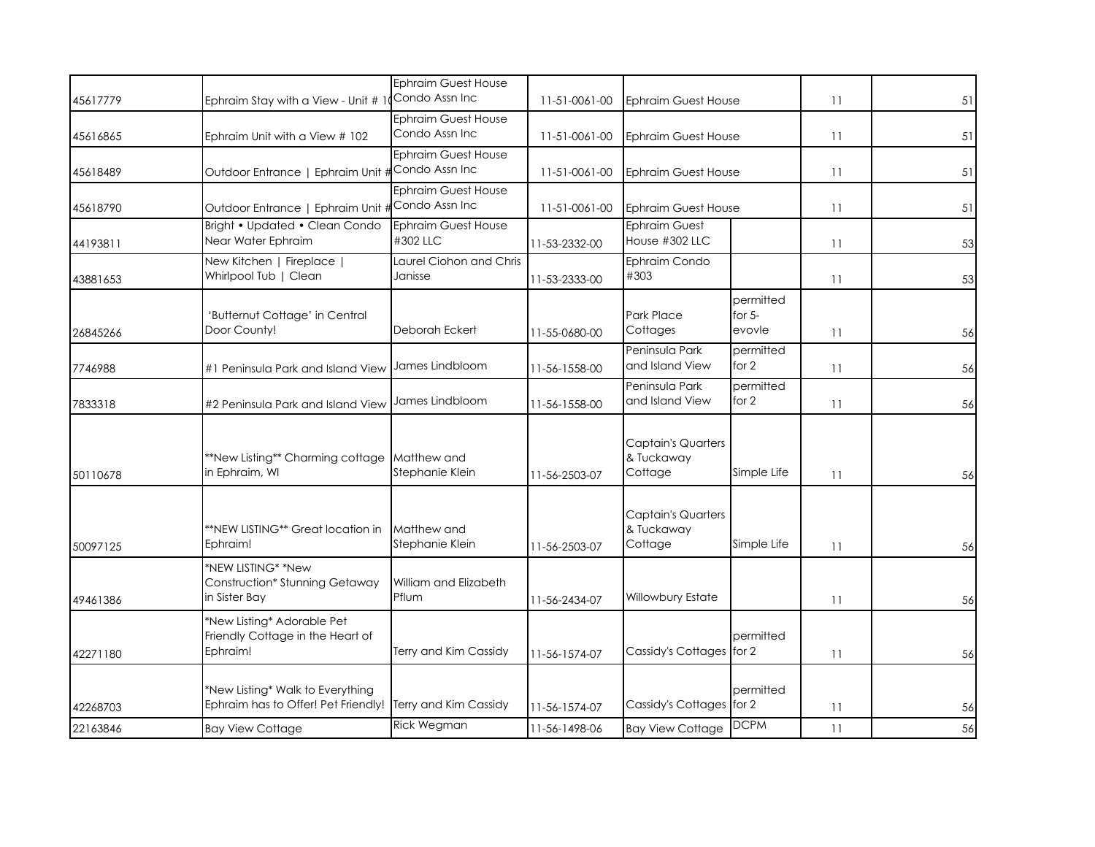| 45617779 | Ephraim Stay with a View - Unit # 1                                                           | <b>Ephraim Guest House</b><br>Condo Assn Inc | 11-51-0061-00 | <b>Ephraim Guest House</b>                         |                                 | 11 | 51 |
|----------|-----------------------------------------------------------------------------------------------|----------------------------------------------|---------------|----------------------------------------------------|---------------------------------|----|----|
| 45616865 | Ephraim Unit with a View # 102                                                                | Ephraim Guest House<br>Condo Assn Inc        | 11-51-0061-00 | <b>Ephraim Guest House</b>                         |                                 | 11 | 51 |
| 45618489 | Outdoor Entrance   Ephraim Unit #                                                             | <b>Ephraim Guest House</b><br>Condo Assn Inc | 11-51-0061-00 | <b>Ephraim Guest House</b>                         |                                 | 11 | 51 |
| 45618790 | Outdoor Entrance   Ephraim Unit #                                                             | Ephraim Guest House<br>Condo Assn Inc        | 11-51-0061-00 | <b>Ephraim Guest House</b>                         |                                 | 11 | 51 |
| 44193811 | Bright • Updated • Clean Condo<br>Near Water Ephraim                                          | <b>Ephraim Guest House</b><br>#302 LLC       | 11-53-2332-00 | <b>Ephraim Guest</b><br>House #302 LLC             |                                 | 11 | 53 |
| 43881653 | New Kitchen   Fireplace  <br>Whirlpool Tub   Clean                                            | Laurel Ciohon and Chris<br>Janisse           | 11-53-2333-00 | Ephraim Condo<br>#303                              |                                 | 11 | 53 |
| 26845266 | 'Butternut Cottage' in Central<br>Door County!                                                | Deborah Eckert                               | 11-55-0680-00 | <b>Park Place</b><br>Cottages                      | permitted<br>for $5-$<br>evovle | 11 | 56 |
| 7746988  | #1 Peninsula Park and Island View                                                             | James Lindbloom                              | 11-56-1558-00 | Peninsula Park<br>and Island View                  | permitted<br>for 2              | 11 | 56 |
| 7833318  | #2 Peninsula Park and Island View                                                             | James Lindbloom                              | 11-56-1558-00 | Peninsula Park<br>and Island View                  | permitted<br>for 2              | 11 | 56 |
| 50110678 | **New Listing** Charming cottage<br>in Ephraim, WI                                            | Matthew and<br>Stephanie Klein               | 11-56-2503-07 | <b>Captain's Quarters</b><br>& Tuckaway<br>Cottage | Simple Life                     | 11 | 56 |
| 50097125 | **NEW LISTING** Great location in<br>Ephraim!                                                 | Matthew and<br>Stephanie Klein               | 11-56-2503-07 | <b>Captain's Quarters</b><br>& Tuckaway<br>Cottage | Simple Life                     | 11 | 56 |
| 49461386 | *NEW LISTING* *New<br><b>Construction* Stunning Getaway</b><br>in Sister Bay                  | William and Elizabeth<br>Pflum               | 11-56-2434-07 | <b>Willowbury Estate</b>                           |                                 | 11 | 56 |
| 42271180 | *New Listing* Adorable Pet<br>Friendly Cottage in the Heart of<br>Ephraim!                    | Terry and Kim Cassidy                        | 11-56-1574-07 | Cassidy's Cottages for 2                           | permitted                       | 11 | 56 |
| 42268703 | *New Listing* Walk to Everything<br>Ephraim has to Offer! Pet Friendly! Terry and Kim Cassidy |                                              | 11-56-1574-07 | Cassidy's Cottages for 2                           | permitted                       | 11 | 56 |
| 22163846 | <b>Bay View Cottage</b>                                                                       | Rick Wegman                                  | 11-56-1498-06 | <b>Bay View Cottage</b>                            | <b>DCPM</b>                     | 11 | 56 |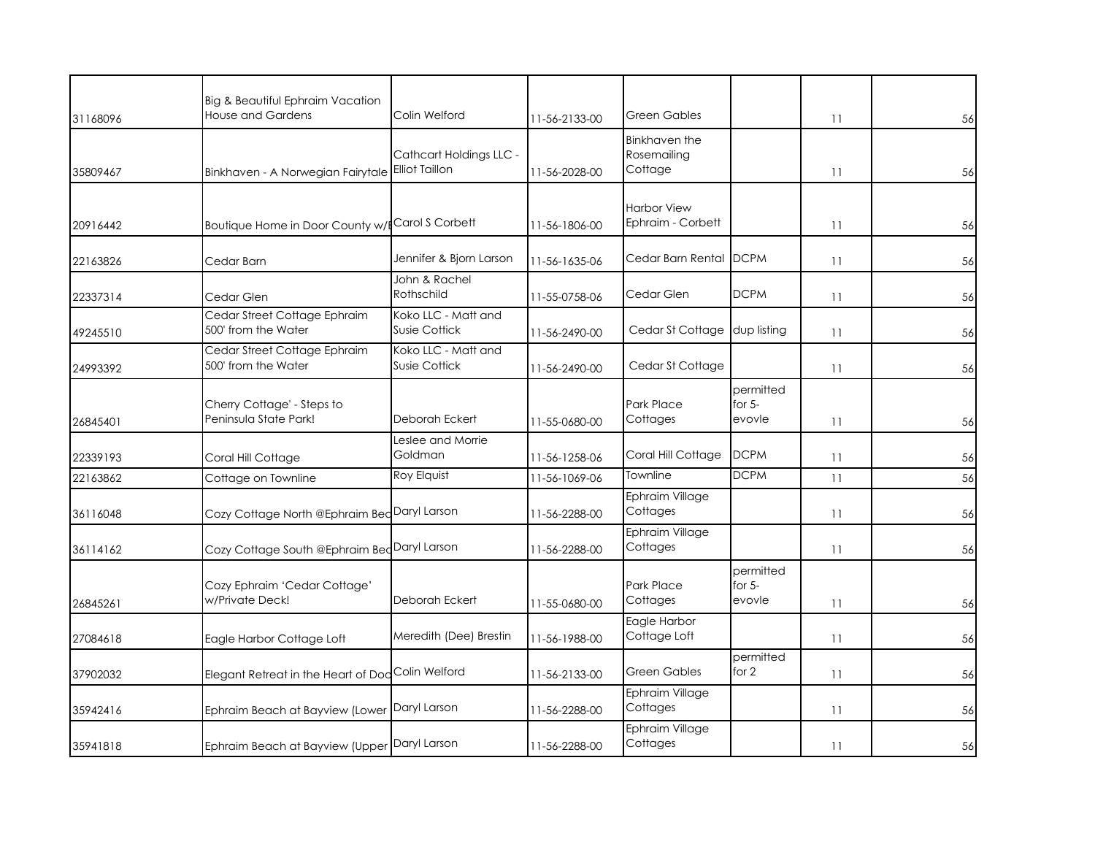| 31168096 | Big & Beautiful Ephraim Vacation<br><b>House and Gardens</b> | Colin Welford                                    | 11-56-2133-00 | <b>Green Gables</b>                     |                                 | 11 | 56 |
|----------|--------------------------------------------------------------|--------------------------------------------------|---------------|-----------------------------------------|---------------------------------|----|----|
| 35809467 | Binkhaven - A Norwegian Fairytale                            | Cathcart Holdings LLC -<br><b>Elliot Taillon</b> | 11-56-2028-00 | Binkhaven the<br>Rosemailing<br>Cottage |                                 | 11 | 56 |
| 20916442 | Boutique Home in Door County w/                              | Carol S Corbett                                  | 11-56-1806-00 | <b>Harbor View</b><br>Ephraim - Corbett |                                 | 11 | 56 |
| 22163826 | Cedar Barn                                                   | Jennifer & Bjorn Larson                          | 11-56-1635-06 | Cedar Barn Rental                       | <b>IDCPM</b>                    | 11 | 56 |
| 22337314 | Cedar Glen                                                   | John & Rachel<br>Rothschild                      | 11-55-0758-06 | Cedar Glen                              | <b>DCPM</b>                     | 11 | 56 |
| 49245510 | Cedar Street Cottage Ephraim<br>500' from the Water          | Koko LLC - Matt and<br><b>Susie Cottick</b>      | 11-56-2490-00 | Cedar St Cottage                        | dup listing                     | 11 | 56 |
| 24993392 | Cedar Street Cottage Ephraim<br>500' from the Water          | Koko LLC - Matt and<br>Susie Cottick             | 11-56-2490-00 | Cedar St Cottage                        |                                 | 11 | 56 |
| 26845401 | Cherry Cottage' - Steps to<br>Peninsula State Park!          | Deborah Eckert                                   | 11-55-0680-00 | Park Place<br>Cottages                  | permitted<br>for $5-$<br>evovle | 11 | 56 |
| 22339193 | Coral Hill Cottage                                           | Leslee and Morrie<br>Goldman                     | 11-56-1258-06 | Coral Hill Cottage                      | <b>DCPM</b>                     | 11 | 56 |
| 22163862 | Cottage on Townline                                          | Roy Elquist                                      | 11-56-1069-06 | Townline                                | <b>DCPM</b>                     | 11 | 56 |
| 36116048 | Cozy Cottage North @Ephraim Bed Daryl Larson                 |                                                  | 11-56-2288-00 | Ephraim Village<br>Cottages             |                                 | 11 | 56 |
| 36114162 | Cozy Cottage South @Ephraim BedDaryl Larson                  |                                                  | 11-56-2288-00 | Ephraim Village<br>Cottages             |                                 | 11 | 56 |
| 26845261 | Cozy Ephraim 'Cedar Cottage'<br>w/Private Deck!              | Deborah Eckert                                   | 11-55-0680-00 | <b>Park Place</b><br>Cottages           | permitted<br>for $5-$<br>evovle | 11 | 56 |
| 27084618 | Eagle Harbor Cottage Loft                                    | Meredith (Dee) Brestin                           | 11-56-1988-00 | Eagle Harbor<br>Cottage Loft            |                                 | 11 | 56 |
| 37902032 | Elegant Retreat in the Heart of Dod Colin Welford            |                                                  | 11-56-2133-00 | <b>Green Gables</b>                     | permitted<br>for 2              | 11 | 56 |
| 35942416 | Ephraim Beach at Bayview (Lower                              | Daryl Larson                                     | 11-56-2288-00 | Ephraim Village<br>Cottages             |                                 | 11 | 56 |
| 35941818 | Ephraim Beach at Bayview (Upper <mark>Daryl Larson</mark>    |                                                  | 11-56-2288-00 | Ephraim Village<br>Cottages             |                                 | 11 | 56 |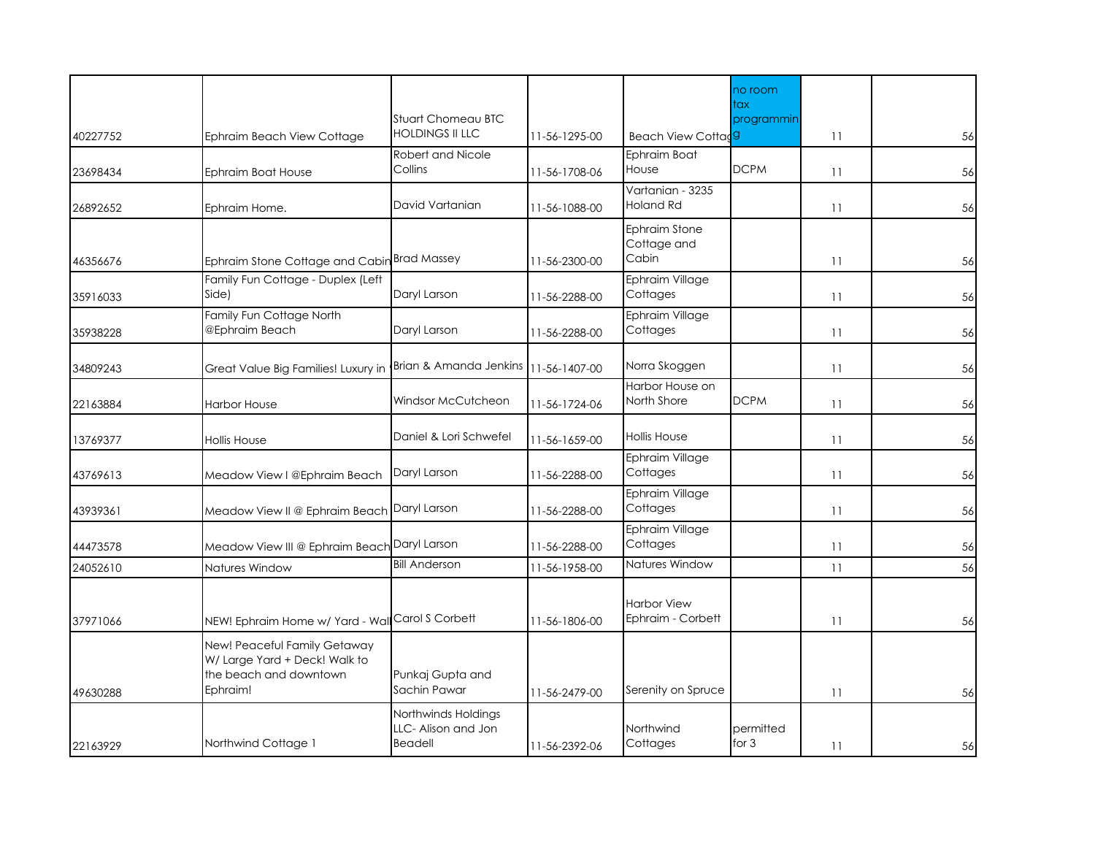|          |                                                                                                     | Stuart Chomeau BTC                                    |               |                                         | no room<br>tax<br>programmin |    |    |
|----------|-----------------------------------------------------------------------------------------------------|-------------------------------------------------------|---------------|-----------------------------------------|------------------------------|----|----|
| 40227752 | Ephraim Beach View Cottage                                                                          | <b>HOLDINGS II LLC</b>                                | 11-56-1295-00 | Beach View Cottad <sub>9</sub>          |                              | 11 | 56 |
| 23698434 | Ephraim Boat House                                                                                  | Robert and Nicole<br>Collins                          | 11-56-1708-06 | Ephraim Boat<br>House                   | <b>DCPM</b>                  | 11 | 56 |
| 26892652 | Ephraim Home.                                                                                       | David Vartanian                                       | 11-56-1088-00 | Vartanian - 3235<br><b>Holand Rd</b>    |                              | 11 | 56 |
| 46356676 | Ephraim Stone Cottage and Cabin Brad Massey                                                         |                                                       | 11-56-2300-00 | Ephraim Stone<br>Cottage and<br>Cabin   |                              | 11 | 56 |
| 35916033 | Family Fun Cottage - Duplex (Left<br>Side)                                                          | Daryl Larson                                          | 11-56-2288-00 | Ephraim Village<br>Cottages             |                              | 11 | 56 |
| 35938228 | Family Fun Cottage North<br>@Ephraim Beach                                                          | Daryl Larson                                          | 11-56-2288-00 | Ephraim Village<br>Cottages             |                              | 11 | 56 |
| 34809243 | Great Value Big Families! Luxury in                                                                 | Brian & Amanda Jenkins                                | 11-56-1407-00 | Norra Skoggen                           |                              | 11 | 56 |
| 22163884 | <b>Harbor House</b>                                                                                 | Windsor McCutcheon                                    | 11-56-1724-06 | Harbor House on<br>North Shore          | <b>DCPM</b>                  | 11 | 56 |
| 13769377 | <b>Hollis House</b>                                                                                 | Daniel & Lori Schwefel                                | 11-56-1659-00 | <b>Hollis House</b>                     |                              | 11 | 56 |
| 43769613 | Meadow View I @Ephraim Beach                                                                        | Daryl Larson                                          | 11-56-2288-00 | Ephraim Village<br>Cottages             |                              | 11 | 56 |
| 43939361 | Meadow View II @ Ephraim Beach Daryl Larson                                                         |                                                       | 11-56-2288-00 | Ephraim Village<br>Cottages             |                              | 11 | 56 |
| 44473578 | Meadow View III @ Ephraim Beach Daryl Larson                                                        |                                                       | 11-56-2288-00 | Ephraim Village<br>Cottages             |                              | 11 | 56 |
| 24052610 | Natures Window                                                                                      | <b>Bill Anderson</b>                                  | 11-56-1958-00 | Natures Window                          |                              | 11 | 56 |
| 37971066 | NEW! Ephraim Home w/ Yard - Wall Carol S Corbett                                                    |                                                       | 11-56-1806-00 | <b>Harbor View</b><br>Ephraim - Corbett |                              | 11 | 56 |
| 49630288 | New! Peaceful Family Getaway<br>W/ Large Yard + Deck! Walk to<br>the beach and downtown<br>Ephraim! | Punkaj Gupta and<br>Sachin Pawar                      | 11-56-2479-00 | Serenity on Spruce                      |                              | 11 | 56 |
| 22163929 | Northwind Cottage 1                                                                                 | Northwinds Holdings<br>LLC- Alison and Jon<br>Beadell | 11-56-2392-06 | Northwind<br>Cottages                   | permitted<br>for $3$         | 11 | 56 |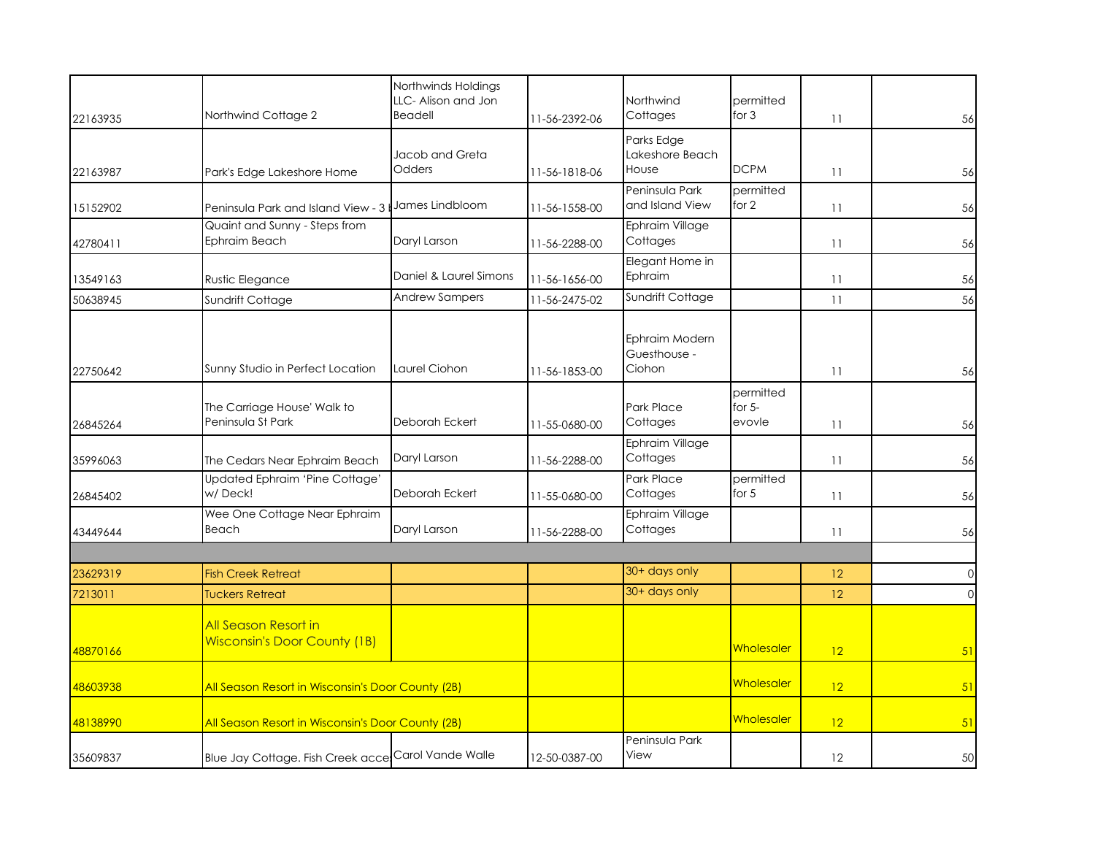|                     |                                                     | Northwinds Holdings<br>LLC- Alison and Jon |               | Northwind                                | permitted                       |          |                            |
|---------------------|-----------------------------------------------------|--------------------------------------------|---------------|------------------------------------------|---------------------------------|----------|----------------------------|
| 22163935            | Northwind Cottage 2                                 | Beadell                                    | 11-56-2392-06 | Cottages                                 | for $3$                         | 11       | 56                         |
| 22163987            | Park's Edge Lakeshore Home                          | Jacob and Greta<br>Odders                  | 11-56-1818-06 | Parks Edge<br>Lakeshore Beach<br>House   | <b>DCPM</b>                     | 11       | 56                         |
| 15152902            | Peninsula Park and Island View - 3                  | James Lindbloom                            | 11-56-1558-00 | Peninsula Park<br>and Island View        | permitted<br>for 2              | 11       | 56                         |
| 42780411            | Quaint and Sunny - Steps from<br>Ephraim Beach      | Daryl Larson                               | 11-56-2288-00 | Ephraim Village<br>Cottages              |                                 | 11       | 56                         |
| 13549163            | Rustic Elegance                                     | Daniel & Laurel Simons                     | 11-56-1656-00 | Elegant Home in<br>Ephraim               |                                 | 11       | 56                         |
| 50638945            | Sundrift Cottage                                    | <b>Andrew Sampers</b>                      | 11-56-2475-02 | Sundrift Cottage                         |                                 | 11       | 56                         |
| 22750642            | Sunny Studio in Perfect Location                    | Laurel Ciohon                              | 11-56-1853-00 | Ephraim Modern<br>Guesthouse -<br>Ciohon |                                 | 11       | 56                         |
| 26845264            | The Carriage House' Walk to<br>Peninsula St Park    | Deborah Eckert                             | 11-55-0680-00 | <b>Park Place</b><br>Cottages            | permitted<br>for $5-$<br>evovle | 11       | 56                         |
| 35996063            | The Cedars Near Ephraim Beach                       | Daryl Larson                               | 11-56-2288-00 | Ephraim Village<br>Cottages              |                                 | 11       | 56                         |
| 26845402            | Updated Ephraim 'Pine Cottage'<br>w/Deck!           | Deborah Eckert                             | 11-55-0680-00 | Park Place<br>Cottages                   | permitted<br>for $5$            | 11       | 56                         |
| 43449644            | Wee One Cottage Near Ephraim<br>Beach               | Daryl Larson                               | 11-56-2288-00 | Ephraim Village<br>Cottages              |                                 | 11       | 56                         |
|                     |                                                     |                                            |               | 30+ days only                            |                                 |          |                            |
| 23629319<br>7213011 | <b>Fish Creek Retreat</b><br><b>Tuckers Retreat</b> |                                            |               | 30+ days only                            |                                 | 12<br>12 | $\overline{0}$<br>$\Omega$ |
|                     | All Season Resort in                                |                                            |               |                                          |                                 |          |                            |
| 48870166            | <b>Wisconsin's Door County (1B)</b>                 |                                            |               |                                          | Wholesaler                      | 12       | 51                         |
| 48603938            | All Season Resort in Wisconsin's Door County (2B)   |                                            |               |                                          | Wholesaler                      | 12       | 51                         |
| 48138990            | All Season Resort in Wisconsin's Door County (2B)   |                                            |               |                                          | Wholesaler                      | 12       | 51                         |
| 35609837            | Blue Jay Cottage. Fish Creek acce Carol Vande Walle |                                            | 12-50-0387-00 | Peninsula Park<br>View                   |                                 | 12       | 50                         |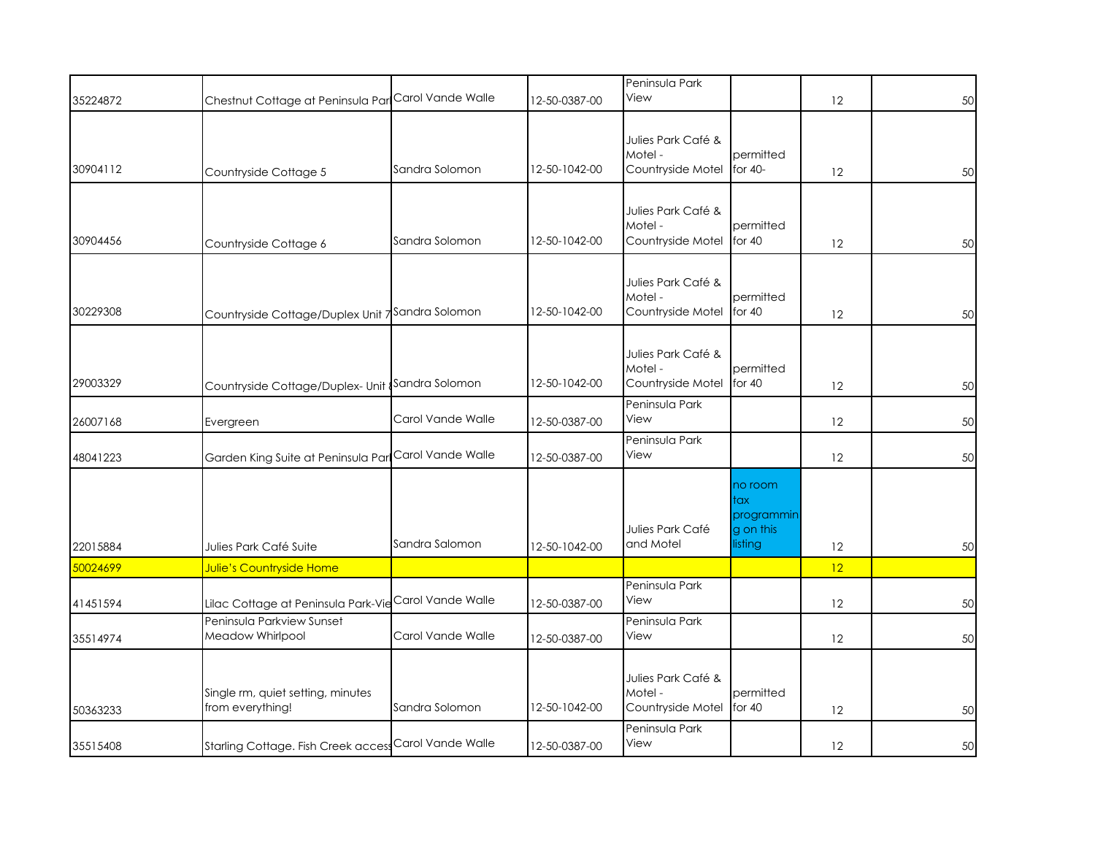|          |                                                       |                   |               | Peninsula Park<br>View                             |                                                      |    |    |
|----------|-------------------------------------------------------|-------------------|---------------|----------------------------------------------------|------------------------------------------------------|----|----|
| 35224872 | Chestnut Cottage at Peninsula Par                     | Carol Vande Walle | 12-50-0387-00 |                                                    |                                                      | 12 | 50 |
| 30904112 | Countryside Cottage 5                                 | Sandra Solomon    | 12-50-1042-00 | Julies Park Café &<br>Motel -<br>Countryside Motel | permitted<br>for 40-                                 | 12 | 50 |
| 30904456 | Countryside Cottage 6                                 | Sandra Solomon    | 12-50-1042-00 | Julies Park Café &<br>Motel -<br>Countryside Motel | permitted<br>for 40                                  | 12 | 50 |
| 30229308 | Countryside Cottage/Duplex Unit 7 Sandra Solomon      |                   | 12-50-1042-00 | Julies Park Café &<br>Motel -<br>Countryside Motel | permitted<br>for 40                                  | 12 | 50 |
| 29003329 | Countryside Cottage/Duplex- Unit Sandra Solomon       |                   | 12-50-1042-00 | Julies Park Café &<br>Motel -<br>Countryside Motel | permitted<br>for 40                                  | 12 | 50 |
| 26007168 | Evergreen                                             | Carol Vande Walle | 12-50-0387-00 | Peninsula Park<br>View                             |                                                      | 12 | 50 |
| 48041223 | Garden King Suite at Peninsula Parl Carol Vande Walle |                   | 12-50-0387-00 | Peninsula Park<br>View                             |                                                      | 12 | 50 |
| 22015884 | Julies Park Café Suite                                | Sandra Salomon    | 12-50-1042-00 | Julies Park Café<br>and Motel                      | no room<br>tax<br>programmin<br>g on this<br>listing | 12 | 50 |
| 50024699 | Julie's Countryside Home                              |                   |               |                                                    |                                                      | 12 |    |
| 41451594 | Lilac Cottage at Peninsula Park-VieCarol Vande Walle  |                   | 12-50-0387-00 | Peninsula Park<br>View                             |                                                      | 12 | 50 |
| 35514974 | Peninsula Parkview Sunset<br>Meadow Whirlpool         | Carol Vande Walle | 12-50-0387-00 | Peninsula Park<br>View                             |                                                      | 12 | 50 |
| 50363233 | Single rm, quiet setting, minutes<br>from everything! | Sandra Solomon    | 12-50-1042-00 | Julies Park Café &<br>Motel -<br>Countryside Motel | permitted<br>for $40$                                | 12 | 50 |
| 35515408 | Starling Cottage. Fish Creek access Carol Vande Walle |                   | 12-50-0387-00 | Peninsula Park<br>View                             |                                                      | 12 | 50 |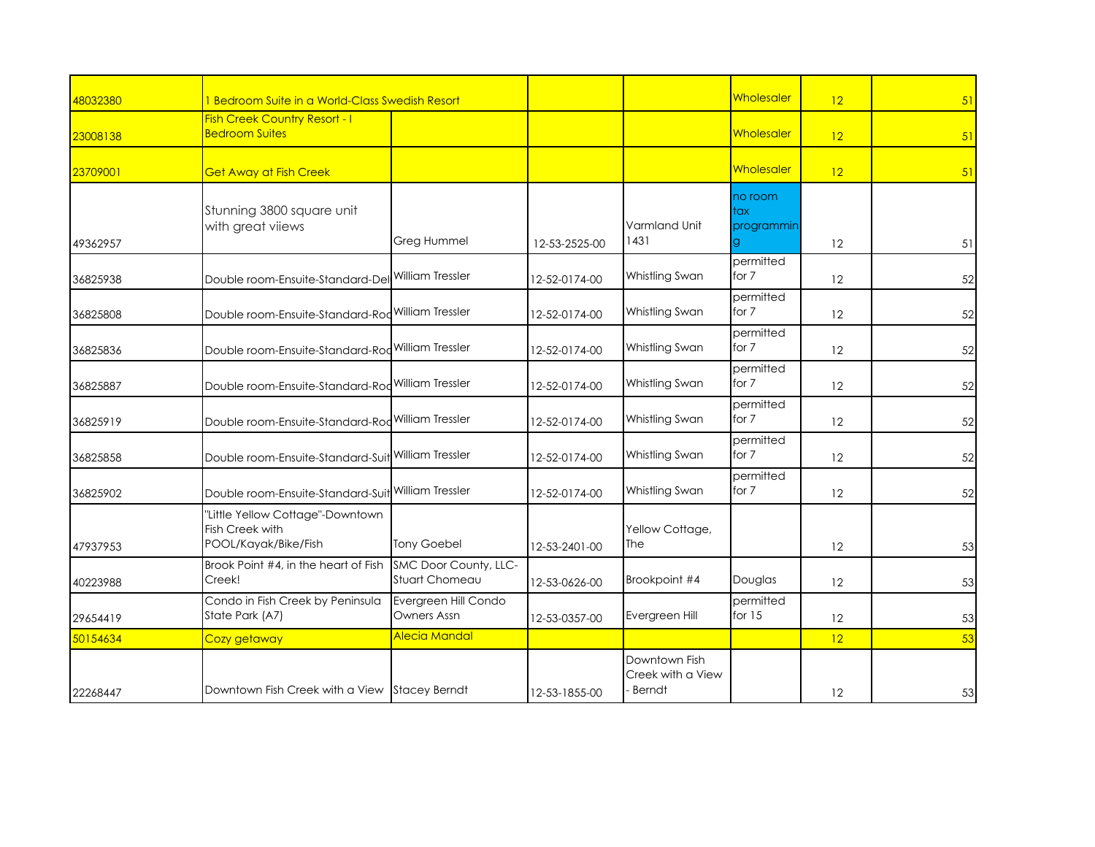| 48032380 | 1 Bedroom Suite in a World-Class Swedish Resort                             |                                         |               |                                              | Wholesaler                         | 12 | 51 |
|----------|-----------------------------------------------------------------------------|-----------------------------------------|---------------|----------------------------------------------|------------------------------------|----|----|
| 23008138 | <b>Fish Creek Country Resort - I</b><br><b>Bedroom Suites</b>               |                                         |               |                                              | Wholesaler                         | 12 | 51 |
| 23709001 | <b>Get Away at Fish Creek</b>                                               |                                         |               |                                              | Wholesaler                         | 12 | 51 |
| 49362957 | Stunning 3800 square unit<br>with great viiews                              | Greg Hummel                             | 12-53-2525-00 | Varmland Unit<br>1431                        | no room<br>tax<br>programmin<br>g. | 12 | 51 |
| 36825938 | Double room-Ensuite-Standard-Del William Tressler                           |                                         | 12-52-0174-00 | Whistling Swan                               | permitted<br>for 7                 | 12 | 52 |
| 36825808 | Double room-Ensuite-Standard-Rod                                            | <b>William Tressler</b>                 | 12-52-0174-00 | Whistling Swan                               | permitted<br>for 7                 | 12 | 52 |
| 36825836 | Double room-Ensuite-Standard-Rod William Tressler                           |                                         | 12-52-0174-00 | Whistling Swan                               | permitted<br>for 7                 | 12 | 52 |
| 36825887 | Double room-Ensuite-Standard-Rod William Tressler                           |                                         | 12-52-0174-00 | Whistling Swan                               | permitted<br>for 7                 | 12 | 52 |
| 36825919 | Double room-Ensuite-Standard-Rod William Tressler                           |                                         | 12-52-0174-00 | Whistling Swan                               | permitted<br>for 7                 | 12 | 52 |
| 36825858 | Double room-Ensuite-Standard-Suit William Tressler                          |                                         | 12-52-0174-00 | Whistling Swan                               | permitted<br>for 7                 | 12 | 52 |
| 36825902 | Double room-Ensuite-Standard-Suit William Tressler                          |                                         | 12-52-0174-00 | Whistling Swan                               | permitted<br>for 7                 | 12 | 52 |
| 47937953 | "Little Yellow Cottage"-Downtown<br>Fish Creek with<br>POOL/Kayak/Bike/Fish | <b>Tony Goebel</b>                      | 12-53-2401-00 | Yellow Cottage,<br>The                       |                                    | 12 | 53 |
| 40223988 | Brook Point #4, in the heart of Fish<br>Creek!                              | SMC Door County, LLC-<br>Stuart Chomeau | 12-53-0626-00 | Brookpoint #4                                | Douglas                            | 12 | 53 |
| 29654419 | Condo in Fish Creek by Peninsula<br>State Park (A7)                         | Evergreen Hill Condo<br>Owners Assn     | 12-53-0357-00 | Evergreen Hill                               | permitted<br>for $15$              | 12 | 53 |
| 50154634 | Cozy getaway                                                                | Alecia Mandal                           |               |                                              |                                    | 12 | 53 |
| 22268447 | Downtown Fish Creek with a View Stacey Berndt                               |                                         | 12-53-1855-00 | Downtown Fish<br>Creek with a View<br>Berndt |                                    | 12 | 53 |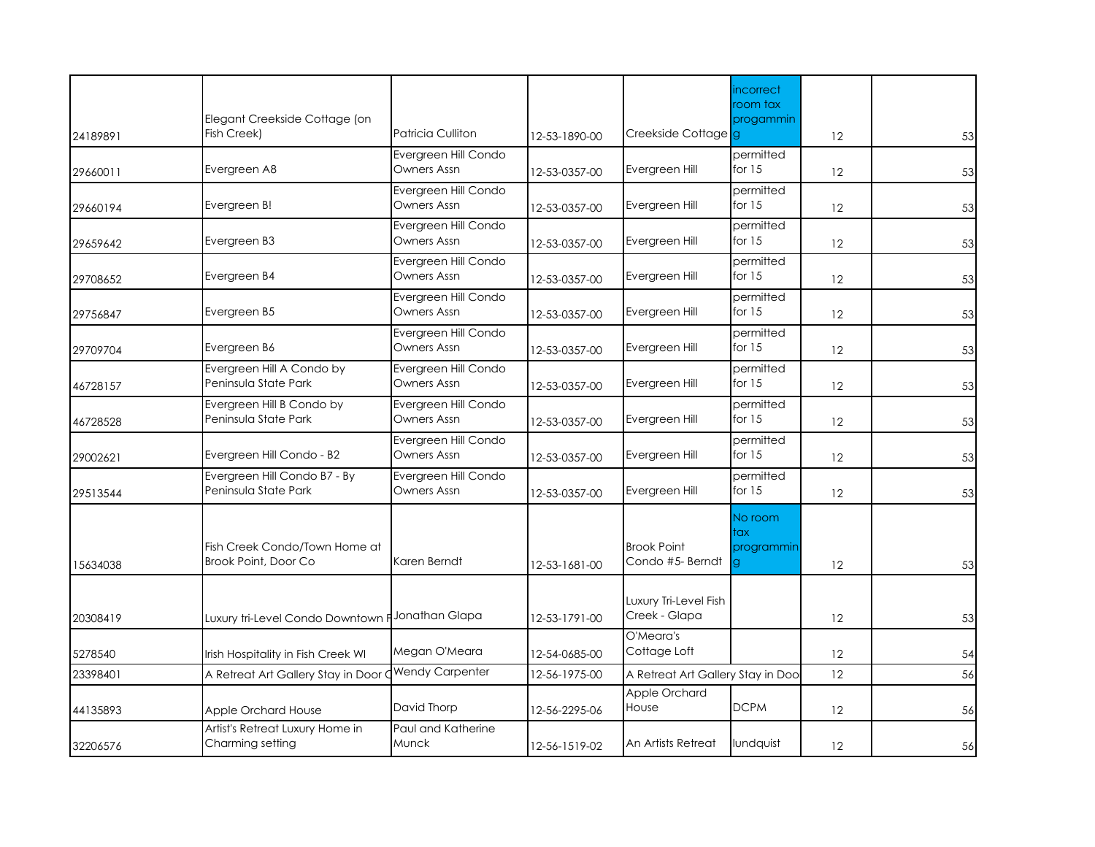| 24189891 | Elegant Creekside Cottage (on<br>Fish Creek)          | <b>Patricia Culliton</b>            | 12-53-1890-00 | Creekside Cottage g                    | <i>incorrect</i><br>room tax<br>progammin | 12 | 53 |
|----------|-------------------------------------------------------|-------------------------------------|---------------|----------------------------------------|-------------------------------------------|----|----|
| 29660011 | Evergreen A8                                          | Evergreen Hill Condo<br>Owners Assn | 12-53-0357-00 | Evergreen Hill                         | permitted<br>for $15$                     | 12 | 53 |
| 29660194 | Evergreen B!                                          | Evergreen Hill Condo<br>Owners Assn | 12-53-0357-00 | Evergreen Hill                         | permitted<br>for $15$                     | 12 | 53 |
| 29659642 | Evergreen B3                                          | Evergreen Hill Condo<br>Owners Assn | 12-53-0357-00 | Evergreen Hill                         | permitted<br>for $15$                     | 12 | 53 |
| 29708652 | Evergreen B4                                          | Evergreen Hill Condo<br>Owners Assn | 12-53-0357-00 | Evergreen Hill                         | permitted<br>for $15$                     | 12 | 53 |
| 29756847 | Evergreen B5                                          | Evergreen Hill Condo<br>Owners Assn | 12-53-0357-00 | Evergreen Hill                         | permitted<br>for $15$                     | 12 | 53 |
| 29709704 | Evergreen B6                                          | Evergreen Hill Condo<br>Owners Assn | 12-53-0357-00 | Evergreen Hill                         | permitted<br>for $15$                     | 12 | 53 |
| 46728157 | Evergreen Hill A Condo by<br>Peninsula State Park     | Evergreen Hill Condo<br>Owners Assn | 12-53-0357-00 | Evergreen Hill                         | permitted<br>for $15$                     | 12 | 53 |
| 46728528 | Evergreen Hill B Condo by<br>Peninsula State Park     | Evergreen Hill Condo<br>Owners Assn | 12-53-0357-00 | Evergreen Hill                         | permitted<br>for $15$                     | 12 | 53 |
| 29002621 | Evergreen Hill Condo - B2                             | Evergreen Hill Condo<br>Owners Assn | 12-53-0357-00 | Evergreen Hill                         | permitted<br>for $15$                     | 12 | 53 |
| 29513544 | Evergreen Hill Condo B7 - By<br>Peninsula State Park  | Evergreen Hill Condo<br>Owners Assn | 12-53-0357-00 | Evergreen Hill                         | permitted<br>for $15$                     | 12 | 53 |
| 15634038 | Fish Creek Condo/Town Home at<br>Brook Point, Door Co | Karen Berndt                        | 12-53-1681-00 | <b>Brook Point</b><br>Condo #5- Berndt | No room<br>tax<br>programmin              | 12 | 53 |
| 20308419 | Luxury tri-Level Condo Downtown F                     | Jonathan Glapa                      | 12-53-1791-00 | Luxury Tri-Level Fish<br>Creek - Glapa |                                           | 12 | 53 |
| 5278540  | Irish Hospitality in Fish Creek WI                    | Megan O'Meara                       | 12-54-0685-00 | O'Meara's<br>Cottage Loft              |                                           | 12 | 54 |
| 23398401 | A Retreat Art Gallery Stay in Door                    | <b>Wendy Carpenter</b>              | 12-56-1975-00 | A Retreat Art Gallery Stay in Doo      |                                           | 12 | 56 |
| 44135893 | Apple Orchard House                                   | David Thorp                         | 12-56-2295-06 | Apple Orchard<br>House                 | <b>DCPM</b>                               | 12 | 56 |
| 32206576 | Artist's Retreat Luxury Home in<br>Charming setting   | Paul and Katherine<br>Munck         | 12-56-1519-02 | An Artists Retreat                     | lundquist                                 | 12 | 56 |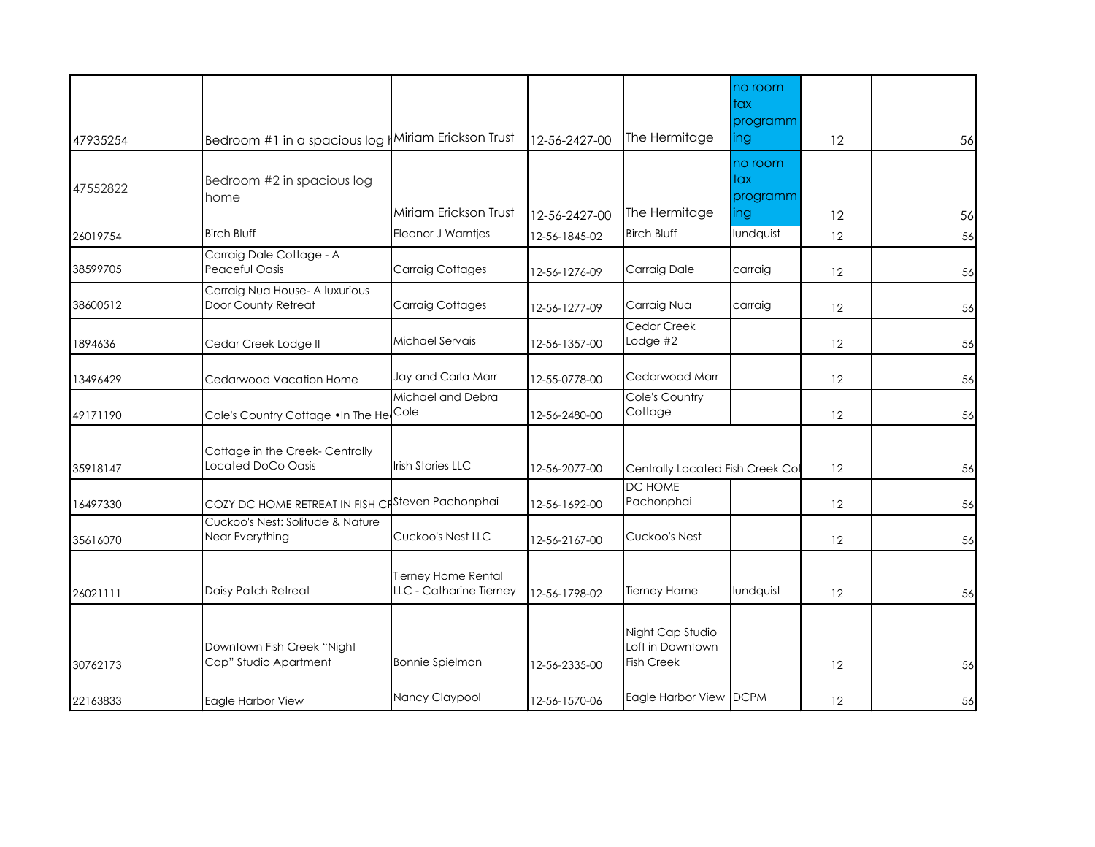|          |                                                       |                                                |               |                                                           | no room<br>tax<br>programm         |                   |    |
|----------|-------------------------------------------------------|------------------------------------------------|---------------|-----------------------------------------------------------|------------------------------------|-------------------|----|
| 47935254 | Bedroom #1 in a spacious log    Miriam Erickson Trust |                                                | 12-56-2427-00 | The Hermitage                                             | ing                                | 12                | 56 |
| 47552822 | Bedroom #2 in spacious log<br>home                    | Miriam Erickson Trust                          | 12-56-2427-00 | The Hermitage                                             | no room<br>tax<br>programm<br>ling | 12                | 56 |
| 26019754 | <b>Birch Bluff</b>                                    | <b>Eleanor J Warntjes</b>                      | 12-56-1845-02 | <b>Birch Bluff</b>                                        | lundquist                          | 12                | 56 |
|          |                                                       |                                                |               |                                                           |                                    |                   |    |
| 38599705 | Carraig Dale Cottage - A<br>Peaceful Oasis            | Carraig Cottages                               | 12-56-1276-09 | Carraig Dale                                              | carraig                            | 12                | 56 |
| 38600512 | Carraig Nua House- A luxurious<br>Door County Retreat | Carraig Cottages                               | 12-56-1277-09 | Carraig Nua                                               | carraig                            | $12 \overline{ }$ | 56 |
| 1894636  | Cedar Creek Lodge II                                  | Michael Servais                                | 12-56-1357-00 | Cedar Creek<br>Lodge $#2$                                 |                                    | 12                | 56 |
| 13496429 | Cedarwood Vacation Home                               | Jay and Carla Marr                             | 12-55-0778-00 | Cedarwood Marr                                            |                                    | $12 \overline{ }$ | 56 |
| 49171190 | Cole's Country Cottage . In The He                    | Michael and Debra<br>Cole                      | 12-56-2480-00 | Cole's Country<br>Cottage                                 |                                    | 12                | 56 |
| 35918147 | Cottage in the Creek- Centrally<br>Located DoCo Oasis | Irish Stories LLC                              | 12-56-2077-00 | Centrally Located Fish Creek Cot                          |                                    | 12                | 56 |
| 16497330 | COZY DC HOME RETREAT IN FISH C                        | Steven Pachonphai                              | 12-56-1692-00 | DC HOME<br>Pachonphai                                     |                                    | 12                | 56 |
| 35616070 | Cuckoo's Nest: Solitude & Nature<br>Near Everything   | Cuckoo's Nest LLC                              | 12-56-2167-00 | Cuckoo's Nest                                             |                                    | 12                | 56 |
| 26021111 | <b>Daisy Patch Retreat</b>                            | Tierney Home Rental<br>LLC - Catharine Tierney | 12-56-1798-02 | <b>Tierney Home</b>                                       | lundquist                          | 12                | 56 |
| 30762173 | Downtown Fish Creek "Night<br>Cap" Studio Apartment   | <b>Bonnie Spielman</b>                         | 12-56-2335-00 | Night Cap Studio<br>Loft in Downtown<br><b>Fish Creek</b> |                                    | 12                | 56 |
| 22163833 | Eagle Harbor View                                     | Nancy Claypool                                 | 12-56-1570-06 | Eagle Harbor View DCPM                                    |                                    | 12                | 56 |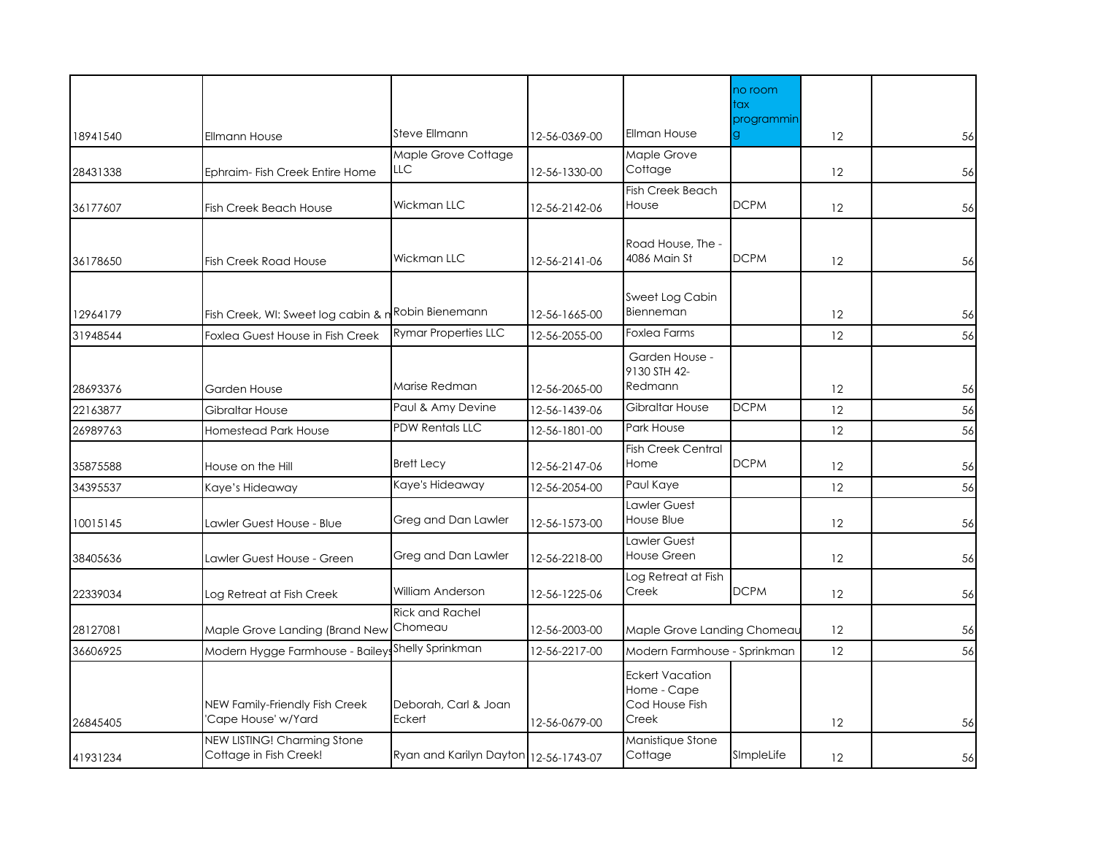|          |                                                       |                                       |               |                                                                  | no room           |    |    |
|----------|-------------------------------------------------------|---------------------------------------|---------------|------------------------------------------------------------------|-------------------|----|----|
|          |                                                       |                                       |               |                                                                  | tax<br>programmin |    |    |
| 18941540 | <b>Ellmann House</b>                                  | Steve Ellmann                         | 12-56-0369-00 | Ellman House                                                     | g                 | 12 | 56 |
| 28431338 | Ephraim- Fish Creek Entire Home                       | Maple Grove Cottage<br>LLC            | 12-56-1330-00 | Maple Grove<br>Cottage                                           |                   | 12 | 56 |
| 36177607 | <b>Fish Creek Beach House</b>                         | Wickman LLC                           | 12-56-2142-06 | <b>Fish Creek Beach</b><br>House                                 | <b>DCPM</b>       | 12 | 56 |
|          |                                                       |                                       |               |                                                                  |                   |    |    |
| 36178650 | <b>Fish Creek Road House</b>                          | Wickman LLC                           | 12-56-2141-06 | Road House, The<br>4086 Main St                                  | <b>DCPM</b>       | 12 | 56 |
| 12964179 | Fish Creek, WI: Sweet log cabin & n                   | Robin Bienemann                       | 12-56-1665-00 | Sweet Log Cabin<br>Bienneman                                     |                   | 12 | 56 |
| 31948544 | Foxlea Guest House in Fish Creek                      | <b>Rymar Properties LLC</b>           | 12-56-2055-00 | Foxlea Farms                                                     |                   | 12 | 56 |
|          |                                                       |                                       |               | Garden House -                                                   |                   |    |    |
| 28693376 | Garden House                                          | Marise Redman                         | 12-56-2065-00 | 9130 STH 42-<br>Redmann                                          |                   | 12 | 56 |
| 22163877 | Gibraltar House                                       | Paul & Amy Devine                     | 12-56-1439-06 | Gibraltar House                                                  | <b>DCPM</b>       | 12 | 56 |
| 26989763 | <b>Homestead Park House</b>                           | <b>PDW Rentals LLC</b>                | 12-56-1801-00 | Park House                                                       |                   | 12 | 56 |
| 35875588 | House on the Hill                                     | <b>Brett Lecy</b>                     | 12-56-2147-06 | <b>Fish Creek Central</b><br>Home                                | <b>DCPM</b>       | 12 | 56 |
| 34395537 | Kaye's Hideaway                                       | Kaye's Hideaway                       | 12-56-2054-00 | Paul Kaye                                                        |                   | 12 | 56 |
| 10015145 | Lawler Guest House - Blue                             | Greg and Dan Lawler                   | 12-56-1573-00 | Lawler Guest<br>House Blue                                       |                   | 12 | 56 |
| 38405636 | Lawler Guest House - Green                            | Greg and Dan Lawler                   | 12-56-2218-00 | Lawler Guest<br><b>House Green</b>                               |                   | 12 | 56 |
| 22339034 | Log Retreat at Fish Creek                             | William Anderson                      | 12-56-1225-06 | Log Retreat at Fish<br>Creek                                     | <b>DCPM</b>       | 12 | 56 |
| 28127081 | Maple Grove Landing (Brand New                        | <b>Rick and Rachel</b><br>Chomeau     | 12-56-2003-00 | Maple Grove Landing Chomeau                                      |                   | 12 | 56 |
| 36606925 | Modern Hygge Farmhouse - Bailey Shelly Sprinkman      |                                       | 12-56-2217-00 | Modern Farmhouse - Sprinkman                                     |                   | 12 | 56 |
| 26845405 | NEW Family-Friendly Fish Creek<br>Cape House' w/Yard  | Deborah, Carl & Joan<br>Eckert        | 12-56-0679-00 | <b>Eckert Vacation</b><br>Home - Cape<br>Cod House Fish<br>Creek |                   | 12 | 56 |
| 41931234 | NEW LISTING! Charming Stone<br>Cottage in Fish Creek! | Ryan and Karilyn Dayton 12-56-1743-07 |               | Manistique Stone<br>Cottage                                      | SImpleLife        | 12 | 56 |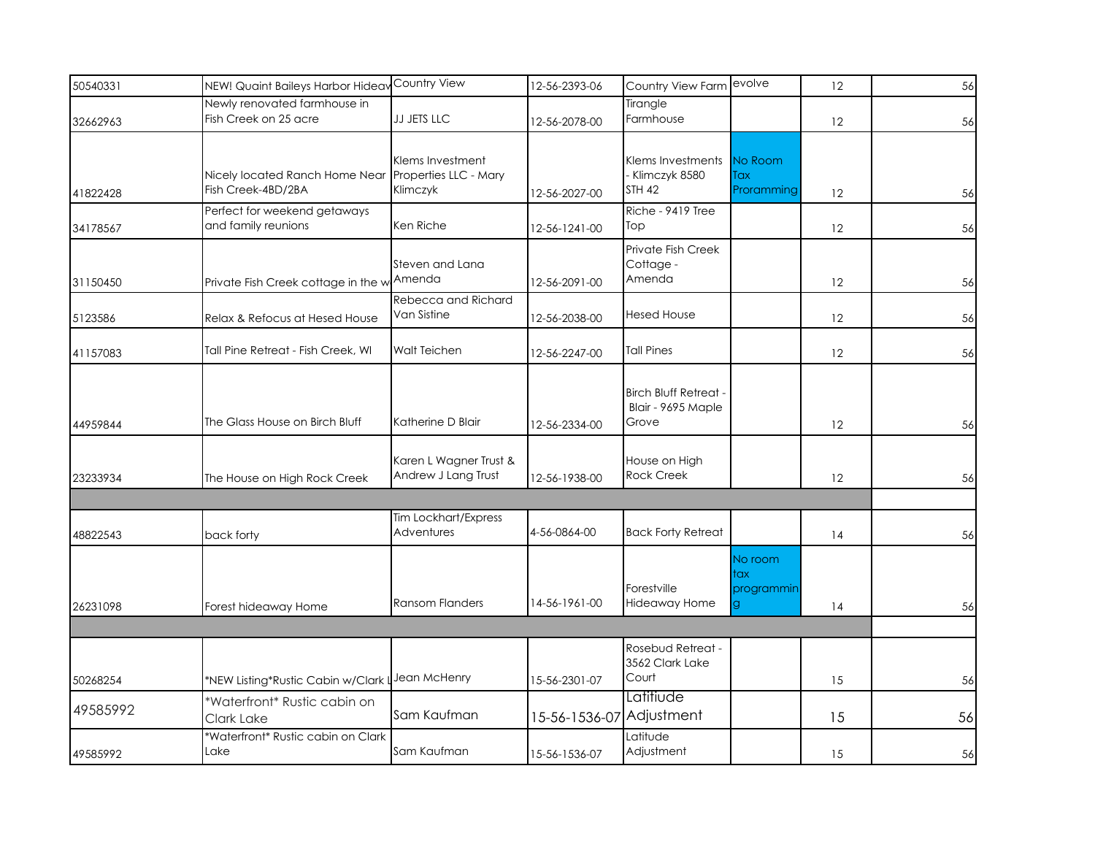| 50540331 | NEW! Quaint Baileys Harbor Hideav                     | Country View                                          | 12-56-2393-06            | Country View Farm                                           | evolve                       | 12 | 56 |
|----------|-------------------------------------------------------|-------------------------------------------------------|--------------------------|-------------------------------------------------------------|------------------------------|----|----|
| 32662963 | Newly renovated farmhouse in<br>Fish Creek on 25 acre | <b>JJ JETS LLC</b>                                    | 12-56-2078-00            | Tirangle<br>Farmhouse                                       |                              | 12 | 56 |
| 41822428 | Nicely located Ranch Home Near<br>Fish Creek-4BD/2BA  | Klems Investment<br>Properties LLC - Mary<br>Klimczyk | 12-56-2027-00            | Klems Investments<br>- Klimczyk 8580<br><b>STH 42</b>       | No Room<br>Tax<br>Proramming | 12 | 56 |
| 34178567 | Perfect for weekend getaways<br>and family reunions   | Ken Riche                                             | 12-56-1241-00            | Riche - 9419 Tree<br>Top                                    |                              | 12 | 56 |
| 31150450 | Private Fish Creek cottage in the w                   | Steven and Lana<br>Amenda                             | 12-56-2091-00            | Private Fish Creek<br>Cottage -<br>Amenda                   |                              | 12 | 56 |
| 5123586  | Relax & Refocus at Hesed House                        | Rebecca and Richard<br>Van Sistine                    | 12-56-2038-00            | <b>Hesed House</b>                                          |                              | 12 | 56 |
| 41157083 | Tall Pine Retreat - Fish Creek, WI                    | Walt Teichen                                          | 12-56-2247-00            | <b>Tall Pines</b>                                           |                              | 12 | 56 |
| 44959844 | The Glass House on Birch Bluff                        | Katherine D Blair                                     | 12-56-2334-00            | <b>Birch Bluff Retreat -</b><br>Blair - 9695 Maple<br>Grove |                              | 12 | 56 |
| 23233934 | The House on High Rock Creek                          | Karen L Wagner Trust &<br>Andrew J Lang Trust         | 12-56-1938-00            | House on High<br><b>Rock Creek</b>                          |                              | 12 | 56 |
| 48822543 | back forty                                            | Tim Lockhart/Express<br>Adventures                    | 4-56-0864-00             | <b>Back Forty Retreat</b>                                   |                              | 14 | 56 |
| 26231098 | Forest hideaway Home                                  | <b>Ransom Flanders</b>                                | 14-56-1961-00            | Forestville<br>Hideaway Home                                | No room<br>tax<br>programmin | 14 | 56 |
|          |                                                       |                                                       |                          |                                                             |                              |    |    |
| 50268254 | *NEW Listing*Rustic Cabin w/Clark L                   | Jean McHenry                                          | 15-56-2301-07            | Rosebud Retreat -<br>3562 Clark Lake<br>Court               |                              | 15 | 56 |
| 49585992 | *Waterfront* Rustic cabin on<br>Clark Lake            | Sam Kaufman                                           | 15-56-1536-07 Adjustment | Latitiude                                                   |                              | 15 | 56 |
| 49585992 | *Waterfront* Rustic cabin on Clark<br>Lake            | Sam Kaufman                                           | 15-56-1536-07            | Latitude<br>Adjustment                                      |                              | 15 | 56 |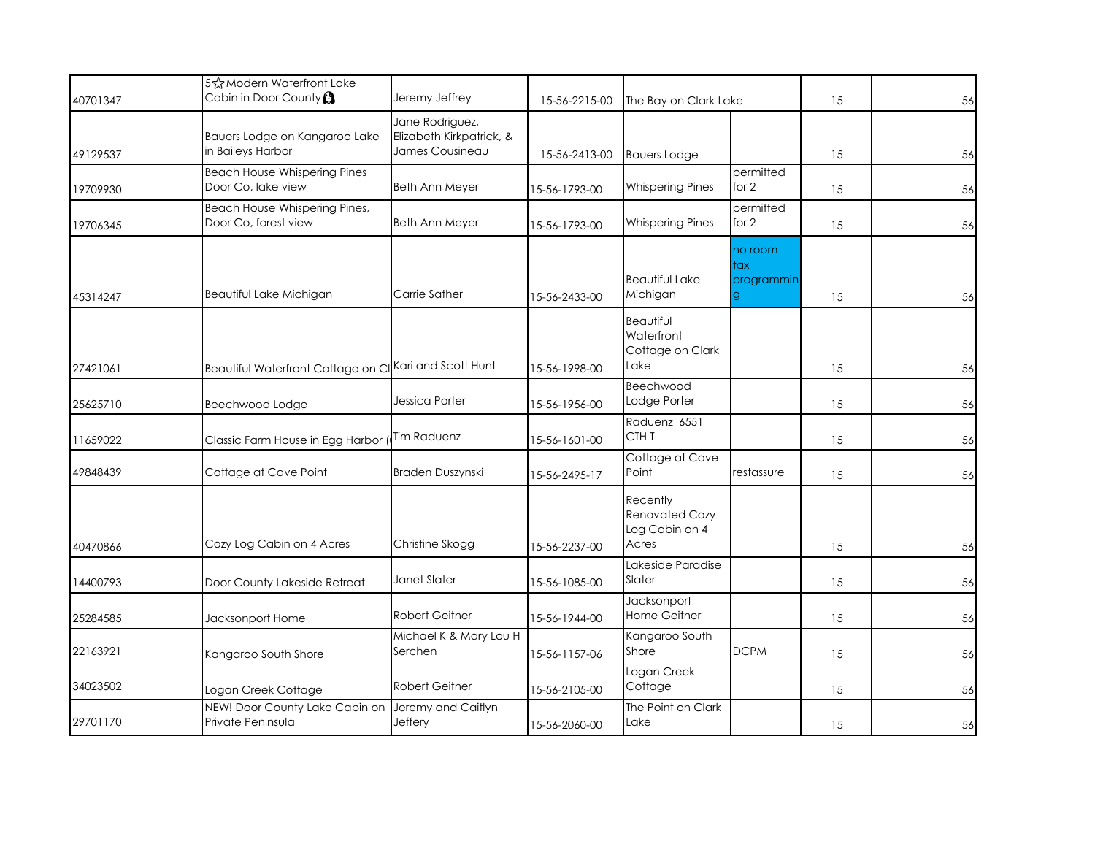| 40701347 | 5☆Modern Waterfront Lake<br>Cabin in Door County <b>A</b> | Jeremy Jeffrey                                                 | 15-56-2215-00 | The Bay on Clark Lake                                        |                                    | 15 | 56 |
|----------|-----------------------------------------------------------|----------------------------------------------------------------|---------------|--------------------------------------------------------------|------------------------------------|----|----|
| 49129537 | Bauers Lodge on Kangaroo Lake<br>in Baileys Harbor        | Jane Rodriguez,<br>Elizabeth Kirkpatrick, &<br>James Cousineau | 15-56-2413-00 | <b>Bauers Lodge</b>                                          |                                    | 15 | 56 |
| 19709930 | <b>Beach House Whispering Pines</b><br>Door Co, lake view | Beth Ann Meyer                                                 | 15-56-1793-00 | <b>Whispering Pines</b>                                      | permitted<br>for 2                 | 15 | 56 |
| 19706345 | Beach House Whispering Pines,<br>Door Co, forest view     | <b>Beth Ann Meyer</b>                                          | 15-56-1793-00 | <b>Whispering Pines</b>                                      | permitted<br>for 2                 | 15 | 56 |
| 45314247 | Beautiful Lake Michigan                                   | Carrie Sather                                                  | 15-56-2433-00 | <b>Beautiful Lake</b><br>Michigan                            | no room<br>tax<br>programmin<br>g. | 15 | 56 |
| 27421061 | Beautiful Waterfront Cottage on CI Kari and Scott Hunt    |                                                                | 15-56-1998-00 | <b>Beautiful</b><br>Waterfront<br>Cottage on Clark<br>Lake   |                                    | 15 | 56 |
| 25625710 | Beechwood Lodge                                           | Jessica Porter                                                 | 15-56-1956-00 | Beechwood<br>Lodge Porter                                    |                                    | 15 | 56 |
| 11659022 | Classic Farm House in Egg Harbor                          | Tim Raduenz                                                    | 15-56-1601-00 | Raduenz 6551<br>CTH <sub>T</sub>                             |                                    | 15 | 56 |
| 49848439 | Cottage at Cave Point                                     | Braden Duszynski                                               | 15-56-2495-17 | Cottage at Cave<br>Point                                     | restassure                         | 15 | 56 |
| 40470866 | Cozy Log Cabin on 4 Acres                                 | Christine Skogg                                                | 15-56-2237-00 | Recently<br><b>Renovated Cozy</b><br>Log Cabin on 4<br>Acres |                                    | 15 | 56 |
| 14400793 | Door County Lakeside Retreat                              | Janet Slater                                                   | 15-56-1085-00 | Lakeside Paradise<br>Slater                                  |                                    | 15 | 56 |
| 25284585 | Jacksonport Home                                          | Robert Geitner                                                 | 15-56-1944-00 | Jacksonport<br>Home Geitner                                  |                                    | 15 | 56 |
| 22163921 | Kangaroo South Shore                                      | Michael K & Mary Lou H<br>Serchen                              | 15-56-1157-06 | Kangaroo South<br>Shore                                      | <b>DCPM</b>                        | 15 | 56 |
| 34023502 | Logan Creek Cottage                                       | <b>Robert Geitner</b>                                          | 15-56-2105-00 | Logan Creek<br>Cottage                                       |                                    | 15 | 56 |
| 29701170 | NEW! Door County Lake Cabin on<br>Private Peninsula       | Jeremy and Caitlyn<br>Jeffery                                  | 15-56-2060-00 | The Point on Clark<br>Lake                                   |                                    | 15 | 56 |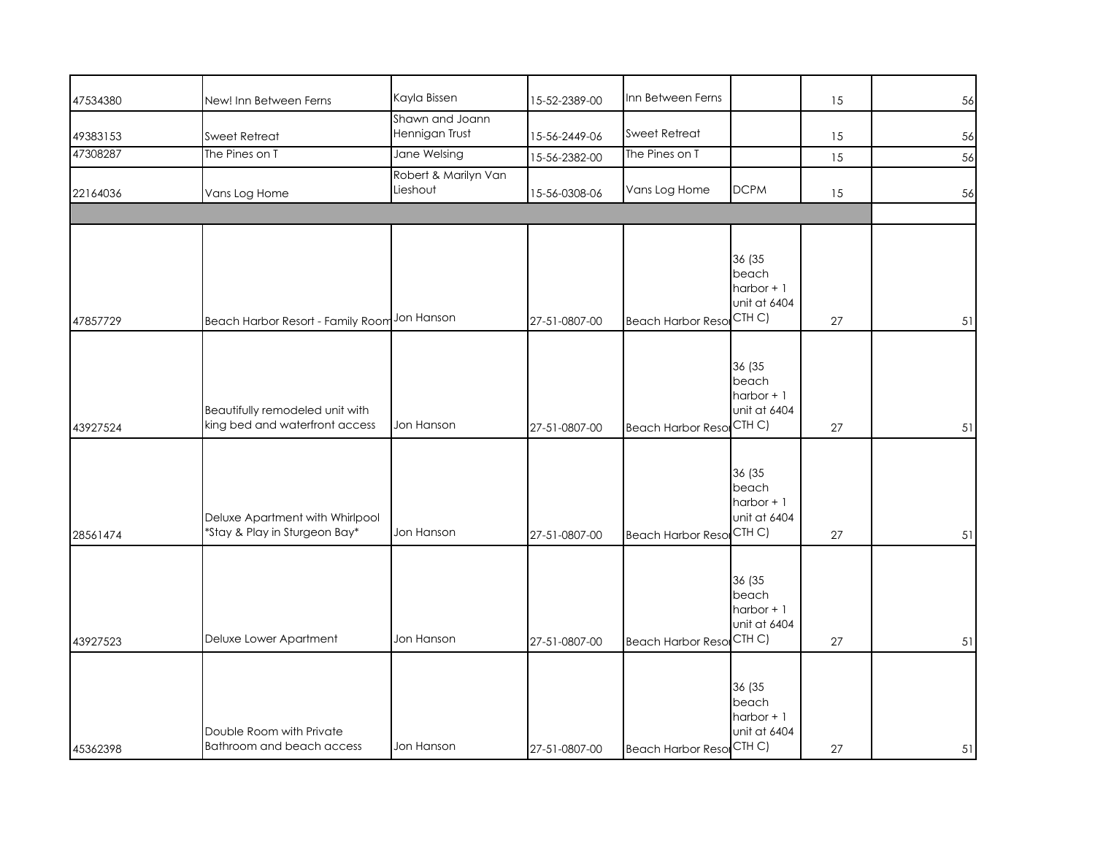| 47534380 | New! Inn Between Ferns                                            | Kayla Bissen                      | 15-52-2389-00 | Inn Between Ferns               |                                                           | 15 | 56 |
|----------|-------------------------------------------------------------------|-----------------------------------|---------------|---------------------------------|-----------------------------------------------------------|----|----|
| 49383153 | Sweet Retreat                                                     | Shawn and Joann<br>Hennigan Trust | 15-56-2449-06 | <b>Sweet Retreat</b>            |                                                           | 15 | 56 |
| 47308287 | The Pines on T                                                    | Jane Welsing                      | 15-56-2382-00 | The Pines on T                  |                                                           | 15 | 56 |
| 22164036 | Vans Log Home                                                     | Robert & Marilyn Van<br>Lieshout  | 15-56-0308-06 | Vans Log Home                   | <b>DCPM</b>                                               | 15 | 56 |
|          |                                                                   |                                   |               |                                 | 36 (35<br>beach                                           |    |    |
| 47857729 | Beach Harbor Resort - Family Room Jon Hanson                      |                                   | 27-51-0807-00 | <b>Beach Harbor Resor</b>       | $harbor + 1$<br>unit at 6404<br>CTH C)                    | 27 | 51 |
| 43927524 | Beautifully remodeled unit with<br>king bed and waterfront access | Jon Hanson                        | 27-51-0807-00 | <b>Beach Harbor Resor</b>       | 36 (35<br>beach<br>$harbor + 1$<br>unit at 6404<br>CTH C) | 27 | 51 |
| 28561474 | Deluxe Apartment with Whirlpool<br>*Stay & Play in Sturgeon Bay*  | Jon Hanson                        | 27-51-0807-00 | <b>Beach Harbor Resol</b>       | 36 (35<br>beach<br>$harbor + 1$<br>unit at 6404<br>CTH C) | 27 | 51 |
| 43927523 | Deluxe Lower Apartment                                            | Jon Hanson                        | 27-51-0807-00 | <b>Beach Harbor Resol</b>       | 36 (35<br>beach<br>$harbor + 1$<br>unit at 6404<br>CTH C) | 27 | 51 |
| 45362398 | Double Room with Private<br>Bathroom and beach access             | Jon Hanson                        | 27-51-0807-00 | <b>Beach Harbor Reso</b> CTH C) | 36 (35<br>beach<br>$harbor + 1$<br>unit at 6404           | 27 | 51 |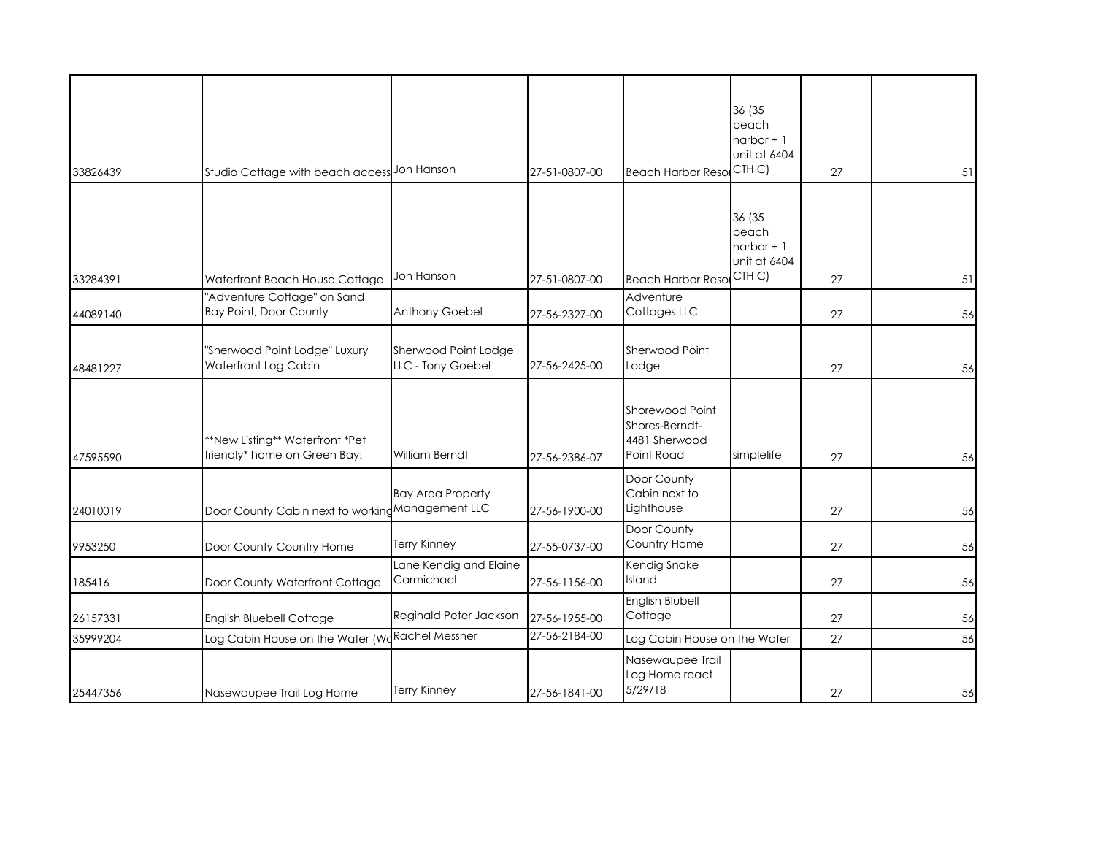| 33826439 | Studio Cottage with beach access Jon Hanson                     |                                            | 27-51-0807-00 | <b>Beach Harbor Resol</b>                                        | 36 (35<br>beach<br>$harbor + 1$<br>unit at 6404<br>CTH C) | 27 | 51 |
|----------|-----------------------------------------------------------------|--------------------------------------------|---------------|------------------------------------------------------------------|-----------------------------------------------------------|----|----|
| 33284391 | Waterfront Beach House Cottage                                  | Jon Hanson                                 | 27-51-0807-00 | <b>Beach Harbor Resol</b>                                        | 36 (35<br>beach<br>$harbor + 1$<br>unit at 6404<br>CTH C) | 27 | 51 |
|          | "Adventure Cottage" on Sand                                     |                                            |               | Adventure                                                        |                                                           |    |    |
| 44089140 | <b>Bay Point, Door County</b>                                   | Anthony Goebel                             | 27-56-2327-00 | Cottages LLC                                                     |                                                           | 27 | 56 |
| 48481227 | "Sherwood Point Lodge" Luxury<br>Waterfront Log Cabin           | Sherwood Point Lodge<br>LLC - Tony Goebel  | 27-56-2425-00 | Sherwood Point<br>Lodge                                          |                                                           | 27 | 56 |
| 47595590 | **New Listing** Waterfront *Pet<br>friendly* home on Green Bay! | <b>William Berndt</b>                      | 27-56-2386-07 | Shorewood Point<br>Shores-Berndt-<br>4481 Sherwood<br>Point Road | simplelife                                                | 27 | 56 |
| 24010019 | Door County Cabin next to working                               | <b>Bay Area Property</b><br>Management LLC | 27-56-1900-00 | Door County<br>Cabin next to<br>Lighthouse                       |                                                           | 27 | 56 |
| 9953250  | Door County Country Home                                        | <b>Terry Kinney</b>                        | 27-55-0737-00 | Door County<br>Country Home                                      |                                                           | 27 | 56 |
| 185416   | Door County Waterfront Cottage                                  | Lane Kendig and Elaine<br>Carmichael       | 27-56-1156-00 | Kendig Snake<br>Island                                           |                                                           | 27 | 56 |
| 26157331 | English Bluebell Cottage                                        | Reginald Peter Jackson                     | 27-56-1955-00 | English Blubell<br>Cottage                                       |                                                           | 27 | 56 |
| 35999204 | Log Cabin House on the Water (Wo                                | <b>Rachel Messner</b>                      | 27-56-2184-00 | Log Cabin House on the Water                                     |                                                           | 27 | 56 |
| 25447356 | Nasewaupee Trail Log Home                                       | <b>Terry Kinney</b>                        | 27-56-1841-00 | Nasewaupee Trail<br>Log Home react<br>5/29/18                    |                                                           | 27 | 56 |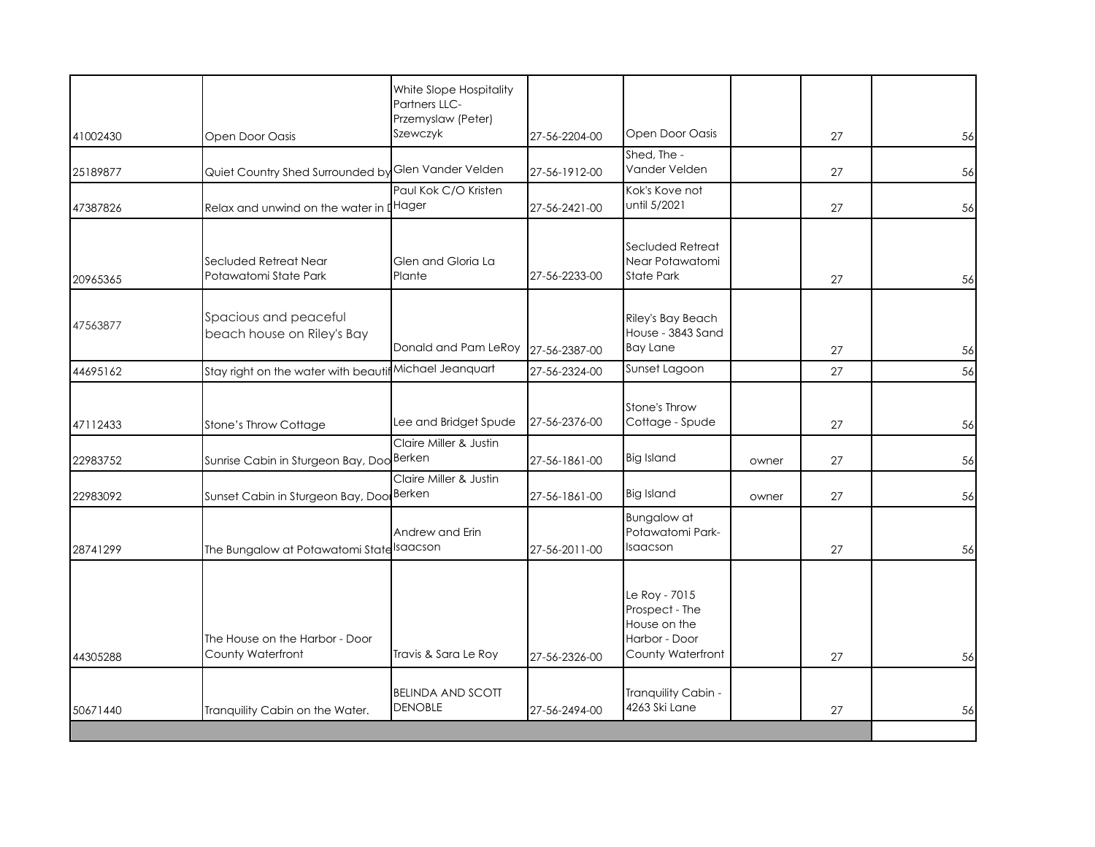|          |                                                     | White Slope Hospitality<br><b>Partners LLC-</b> |               |                                                                                       |       |    |    |
|----------|-----------------------------------------------------|-------------------------------------------------|---------------|---------------------------------------------------------------------------------------|-------|----|----|
| 41002430 | Open Door Oasis                                     | Przemyslaw (Peter)<br>Szewczyk                  | 27-56-2204-00 | Open Door Oasis                                                                       |       | 27 | 56 |
| 25189877 | Quiet Country Shed Surrounded by                    | Glen Vander Velden                              | 27-56-1912-00 | Shed, The -<br>Vander Velden                                                          |       | 27 | 56 |
| 47387826 | Relax and unwind on the water in IHager             | Paul Kok C/O Kristen                            | 27-56-2421-00 | Kok's Kove not<br>until 5/2021                                                        |       | 27 | 56 |
| 20965365 | Secluded Retreat Near<br>Potawatomi State Park      | Glen and Gloria La<br>Plante                    | 27-56-2233-00 | Secluded Retreat<br>Near Potawatomi<br><b>State Park</b>                              |       | 27 | 56 |
| 47563877 | Spacious and peaceful<br>beach house on Riley's Bay | Donald and Pam LeRoy                            | 27-56-2387-00 | Riley's Bay Beach<br>House - 3843 Sand<br><b>Bay Lane</b>                             |       | 27 | 56 |
| 44695162 | Stay right on the water with beautit                | Michael Jeanquart                               | 27-56-2324-00 | Sunset Lagoon                                                                         |       | 27 | 56 |
| 47112433 | Stone's Throw Cottage                               | Lee and Bridget Spude                           | 27-56-2376-00 | Stone's Throw<br>Cottage - Spude                                                      |       | 27 | 56 |
| 22983752 | Sunrise Cabin in Sturgeon Bay, Doo Berken           | Claire Miller & Justin                          | 27-56-1861-00 | <b>Big Island</b>                                                                     | owner | 27 | 56 |
| 22983092 | Sunset Cabin in Sturgeon Bay, Doo Berken            | Claire Miller & Justin                          | 27-56-1861-00 | <b>Big Island</b>                                                                     | owner | 27 | 56 |
| 28741299 | The Bungalow at Potawatomi State Saacson            | Andrew and Erin                                 | 27-56-2011-00 | <b>Bungalow</b> at<br>Potawatomi Park-<br>Isaacson                                    |       | 27 | 56 |
| 44305288 | The House on the Harbor - Door<br>County Waterfront | Travis & Sara Le Roy                            | 27-56-2326-00 | Le Roy - 7015<br>Prospect - The<br>House on the<br>Harbor - Door<br>County Waterfront |       | 27 | 56 |
| 50671440 | Tranquility Cabin on the Water.                     | <b>BELINDA AND SCOTT</b><br><b>DENOBLE</b>      | 27-56-2494-00 | Tranquility Cabin -<br>4263 Ski Lane                                                  |       | 27 | 56 |
|          |                                                     |                                                 |               |                                                                                       |       |    |    |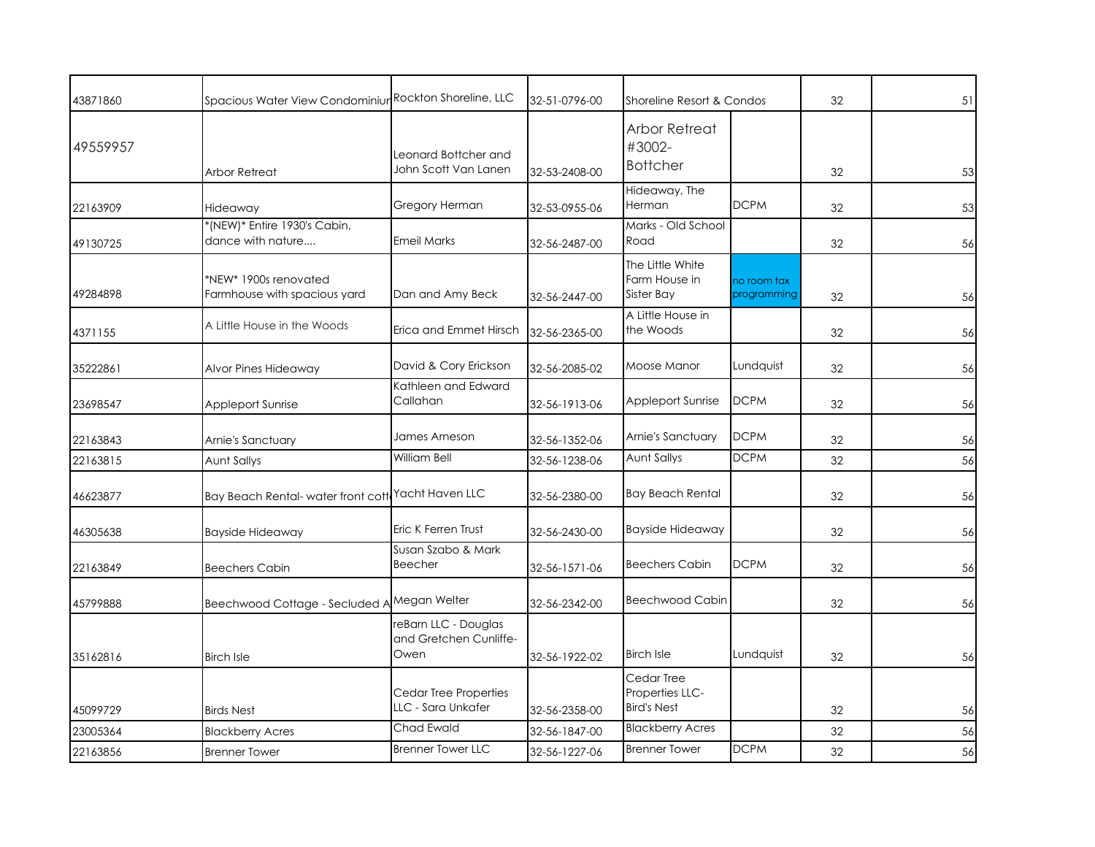| 43871860 | Spacious Water View Condominiur Rockton Shoreline, LLC |                                                        | 32-51-0796-00 | Shoreline Resort & Condos                                            |                            | 32 | 51 |
|----------|--------------------------------------------------------|--------------------------------------------------------|---------------|----------------------------------------------------------------------|----------------------------|----|----|
| 49559957 | Arbor Retreat                                          | Leonard Bottcher and<br>John Scott Van Lanen           | 32-53-2408-00 | Arbor Retreat<br>#3002-<br><b>Bottcher</b>                           |                            | 32 | 53 |
| 22163909 | Hideaway                                               | Gregory Herman                                         | 32-53-0955-06 | Hideaway, The<br>Herman                                              | <b>DCPM</b>                | 32 | 53 |
| 49130725 | *(NEW)* Entire 1930's Cabin,<br>dance with nature      | <b>Emeil Marks</b>                                     | 32-56-2487-00 | Marks - Old School<br>Road                                           |                            | 32 | 56 |
| 49284898 | *NEW* 1900s renovated<br>Farmhouse with spacious yard  | Dan and Amy Beck                                       | 32-56-2447-00 | The Little White<br>Farm House in<br>Sister Bay<br>A Little House in | no room tax<br>programming | 32 | 56 |
| 4371155  | A Little House in the Woods                            | Erica and Emmet Hirsch                                 | 32-56-2365-00 | the Woods                                                            |                            | 32 | 56 |
| 35222861 | Alvor Pines Hideaway                                   | David & Cory Erickson                                  | 32-56-2085-02 | Moose Manor                                                          | Lundquist                  | 32 | 56 |
| 23698547 | <b>Appleport Sunrise</b>                               | Kathleen and Edward<br>Callahan                        | 32-56-1913-06 | Appleport Sunrise                                                    | <b>DCPM</b>                | 32 | 56 |
| 22163843 | Arnie's Sanctuary                                      | James Arneson                                          | 32-56-1352-06 | Arnie's Sanctuary                                                    | <b>DCPM</b>                | 32 | 56 |
| 22163815 | <b>Aunt Sallys</b>                                     | William Bell                                           | 32-56-1238-06 | <b>Aunt Sallys</b>                                                   | <b>DCPM</b>                | 32 | 56 |
| 46623877 | Bay Beach Rental-water front cottl                     | Yacht Haven LLC                                        | 32-56-2380-00 | <b>Bay Beach Rental</b>                                              |                            | 32 | 56 |
| 46305638 | <b>Bayside Hideaway</b>                                | Eric K Ferren Trust                                    | 32-56-2430-00 | <b>Bayside Hideaway</b>                                              |                            | 32 | 56 |
| 22163849 | <b>Beechers Cabin</b>                                  | Susan Szabo & Mark<br><b>Beecher</b>                   | 32-56-1571-06 | <b>Beechers Cabin</b>                                                | <b>DCPM</b>                | 32 | 56 |
| 45799888 | Beechwood Cottage - Secluded A Megan Welter            |                                                        | 32-56-2342-00 | <b>Beechwood Cabin</b>                                               |                            | 32 | 56 |
| 35162816 | <b>Birch Isle</b>                                      | reBarn LLC - Douglas<br>and Gretchen Cunliffe-<br>Owen | 32-56-1922-02 | <b>Birch Isle</b>                                                    | Lundquist                  | 32 | 56 |
| 45099729 | <b>Birds Nest</b>                                      | Cedar Tree Properties<br>LLC - Sara Unkafer            | 32-56-2358-00 | Cedar Tree<br>Properties LLC-<br><b>Bird's Nest</b>                  |                            | 32 | 56 |
| 23005364 | <b>Blackberry Acres</b>                                | Chad Ewald                                             | 32-56-1847-00 | <b>Blackberry Acres</b>                                              |                            | 32 | 56 |
| 22163856 | <b>Brenner Tower</b>                                   | <b>Brenner Tower LLC</b>                               | 32-56-1227-06 | <b>Brenner Tower</b>                                                 | <b>DCPM</b>                | 32 | 56 |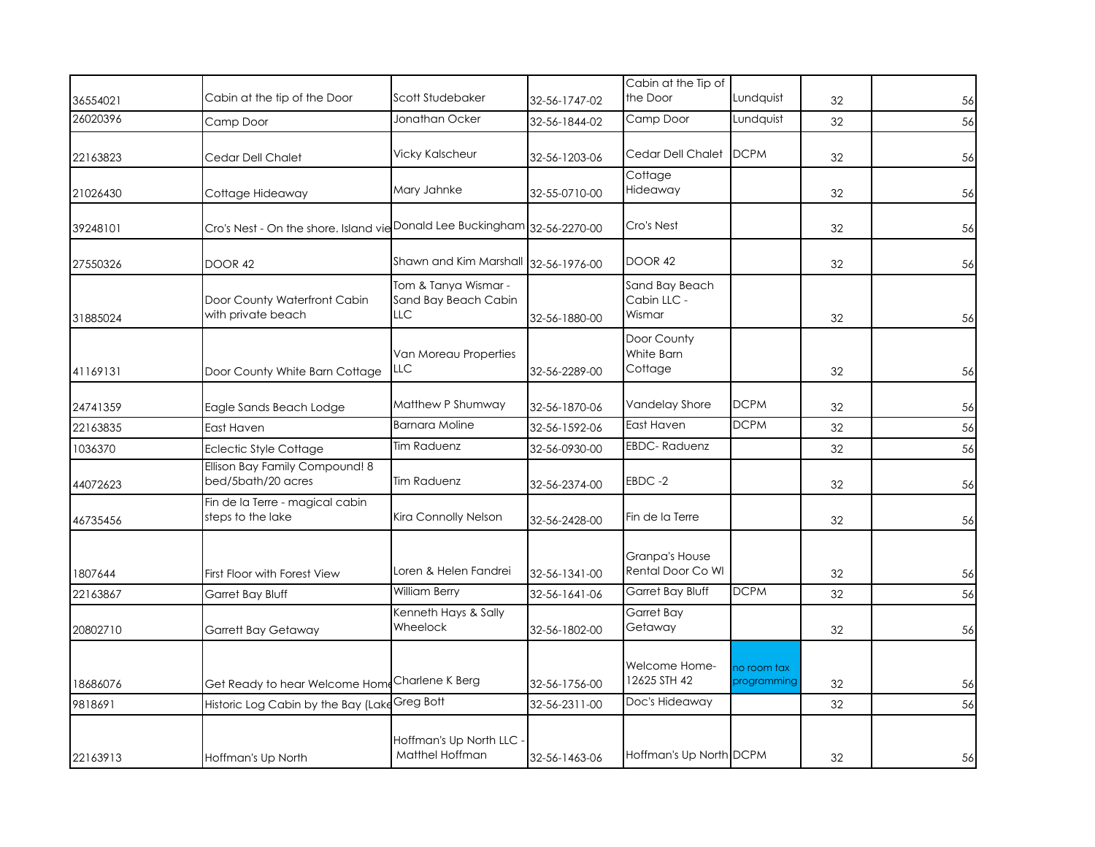| 36554021 | Cabin at the tip of the Door                                | Scott Studebaker                                           | 32-56-1747-02 | Cabin at the Tip of<br>the Door         | Lundquist                  | 32 | 56 |
|----------|-------------------------------------------------------------|------------------------------------------------------------|---------------|-----------------------------------------|----------------------------|----|----|
| 26020396 | Camp Door                                                   | Jonathan Ocker                                             | 32-56-1844-02 | Camp Door                               | Lundquist                  | 32 | 56 |
| 22163823 | Cedar Dell Chalet                                           | <b>Vicky Kalscheur</b>                                     | 32-56-1203-06 | Cedar Dell Chalet                       | <b>DCPM</b>                | 32 | 56 |
| 21026430 | Cottage Hideaway                                            | Mary Jahnke                                                | 32-55-0710-00 | Cottage<br>Hideaway                     |                            | 32 | 56 |
| 39248101 | Cro's Nest - On the shore. Island vie Donald Lee Buckingham |                                                            | 32-56-2270-00 | Cro's Nest                              |                            | 32 | 56 |
| 27550326 | DOOR 42                                                     | Shawn and Kim Marshall                                     | 32-56-1976-00 | <b>DOOR 42</b>                          |                            | 32 | 56 |
| 31885024 | Door County Waterfront Cabin<br>with private beach          | Tom & Tanya Wismar -<br>Sand Bay Beach Cabin<br><b>LLC</b> | 32-56-1880-00 | Sand Bay Beach<br>Cabin LLC -<br>Wismar |                            | 32 | 56 |
| 41169131 | Door County White Barn Cottage                              | Van Moreau Properties<br>LLC                               | 32-56-2289-00 | Door County<br>White Barn<br>Cottage    |                            | 32 | 56 |
| 24741359 | Eagle Sands Beach Lodge                                     | Matthew P Shumway                                          | 32-56-1870-06 | Vandelay Shore                          | <b>DCPM</b>                | 32 | 56 |
| 22163835 | East Haven                                                  | <b>Barnara Moline</b>                                      | 32-56-1592-06 | East Haven                              | <b>DCPM</b>                | 32 | 56 |
| 1036370  | Eclectic Style Cottage                                      | <b>Tim Raduenz</b>                                         | 32-56-0930-00 | <b>EBDC-Raduenz</b>                     |                            | 32 | 56 |
| 44072623 | Ellison Bay Family Compound! 8<br>bed/5bath/20 acres        | <b>Tim Raduenz</b>                                         | 32-56-2374-00 | EBDC-2                                  |                            | 32 | 56 |
| 46735456 | Fin de la Terre - magical cabin<br>steps to the lake        | Kira Connolly Nelson                                       | 32-56-2428-00 | Fin de la Terre                         |                            | 32 | 56 |
| 1807644  | First Floor with Forest View                                | Loren & Helen Fandrei                                      | 32-56-1341-00 | Granpa's House<br>Rental Door Co WI     |                            | 32 | 56 |
| 22163867 | Garret Bay Bluff                                            | William Berry                                              | 32-56-1641-06 | Garret Bay Bluff                        | <b>DCPM</b>                | 32 | 56 |
| 20802710 | <b>Garrett Bay Getaway</b>                                  | Kenneth Hays & Sally<br>Wheelock                           | 32-56-1802-00 | Garret Bay<br>Getaway                   |                            | 32 | 56 |
| 18686076 | Get Ready to hear Welcome Home Charlene K Berg              |                                                            | 32-56-1756-00 | Welcome Home-<br>12625 STH 42           | no room tax<br>programming | 32 | 56 |
| 9818691  | Historic Log Cabin by the Bay (Lake                         | Greg Bott                                                  | 32-56-2311-00 | Doc's Hideaway                          |                            | 32 | 56 |
| 22163913 | Hoffman's Up North                                          | Hoffman's Up North LLC -<br>Matthel Hoffman                | 32-56-1463-06 | Hoffman's Up North DCPM                 |                            | 32 | 56 |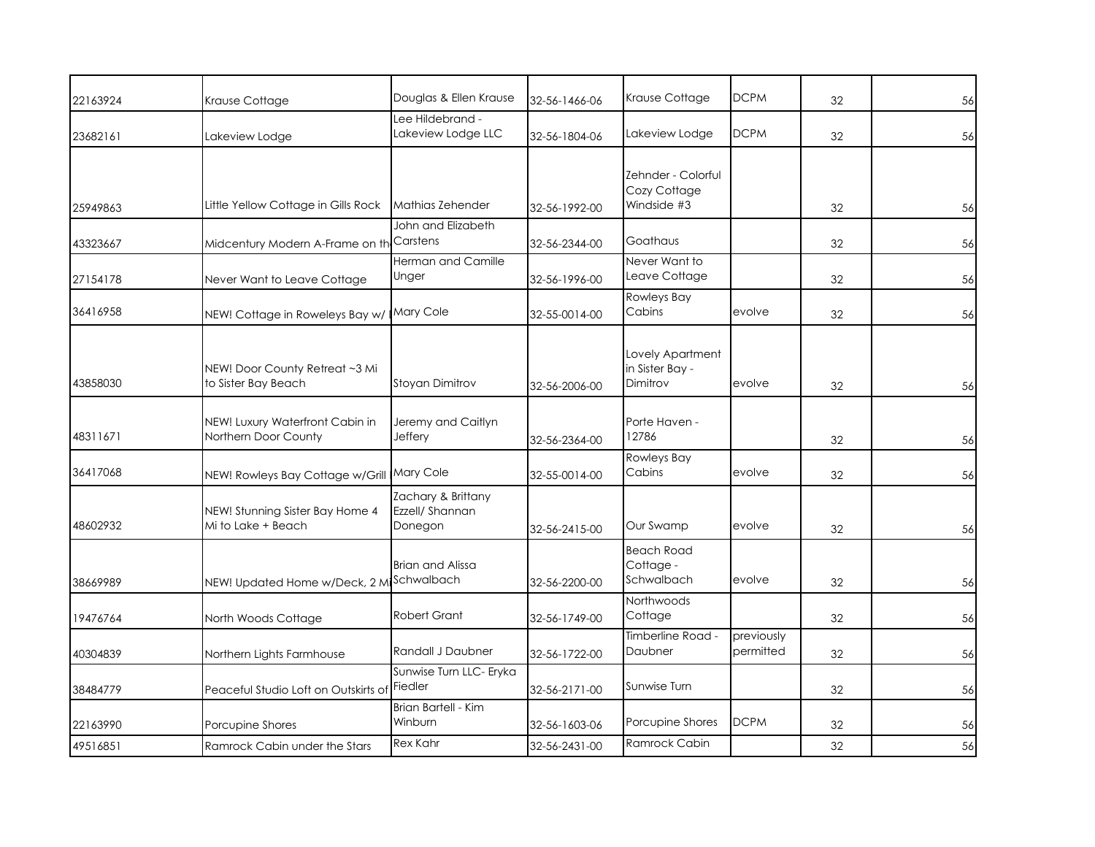| 22163924 | Krause Cottage                                          | Douglas & Ellen Krause                           | 32-56-1466-06 | Krause Cottage                                    | <b>DCPM</b>             | 32 | 56 |
|----------|---------------------------------------------------------|--------------------------------------------------|---------------|---------------------------------------------------|-------------------------|----|----|
| 23682161 | Lakeview Lodge                                          | ee Hildebrand -<br>Lakeview Lodge LLC            | 32-56-1804-06 | Lakeview Lodge                                    | <b>DCPM</b>             | 32 | 56 |
| 25949863 | Little Yellow Cottage in Gills Rock                     | Mathias Zehender                                 | 32-56-1992-00 | Zehnder - Colorful<br>Cozy Cottage<br>Windside #3 |                         | 32 | 56 |
| 43323667 | Midcentury Modern A-Frame on th                         | John and Elizabeth<br>Carstens                   | 32-56-2344-00 | Goathaus                                          |                         | 32 | 56 |
| 27154178 | Never Want to Leave Cottage                             | <b>Herman and Camille</b><br>Unger               | 32-56-1996-00 | Never Want to<br>Leave Cottage                    |                         | 32 | 56 |
| 36416958 | NEW! Cottage in Roweleys Bay w/                         | Mary Cole                                        | 32-55-0014-00 | <b>Rowleys Bay</b><br>Cabins                      | evolve                  | 32 | 56 |
| 43858030 | NEW! Door County Retreat ~3 Mi<br>to Sister Bay Beach   | Stoyan Dimitrov                                  | 32-56-2006-00 | Lovely Apartment<br>in Sister Bay -<br>Dimitrov   | evolve                  | 32 | 56 |
| 48311671 | NEW! Luxury Waterfront Cabin in<br>Northern Door County | Jeremy and Caitlyn<br>Jeffery                    | 32-56-2364-00 | Porte Haven -<br>12786                            |                         | 32 | 56 |
| 36417068 | NEW! Rowleys Bay Cottage w/Grill                        | Mary Cole                                        | 32-55-0014-00 | <b>Rowleys Bay</b><br>Cabins                      | evolve                  | 32 | 56 |
| 48602932 | NEW! Stunning Sister Bay Home 4<br>Mi to Lake + Beach   | Zachary & Brittany<br>Ezzell/ Shannan<br>Donegon | 32-56-2415-00 | Our Swamp                                         | evolve                  | 32 | 56 |
| 38669989 | NEW! Updated Home w/Deck, 2 Mi                          | <b>Brian and Alissa</b><br>Schwalbach            | 32-56-2200-00 | <b>Beach Road</b><br>Cottage -<br>Schwalbach      | evolve                  | 32 | 56 |
| 19476764 | North Woods Cottage                                     | <b>Robert Grant</b>                              | 32-56-1749-00 | Northwoods<br>Cottage                             |                         | 32 | 56 |
| 40304839 | Northern Lights Farmhouse                               | Randall J Daubner                                | 32-56-1722-00 | Timberline Road -<br>Daubner                      | previously<br>permitted | 32 | 56 |
| 38484779 | Peaceful Studio Loft on Outskirts of                    | Sunwise Turn LLC- Eryka<br>Fiedler               | 32-56-2171-00 | Sunwise Turn                                      |                         | 32 | 56 |
| 22163990 | Porcupine Shores                                        | Brian Bartell - Kim<br>Winburn                   | 32-56-1603-06 | Porcupine Shores                                  | <b>DCPM</b>             | 32 | 56 |
| 49516851 | Ramrock Cabin under the Stars                           | <b>Rex Kahr</b>                                  | 32-56-2431-00 | Ramrock Cabin                                     |                         | 32 | 56 |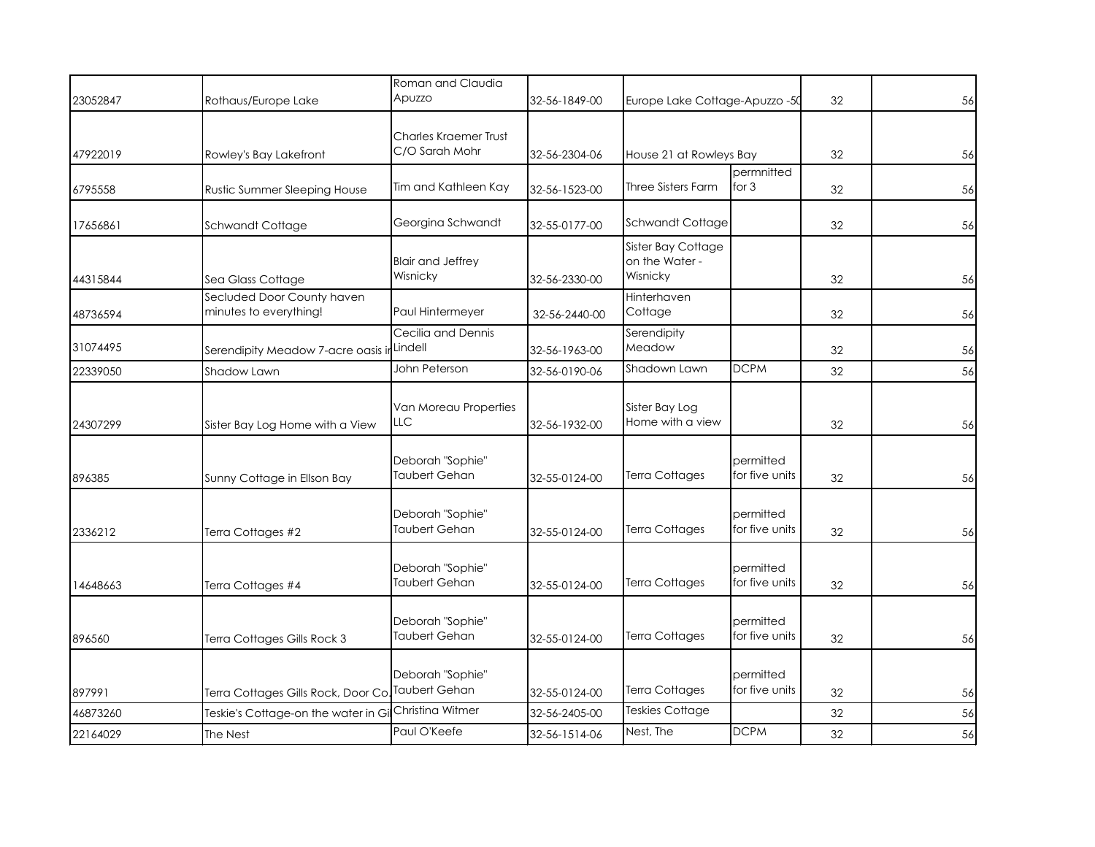| 23052847 | Rothaus/Europe Lake                                  | Roman and Claudia<br>Apuzzo             | 32-56-1849-00 | Europe Lake Cottage-Apuzzo -50                   |                             | 32 | 56 |
|----------|------------------------------------------------------|-----------------------------------------|---------------|--------------------------------------------------|-----------------------------|----|----|
| 47922019 | Rowley's Bay Lakefront                               | Charles Kraemer Trust<br>C/O Sarah Mohr | 32-56-2304-06 | House 21 at Rowleys Bay                          |                             | 32 | 56 |
| 6795558  | Rustic Summer Sleeping House                         | Tim and Kathleen Kay                    | 32-56-1523-00 | <b>Three Sisters Farm</b>                        | permnitted<br>for $3$       | 32 | 56 |
| 17656861 | Schwandt Cottage                                     | Georgina Schwandt                       | 32-55-0177-00 | Schwandt Cottage                                 |                             | 32 | 56 |
| 44315844 | Sea Glass Cottage                                    | <b>Blair and Jeffrey</b><br>Wisnicky    | 32-56-2330-00 | Sister Bay Cottage<br>on the Water -<br>Wisnicky |                             | 32 | 56 |
| 48736594 | Secluded Door County haven<br>minutes to everything! | Paul Hintermeyer                        | 32-56-2440-00 | Hinterhaven<br>Cottage                           |                             | 32 | 56 |
| 31074495 | Serendipity Meadow 7-acre oasis ir                   | Cecilia and Dennis<br>Lindell           | 32-56-1963-00 | Serendipity<br>Meadow                            |                             | 32 | 56 |
| 22339050 | Shadow Lawn                                          | John Peterson                           | 32-56-0190-06 | Shadown Lawn                                     | <b>DCPM</b>                 | 32 | 56 |
| 24307299 | Sister Bay Log Home with a View                      | Van Moreau Properties<br>LLC            | 32-56-1932-00 | Sister Bay Log<br>Home with a view               |                             | 32 | 56 |
| 896385   | Sunny Cottage in Ellson Bay                          | Deborah "Sophie"<br>Taubert Gehan       | 32-55-0124-00 | <b>Terra Cottages</b>                            | permitted<br>for five units | 32 | 56 |
| 2336212  | Terra Cottages #2                                    | Deborah "Sophie"<br>Taubert Gehan       | 32-55-0124-00 | <b>Terra Cottages</b>                            | permitted<br>for five units | 32 | 56 |
| 14648663 | Terra Cottages #4                                    | Deborah "Sophie"<br>Taubert Gehan       | 32-55-0124-00 | <b>Terra Cottages</b>                            | permitted<br>for five units | 32 | 56 |
| 896560   | Terra Cottages Gills Rock 3                          | Deborah "Sophie"<br>Taubert Gehan       | 32-55-0124-00 | <b>Terra Cottages</b>                            | permitted<br>for five units | 32 | 56 |
| 897991   | Terra Cottages Gills Rock, Door Co. Taubert Gehan    | Deborah "Sophie"                        | 32-55-0124-00 | <b>Terra Cottages</b>                            | permitted<br>for five units | 32 | 56 |
| 46873260 | Teskie's Cottage-on the water in Gi                  | Christina Witmer                        | 32-56-2405-00 | <b>Teskies Cottage</b>                           |                             | 32 | 56 |
| 22164029 | The Nest                                             | Paul O'Keefe                            | 32-56-1514-06 | Nest, The                                        | <b>DCPM</b>                 | 32 | 56 |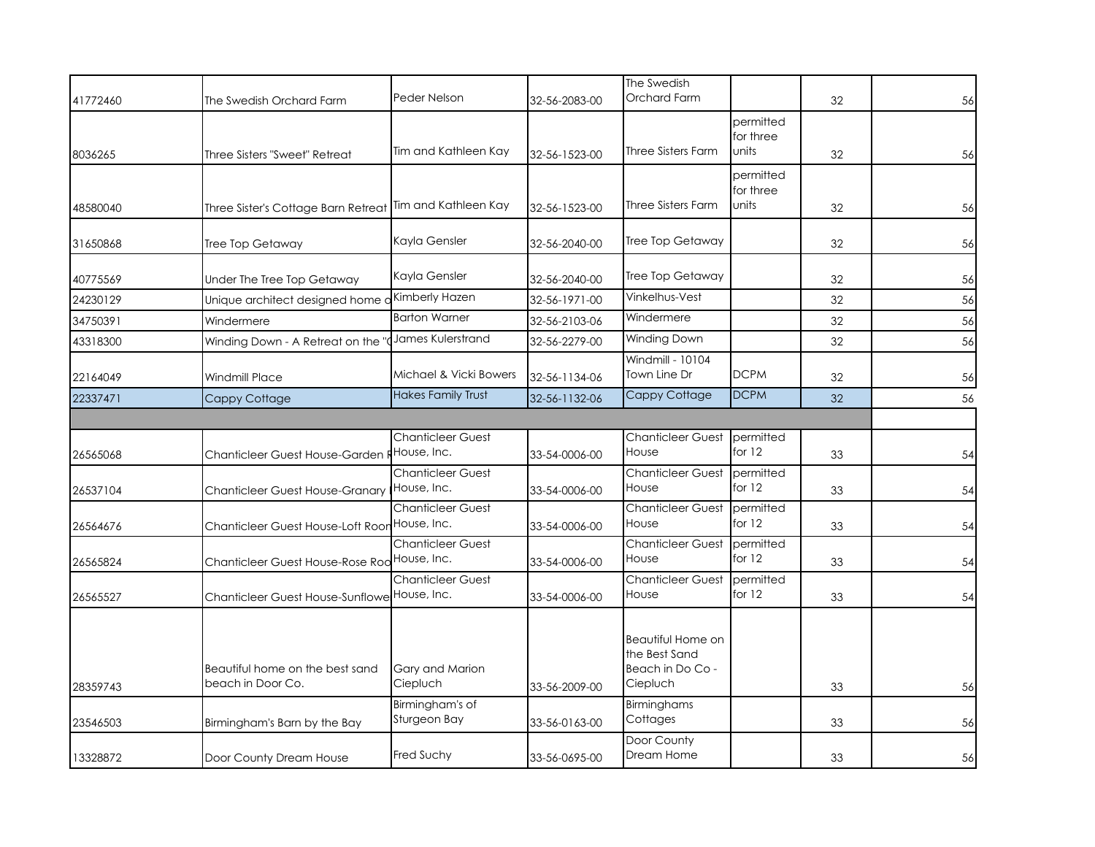| 41772460 | The Swedish Orchard Farm                             | Peder Nelson                            | 32-56-2083-00 | The Swedish<br>Orchard Farm                                        |                                 | 32 | 56 |
|----------|------------------------------------------------------|-----------------------------------------|---------------|--------------------------------------------------------------------|---------------------------------|----|----|
| 8036265  | Three Sisters "Sweet" Retreat                        | Tim and Kathleen Kay                    | 32-56-1523-00 | Three Sisters Farm                                                 | permitted<br>for three<br>units | 32 | 56 |
| 48580040 | Three Sister's Cottage Barn Retreat                  | Tim and Kathleen Kay                    | 32-56-1523-00 | Three Sisters Farm                                                 | permitted<br>for three<br>units | 32 | 56 |
| 31650868 | Tree Top Getaway                                     | Kayla Gensler                           | 32-56-2040-00 | Tree Top Getaway                                                   |                                 | 32 | 56 |
| 40775569 | Under The Tree Top Getaway                           | Kayla Gensler                           | 32-56-2040-00 | Tree Top Getaway                                                   |                                 | 32 | 56 |
| 24230129 | Unique architect designed home a                     | Kimberly Hazen                          | 32-56-1971-00 | Vinkelhus-Vest                                                     |                                 | 32 | 56 |
| 34750391 | Windermere                                           | <b>Barton Warner</b>                    | 32-56-2103-06 | Windermere                                                         |                                 | 32 | 56 |
| 43318300 | Winding Down - A Retreat on the                      | James Kulerstrand                       | 32-56-2279-00 | Winding Down                                                       |                                 | 32 | 56 |
| 22164049 | <b>Windmill Place</b>                                | Michael & Vicki Bowers                  | 32-56-1134-06 | Windmill - 10104<br>Town Line Dr                                   | <b>DCPM</b>                     | 32 | 56 |
| 22337471 | Cappy Cottage                                        | <b>Hakes Family Trust</b>               | 32-56-1132-06 | Cappy Cottage                                                      | <b>DCPM</b>                     | 32 | 56 |
|          |                                                      |                                         |               |                                                                    |                                 |    |    |
| 26565068 | Chanticleer Guest House-Garden FHouse, Inc.          | <b>Chanticleer Guest</b>                | 33-54-0006-00 | <b>Chanticleer Guest</b><br>House                                  | permitted<br>for $12$           | 33 | 54 |
| 26537104 | <b>Chanticleer Guest House-Granary</b>               | <b>Chanticleer Guest</b><br>House, Inc. | 33-54-0006-00 | Chanticleer Guest<br>House                                         | permitted<br>for $12$           | 33 | 54 |
| 26564676 | Chanticleer Guest House-Loft Roor House, Inc.        | <b>Chanticleer Guest</b>                | 33-54-0006-00 | <b>Chanticleer Guest</b><br>House                                  | permitted<br>for $12$           | 33 | 54 |
| 26565824 | Chanticleer Guest House-Rose Rod House, Inc.         | <b>Chanticleer Guest</b>                | 33-54-0006-00 | <b>Chanticleer Guest</b><br>House                                  | permitted<br>for 12             | 33 | 54 |
| 26565527 | <b>Chanticleer Guest House-Sunflowe</b>              | <b>Chanticleer Guest</b><br>House, Inc. | 33-54-0006-00 | <b>Chanticleer Guest</b><br>House                                  | permitted<br>for $12$           | 33 | 54 |
| 28359743 | Beautiful home on the best sand<br>beach in Door Co. | Gary and Marion<br>Ciepluch             | 33-56-2009-00 | Beautiful Home on<br>the Best Sand<br>Beach in Do Co -<br>Ciepluch |                                 | 33 | 56 |
| 23546503 | Birmingham's Barn by the Bay                         | Birmingham's of<br>Sturgeon Bay         | 33-56-0163-00 | <b>Birminghams</b><br>Cottages                                     |                                 | 33 | 56 |
| 13328872 | Door County Dream House                              | Fred Suchy                              | 33-56-0695-00 | Door County<br>Dream Home                                          |                                 | 33 | 56 |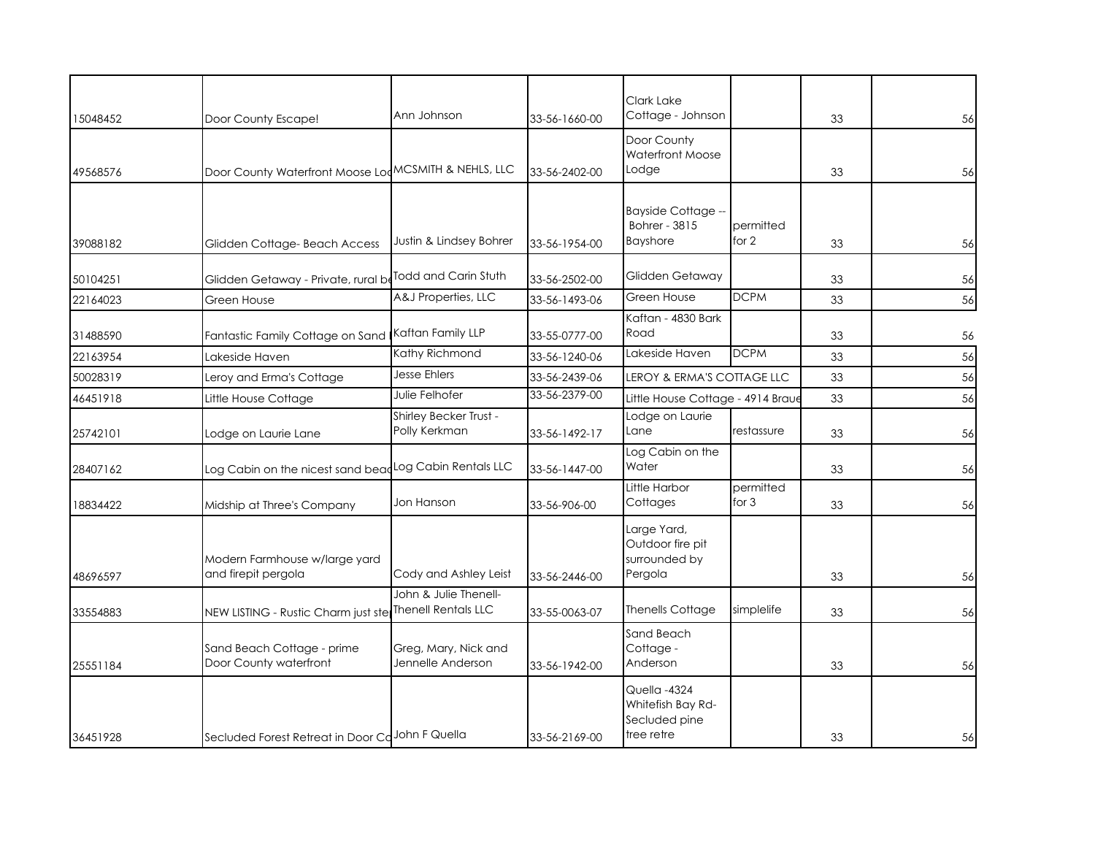| 15048452 | Door County Escape!                                         | Ann Johnson                                         | 33-56-1660-00 | Clark Lake<br>Cottage - Johnson                                  |                    | 33 | 56 |
|----------|-------------------------------------------------------------|-----------------------------------------------------|---------------|------------------------------------------------------------------|--------------------|----|----|
| 49568576 | Door County Waterfront Moose LodMCSMITH & NEHLS, LLC        |                                                     | 33-56-2402-00 | Door County<br>Waterfront Moose<br>Lodge                         |                    | 33 | 56 |
| 39088182 | Glidden Cottage- Beach Access                               | Justin & Lindsey Bohrer                             | 33-56-1954-00 | <b>Bayside Cottage --</b><br>Bohrer - 3815<br><b>Bayshore</b>    | permitted<br>for 2 | 33 | 56 |
| 50104251 | Glidden Getaway - Private, rural be                         | Todd and Carin Stuth                                | 33-56-2502-00 | Glidden Getaway                                                  |                    | 33 | 56 |
| 22164023 | Green House                                                 | A&J Properties, LLC                                 | 33-56-1493-06 | Green House                                                      | <b>DCPM</b>        | 33 | 56 |
| 31488590 | Fantastic Family Cottage on Sand                            | Kaftan Family LLP                                   | 33-55-0777-00 | Kaftan - 4830 Bark<br>Road                                       |                    | 33 | 56 |
| 22163954 | Lakeside Haven                                              | Kathy Richmond                                      | 33-56-1240-06 | Lakeside Haven                                                   | <b>DCPM</b>        | 33 | 56 |
| 50028319 | Leroy and Erma's Cottage                                    | <b>Jesse Ehlers</b>                                 | 33-56-2439-06 | LEROY & ERMA'S COTTAGE LLC                                       |                    | 33 | 56 |
| 46451918 | Little House Cottage                                        | Julie Felhofer                                      | 33-56-2379-00 | Little House Cottage - 4914 Braue                                |                    | 33 | 56 |
| 25742101 | Lodge on Laurie Lane                                        | Shirley Becker Trust -<br>Polly Kerkman             | 33-56-1492-17 | Lodge on Laurie<br>Lane                                          | restassure         | 33 | 56 |
| 28407162 | Log Cabin on the nicest sand bead Log Cabin Rentals LLC     |                                                     | 33-56-1447-00 | Log Cabin on the<br>Water                                        |                    | 33 | 56 |
| 18834422 | Midship at Three's Company                                  | Jon Hanson                                          | 33-56-906-00  | Little Harbor<br>Cottages                                        | permitted<br>for 3 | 33 | 56 |
| 48696597 | Modern Farmhouse w/large yard<br>and firepit pergola        | Cody and Ashley Leist                               | 33-56-2446-00 | Large Yard,<br>Outdoor fire pit<br>surrounded by<br>Pergola      |                    | 33 | 56 |
| 33554883 | NEW LISTING - Rustic Charm just ste                         | John & Julie Thenell-<br><b>Thenell Rentals LLC</b> | 33-55-0063-07 | <b>Thenells Cottage</b>                                          | simplelife         | 33 | 56 |
| 25551184 | Sand Beach Cottage - prime<br>Door County waterfront        | Greg, Mary, Nick and<br>Jennelle Anderson           | 33-56-1942-00 | Sand Beach<br>Cottage -<br>Anderson                              |                    | 33 | 56 |
| 36451928 | Secluded Forest Retreat in Door Ca <sup>John F</sup> Quella |                                                     | 33-56-2169-00 | Quella -4324<br>Whitefish Bay Rd-<br>Secluded pine<br>tree retre |                    | 33 | 56 |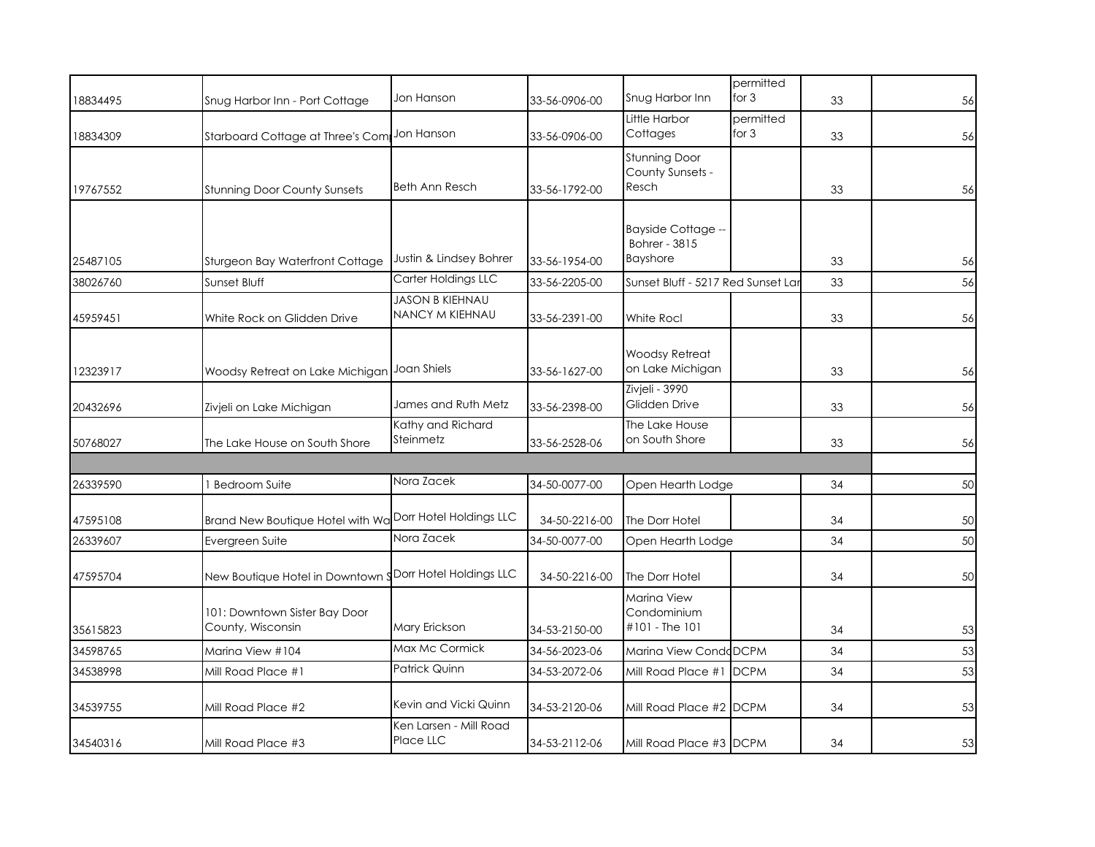| 18834495 | Snug Harbor Inn - Port Cottage                           | Jon Hanson                                | 33-56-0906-00 | Snug Harbor Inn                                               | permitted<br>for 3 | 33 | 56 |
|----------|----------------------------------------------------------|-------------------------------------------|---------------|---------------------------------------------------------------|--------------------|----|----|
| 18834309 | Starboard Cottage at Three's Com                         | Jon Hanson                                | 33-56-0906-00 | Little Harbor<br>Cottages                                     | permitted<br>for 3 | 33 | 56 |
| 19767552 | <b>Stunning Door County Sunsets</b>                      | Beth Ann Resch                            | 33-56-1792-00 | <b>Stunning Door</b><br>County Sunsets -<br>Resch             |                    | 33 | 56 |
| 25487105 | Sturgeon Bay Waterfront Cottage                          | Justin & Lindsey Bohrer                   | 33-56-1954-00 | <b>Bayside Cottage --</b><br><b>Bohrer - 3815</b><br>Bayshore |                    | 33 | 56 |
| 38026760 | Sunset Bluff                                             | Carter Holdings LLC                       | 33-56-2205-00 | Sunset Bluff - 5217 Red Sunset Lar                            |                    | 33 | 56 |
| 45959451 | White Rock on Glidden Drive                              | <b>JASON B KIEHNAU</b><br>NANCY M KIEHNAU | 33-56-2391-00 | White Rocl                                                    |                    | 33 | 56 |
| 12323917 | Woodsy Retreat on Lake Michigan                          | Joan Shiels                               | 33-56-1627-00 | <b>Woodsy Retreat</b><br>on Lake Michigan                     |                    | 33 | 56 |
| 20432696 | Zivjeli on Lake Michigan                                 | James and Ruth Metz                       | 33-56-2398-00 | Zivjeli - 3990<br>Glidden Drive                               |                    | 33 | 56 |
| 50768027 | The Lake House on South Shore                            | Kathy and Richard<br>Steinmetz            | 33-56-2528-06 | The Lake House<br>on South Shore                              |                    | 33 | 56 |
|          |                                                          |                                           |               |                                                               |                    |    |    |
| 26339590 | <b>Bedroom Suite</b>                                     | Nora Zacek                                | 34-50-0077-00 | Open Hearth Lodge                                             |                    | 34 | 50 |
| 47595108 | Brand New Boutique Hotel with Wa Dorr Hotel Holdings LLC |                                           | 34-50-2216-00 | The Dorr Hotel                                                |                    | 34 | 50 |
| 26339607 | Evergreen Suite                                          | Nora Zacek                                | 34-50-0077-00 | Open Hearth Lodge                                             |                    | 34 | 50 |
| 47595704 | New Boutique Hotel in Downtown SDorr Hotel Holdings LLC  |                                           | 34-50-2216-00 | The Dorr Hotel                                                |                    | 34 | 50 |
| 35615823 | 101: Downtown Sister Bay Door<br>County, Wisconsin       | Mary Erickson                             | 34-53-2150-00 | Marina View<br>Condominium<br>#101 - The 101                  |                    | 34 | 53 |
| 34598765 | Marina View #104                                         | Max Mc Cormick                            | 34-56-2023-06 | Marina View CondoDCPM                                         |                    | 34 | 53 |
| 34538998 | Mill Road Place #1                                       | Patrick Quinn                             | 34-53-2072-06 | Mill Road Place #1                                            | <b>DCPM</b>        | 34 | 53 |
| 34539755 | Mill Road Place #2                                       | Kevin and Vicki Quinn                     | 34-53-2120-06 | Mill Road Place #2 DCPM                                       |                    | 34 | 53 |
| 34540316 | Mill Road Place #3                                       | Ken Larsen - Mill Road<br>Place LLC       | 34-53-2112-06 | Mill Road Place #3 DCPM                                       |                    | 34 | 53 |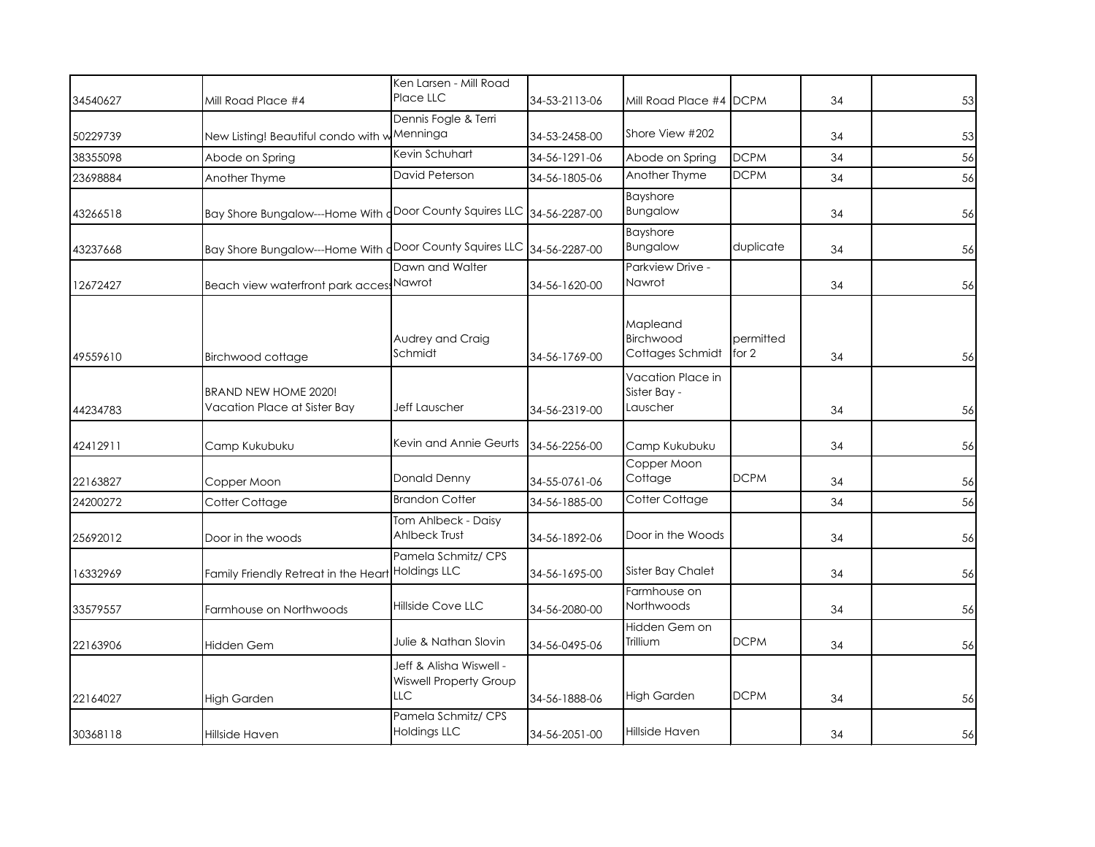| 34540627 | Mill Road Place #4                                          | Ken Larsen - Mill Road<br>Place LLC                             | 34-53-2113-06 | Mill Road Place #4 DCPM                       |                      | 34 | 53 |
|----------|-------------------------------------------------------------|-----------------------------------------------------------------|---------------|-----------------------------------------------|----------------------|----|----|
| 50229739 | New Listing! Beautiful condo with w Menninga                | Dennis Fogle & Terri                                            | 34-53-2458-00 | Shore View #202                               |                      | 34 | 53 |
| 38355098 | Abode on Spring                                             | Kevin Schuhart                                                  | 34-56-1291-06 | Abode on Spring                               | <b>DCPM</b>          | 34 | 56 |
| 23698884 | Another Thyme                                               | David Peterson                                                  | 34-56-1805-06 | Another Thyme                                 | <b>DCPM</b>          | 34 | 56 |
| 43266518 | Bay Shore Bungalow---Home With                              | Door County Squires LLC                                         | 34-56-2287-00 | <b>Bayshore</b><br>Bungalow                   |                      | 34 | 56 |
| 43237668 | Bay Shore Bungalow---Home With                              | Door County Squires LLC                                         | 34-56-2287-00 | <b>Bayshore</b><br>Bungalow                   | duplicate            | 34 | 56 |
| 12672427 | Beach view waterfront park acces                            | Dawn and Walter<br>Nawrot                                       | 34-56-1620-00 | Parkview Drive -<br>Nawrot                    |                      | 34 | 56 |
| 49559610 | Birchwood cottage                                           | Audrey and Craig<br>Schmidt                                     | 34-56-1769-00 | Mapleand<br>Birchwood<br>Cottages Schmidt     | permitted<br>for $2$ | 34 | 56 |
| 44234783 | <b>BRAND NEW HOME 2020!</b><br>Vacation Place at Sister Bay | Jeff Lauscher                                                   | 34-56-2319-00 | Vacation Place in<br>Sister Bay -<br>Lauscher |                      | 34 | 56 |
| 42412911 | Camp Kukubuku                                               | Kevin and Annie Geurts                                          | 34-56-2256-00 | Camp Kukubuku                                 |                      | 34 | 56 |
| 22163827 | Copper Moon                                                 | Donald Denny                                                    | 34-55-0761-06 | Copper Moon<br>Cottage                        | <b>DCPM</b>          | 34 | 56 |
| 24200272 | Cotter Cottage                                              | <b>Brandon Cotter</b>                                           | 34-56-1885-00 | Cotter Cottage                                |                      | 34 | 56 |
| 25692012 | Door in the woods                                           | Tom Ahlbeck - Daisy<br>Ahlbeck Trust                            | 34-56-1892-06 | Door in the Woods                             |                      | 34 | 56 |
| 16332969 | Family Friendly Retreat in the Heart                        | Pamela Schmitz/CPS<br><b>Holdings LLC</b>                       | 34-56-1695-00 | Sister Bay Chalet                             |                      | 34 | 56 |
| 33579557 | Farmhouse on Northwoods                                     | Hillside Cove LLC                                               | 34-56-2080-00 | Farmhouse on<br>Northwoods                    |                      | 34 | 56 |
| 22163906 | Hidden Gem                                                  | Julie & Nathan Slovin                                           | 34-56-0495-06 | Hidden Gem on<br>Trillium                     | <b>DCPM</b>          | 34 | 56 |
| 22164027 | <b>High Garden</b>                                          | Jeff & Alisha Wiswell -<br><b>Wiswell Property Group</b><br>LLC | 34-56-1888-06 | <b>High Garden</b>                            | <b>DCPM</b>          | 34 | 56 |
| 30368118 | Hillside Haven                                              | Pamela Schmitz/ CPS<br><b>Holdings LLC</b>                      | 34-56-2051-00 | Hillside Haven                                |                      | 34 | 56 |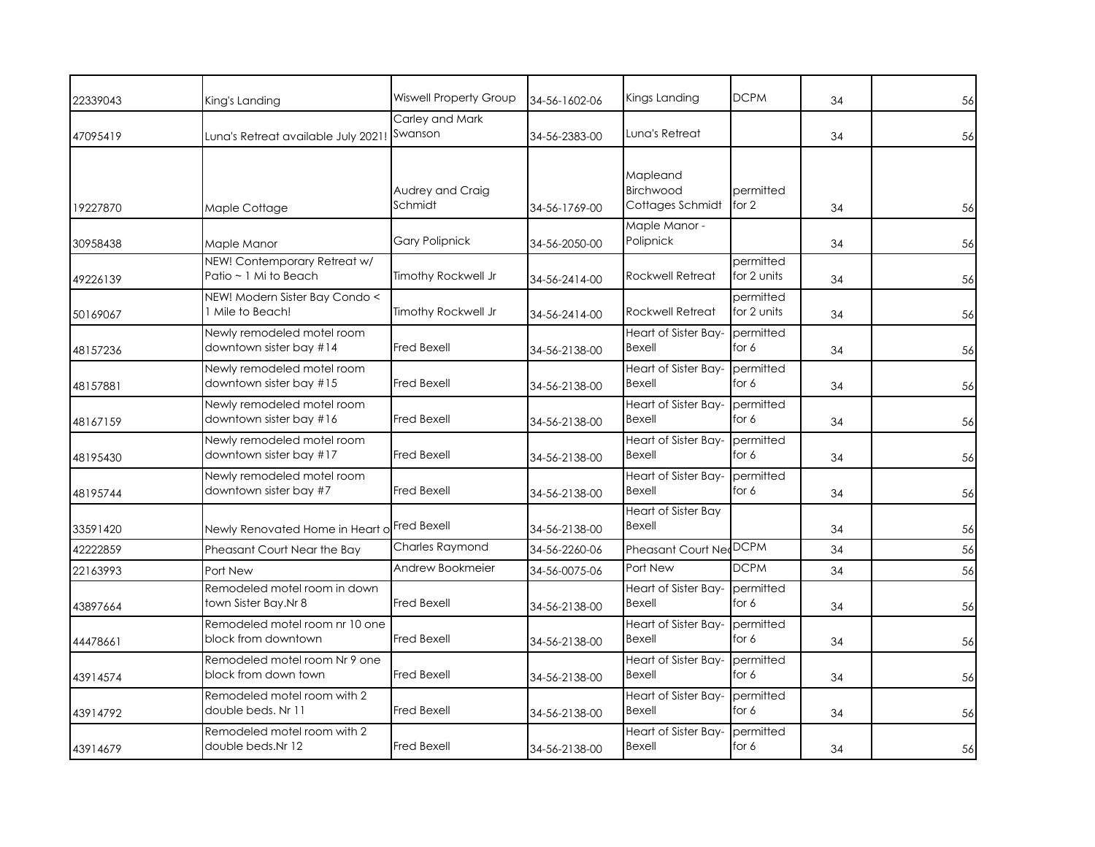| 22339043 | King's Landing                                        | <b>Wiswell Property Group</b> | 34-56-1602-06 | Kings Landing                             | <b>DCPM</b>              | 34 | 56 |
|----------|-------------------------------------------------------|-------------------------------|---------------|-------------------------------------------|--------------------------|----|----|
| 47095419 | Luna's Retreat available July 2021!                   | Carley and Mark<br>Swanson    | 34-56-2383-00 | Luna's Retreat                            |                          | 34 | 56 |
| 19227870 | Maple Cottage                                         | Audrey and Craig<br>Schmidt   | 34-56-1769-00 | Mapleand<br>Birchwood<br>Cottages Schmidt | permitted<br>for $2$     | 34 | 56 |
| 30958438 | Maple Manor                                           | <b>Gary Polipnick</b>         | 34-56-2050-00 | Maple Manor -<br>Polipnick                |                          | 34 | 56 |
| 49226139 | NEW! Contemporary Retreat w/<br>Patio ~ 1 Mi to Beach | Timothy Rockwell Jr           | 34-56-2414-00 | <b>Rockwell Retreat</b>                   | permitted<br>for 2 units | 34 | 56 |
| 50169067 | NEW! Modern Sister Bay Condo <<br>1 Mile to Beach!    | Timothy Rockwell Jr           | 34-56-2414-00 | <b>Rockwell Retreat</b>                   | permitted<br>for 2 units | 34 | 56 |
| 48157236 | Newly remodeled motel room<br>downtown sister bay #14 | Fred Bexell                   | 34-56-2138-00 | <b>Heart of Sister Bay-</b><br>Bexell     | permitted<br>for 6       | 34 | 56 |
| 48157881 | Newly remodeled motel room<br>downtown sister bay #15 | <b>Fred Bexell</b>            | 34-56-2138-00 | Heart of Sister Bay-<br>Bexell            | permitted<br>for 6       | 34 | 56 |
| 48167159 | Newly remodeled motel room<br>downtown sister bay #16 | <b>Fred Bexell</b>            | 34-56-2138-00 | Heart of Sister Bay-<br>Bexell            | permitted<br>for 6       | 34 | 56 |
| 48195430 | Newly remodeled motel room<br>downtown sister bay #17 | <b>Fred Bexell</b>            | 34-56-2138-00 | Heart of Sister Bay-<br>Bexell            | permitted<br>for 6       | 34 | 56 |
| 48195744 | Newly remodeled motel room<br>downtown sister bay #7  | Fred Bexell                   | 34-56-2138-00 | Heart of Sister Bay-<br>Bexell            | permitted<br>for 6       | 34 | 56 |
| 33591420 | Newly Renovated Home in Heart of Fred Bexell          |                               | 34-56-2138-00 | <b>Heart of Sister Bay</b><br>Bexell      |                          | 34 | 56 |
| 42222859 | Pheasant Court Near the Bay                           | <b>Charles Raymond</b>        | 34-56-2260-06 | Pheasant Court Ne                         | <b>DCPM</b>              | 34 | 56 |
| 22163993 | Port New                                              | Andrew Bookmeier              | 34-56-0075-06 | Port New                                  | <b>DCPM</b>              | 34 | 56 |
| 43897664 | Remodeled motel room in down<br>town Sister Bay.Nr 8  | <b>Fred Bexell</b>            | 34-56-2138-00 | Heart of Sister Bay-<br>Bexell            | permitted<br>for 6       | 34 | 56 |
| 44478661 | Remodeled motel room nr 10 one<br>block from downtown | <b>Fred Bexell</b>            | 34-56-2138-00 | Heart of Sister Bay-<br>Bexell            | permitted<br>for 6       | 34 | 56 |
| 43914574 | Remodeled motel room Nr 9 one<br>block from down town | <b>Fred Bexell</b>            | 34-56-2138-00 | Heart of Sister Bay-<br>Bexell            | permitted<br>for 6       | 34 | 56 |
| 43914792 | Remodeled motel room with 2<br>double beds. Nr 11     | Fred Bexell                   | 34-56-2138-00 | Heart of Sister Bay-<br>Bexell            | permitted<br>for 6       | 34 | 56 |
| 43914679 | Remodeled motel room with 2<br>double beds.Nr 12      | Fred Bexell                   | 34-56-2138-00 | Heart of Sister Bay-<br>Bexell            | permitted<br>for 6       | 34 | 56 |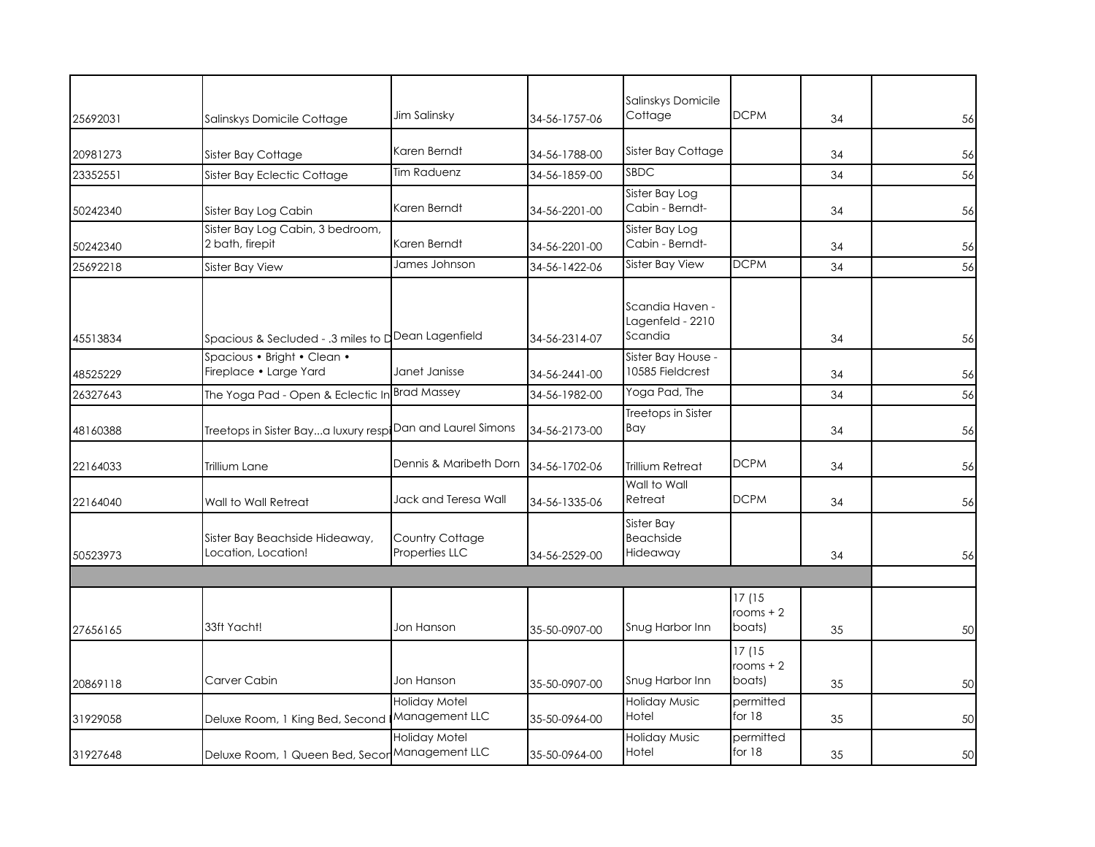|          |                                                                          |                                        |               | Salinskys Domicile                             |                                |    |    |
|----------|--------------------------------------------------------------------------|----------------------------------------|---------------|------------------------------------------------|--------------------------------|----|----|
| 25692031 | Salinskys Domicile Cottage                                               | Jim Salinsky                           | 34-56-1757-06 | Cottage                                        | <b>DCPM</b>                    | 34 | 56 |
| 20981273 | Sister Bay Cottage                                                       | Karen Berndt                           | 34-56-1788-00 | Sister Bay Cottage                             |                                | 34 | 56 |
| 23352551 | Sister Bay Eclectic Cottage                                              | <b>Tim Raduenz</b>                     | 34-56-1859-00 | <b>SBDC</b>                                    |                                | 34 | 56 |
| 50242340 | Sister Bay Log Cabin                                                     | Karen Berndt                           | 34-56-2201-00 | Sister Bay Log<br>Cabin - Berndt-              |                                | 34 | 56 |
| 50242340 | Sister Bay Log Cabin, 3 bedroom,<br>2 bath, firepit                      | Karen Berndt                           | 34-56-2201-00 | Sister Bay Log<br>Cabin - Berndt-              |                                | 34 | 56 |
| 25692218 | Sister Bay View                                                          | James Johnson                          | 34-56-1422-06 | <b>Sister Bay View</b>                         | <b>DCPM</b>                    | 34 | 56 |
| 45513834 | Spacious & Secluded - .3 miles to $\mathsf{d}^\mathsf{D}$ ean Lagenfield |                                        | 34-56-2314-07 | Scandia Haven -<br>Lagenfeld - 2210<br>Scandia |                                | 34 | 56 |
| 48525229 | Spacious • Bright • Clean •<br>Fireplace • Large Yard                    | Janet Janisse                          | 34-56-2441-00 | Sister Bay House -<br>10585 Fieldcrest         |                                | 34 | 56 |
| 26327643 | The Yoga Pad - Open & Eclectic In                                        | <b>Brad Massey</b>                     | 34-56-1982-00 | Yoga Pad, The                                  |                                | 34 | 56 |
| 48160388 | Treetops in Sister Baya luxury resp Dan and Laurel Simons                |                                        | 34-56-2173-00 | Treetops in Sister<br>Bay                      |                                | 34 | 56 |
| 22164033 | Trillium Lane                                                            | Dennis & Maribeth Dorn                 | 34-56-1702-06 | <b>Trillium Retreat</b>                        | <b>DCPM</b>                    | 34 | 56 |
| 22164040 | Wall to Wall Retreat                                                     | Jack and Teresa Wall                   | 34-56-1335-06 | Wall to Wall<br>Retreat                        | <b>DCPM</b>                    | 34 | 56 |
| 50523973 | Sister Bay Beachside Hideaway,<br>ocation, Location!                     | Country Cottage<br>Properties LLC      | 34-56-2529-00 | Sister Bay<br><b>Beachside</b><br>Hideaway     |                                | 34 | 56 |
|          |                                                                          |                                        |               |                                                |                                |    |    |
| 27656165 | 33ft Yacht!                                                              | Jon Hanson                             | 35-50-0907-00 | Snug Harbor Inn                                | 17 (15<br>rooms $+2$<br>boats) | 35 | 50 |
| 20869118 | Carver Cabin                                                             | Jon Hanson                             | 35-50-0907-00 | Snug Harbor Inn                                | 17 (15<br>rooms $+2$<br>boats) | 35 | 50 |
| 31929058 | Deluxe Room, 1 King Bed, Second                                          | <b>Holiday Motel</b><br>Management LLC | 35-50-0964-00 | <b>Holiday Music</b><br>Hotel                  | permitted<br>for $18$          | 35 | 50 |
| 31927648 | Deluxe Room, 1 Queen Bed, Secor Management LLC                           | Holiday Motel                          | 35-50-0964-00 | <b>Holiday Music</b><br>Hotel                  | permitted<br>for $18$          | 35 | 50 |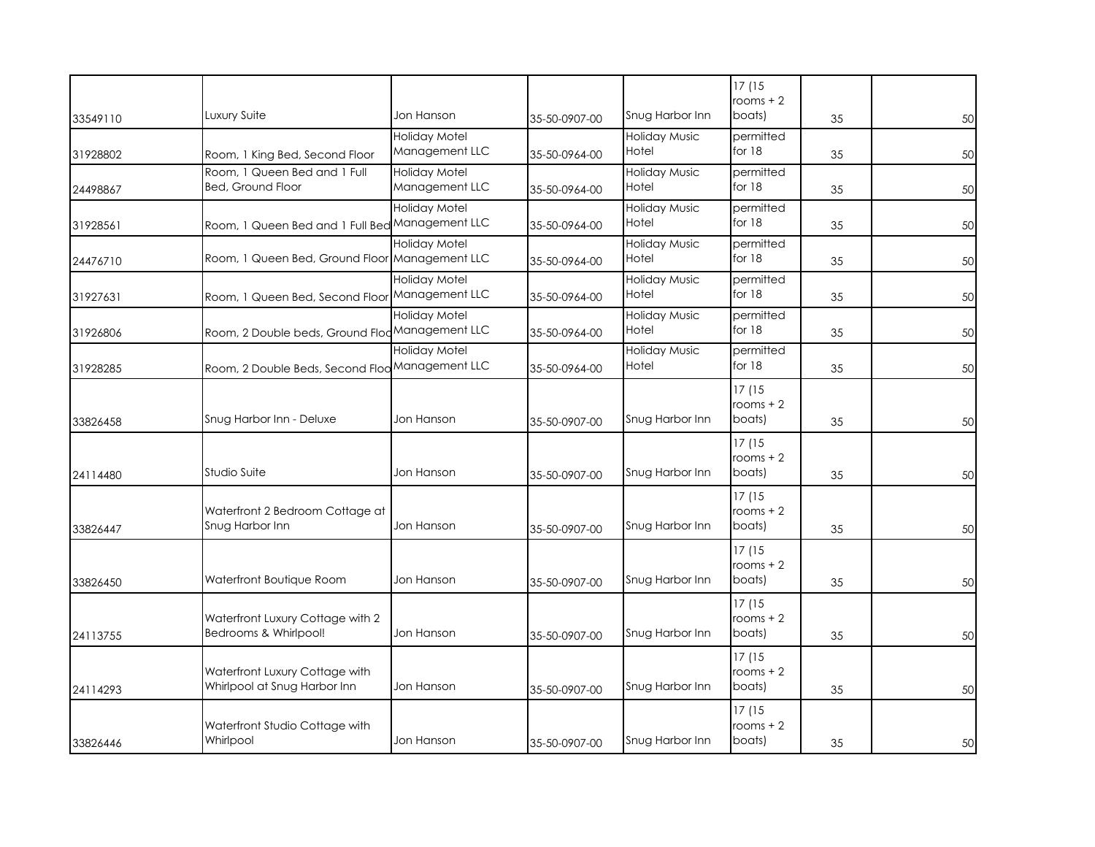|          |                                                 |                      |               |                      | 17(15                |    |    |
|----------|-------------------------------------------------|----------------------|---------------|----------------------|----------------------|----|----|
|          |                                                 |                      |               |                      | rooms $+2$           |    |    |
| 33549110 | Luxury Suite                                    | Jon Hanson           | 35-50-0907-00 | Snug Harbor Inn      | boats)               | 35 | 50 |
|          |                                                 | <b>Holiday Motel</b> |               | <b>Holiday Music</b> | permitted            |    |    |
| 31928802 | Room, 1 King Bed, Second Floor                  | Management LLC       | 35-50-0964-00 | Hotel                | for $18$             | 35 | 50 |
|          | Room, 1 Queen Bed and 1 Full                    | Holiday Motel        |               | <b>Holiday Music</b> | permitted            |    |    |
|          | <b>Bed, Ground Floor</b>                        | Management LLC       | 35-50-0964-00 | Hotel                | for $18$             | 35 | 50 |
| 24498867 |                                                 |                      |               |                      |                      |    |    |
|          |                                                 | <b>Holiday Motel</b> |               | <b>Holiday Music</b> | permitted            |    |    |
| 31928561 | Room, 1 Queen Bed and 1 Full Bed Management LLC |                      | 35-50-0964-00 | Hotel                | for $18$             | 35 | 50 |
|          |                                                 | <b>Holiday Motel</b> |               | <b>Holiday Music</b> | permitted            |    |    |
| 24476710 | Room, 1 Queen Bed, Ground Floor Management LLC  |                      | 35-50-0964-00 | Hotel                | for $18$             | 35 | 50 |
|          |                                                 | <b>Holiday Motel</b> |               | <b>Holiday Music</b> | permitted            |    |    |
| 31927631 | Room, 1 Queen Bed, Second Floor                 | Management LLC       | 35-50-0964-00 | Hotel                | for $18$             | 35 | 50 |
|          |                                                 | <b>Holiday Motel</b> |               | <b>Holiday Music</b> | permitted            |    |    |
|          |                                                 |                      |               |                      | for $18$             |    |    |
| 31926806 | Room, 2 Double beds, Ground Flod Management LLC |                      | 35-50-0964-00 | Hotel                |                      | 35 | 50 |
|          |                                                 | <b>Holiday Motel</b> |               | <b>Holiday Music</b> | permitted            |    |    |
| 31928285 | Room, 2 Double Beds, Second Floo Management LLC |                      | 35-50-0964-00 | Hotel                | for $18$             | 35 | 50 |
|          |                                                 |                      |               |                      | 17(15                |    |    |
|          |                                                 |                      |               |                      | rooms $+2$           |    |    |
| 33826458 | Snug Harbor Inn - Deluxe                        | Jon Hanson           | 35-50-0907-00 | Snug Harbor Inn      | boats)               | 35 | 50 |
|          |                                                 |                      |               |                      |                      |    |    |
|          |                                                 |                      |               |                      | 17 (15               |    |    |
|          |                                                 |                      |               |                      | rooms $+2$           |    |    |
| 24114480 | Studio Suite                                    | Jon Hanson           | 35-50-0907-00 | Snug Harbor Inn      | boats)               | 35 | 50 |
|          |                                                 |                      |               |                      | 17 (15               |    |    |
|          | Waterfront 2 Bedroom Cottage at                 |                      |               |                      | rooms $+2$           |    |    |
| 33826447 | Snug Harbor Inn                                 | Jon Hanson           | 35-50-0907-00 | Snug Harbor Inn      | boats)               | 35 | 50 |
|          |                                                 |                      |               |                      |                      |    |    |
|          |                                                 |                      |               |                      | 17 (15<br>rooms $+2$ |    |    |
|          | Waterfront Boutique Room                        | Jon Hanson           |               | Snug Harbor Inn      | boats)               |    |    |
| 33826450 |                                                 |                      | 35-50-0907-00 |                      |                      | 35 | 50 |
|          |                                                 |                      |               |                      | 17 (15               |    |    |
|          | Waterfront Luxury Cottage with 2                |                      |               |                      | rooms $+2$           |    |    |
| 24113755 | Bedrooms & Whirlpool!                           | Jon Hanson           | 35-50-0907-00 | Snug Harbor Inn      | boats)               | 35 | 50 |
|          |                                                 |                      |               |                      | 17(15                |    |    |
|          | Waterfront Luxury Cottage with                  |                      |               |                      | rooms $+2$           |    |    |
| 24114293 | Whirlpool at Snug Harbor Inn                    | Jon Hanson           | 35-50-0907-00 | Snug Harbor Inn      | boats)               | 35 | 50 |
|          |                                                 |                      |               |                      |                      |    |    |
|          |                                                 |                      |               |                      | 17(15                |    |    |
|          | Waterfront Studio Cottage with                  |                      |               |                      | rooms $+2$           |    |    |
| 33826446 | Whirlpool                                       | Jon Hanson           | 35-50-0907-00 | Snug Harbor Inn      | boats)               | 35 | 50 |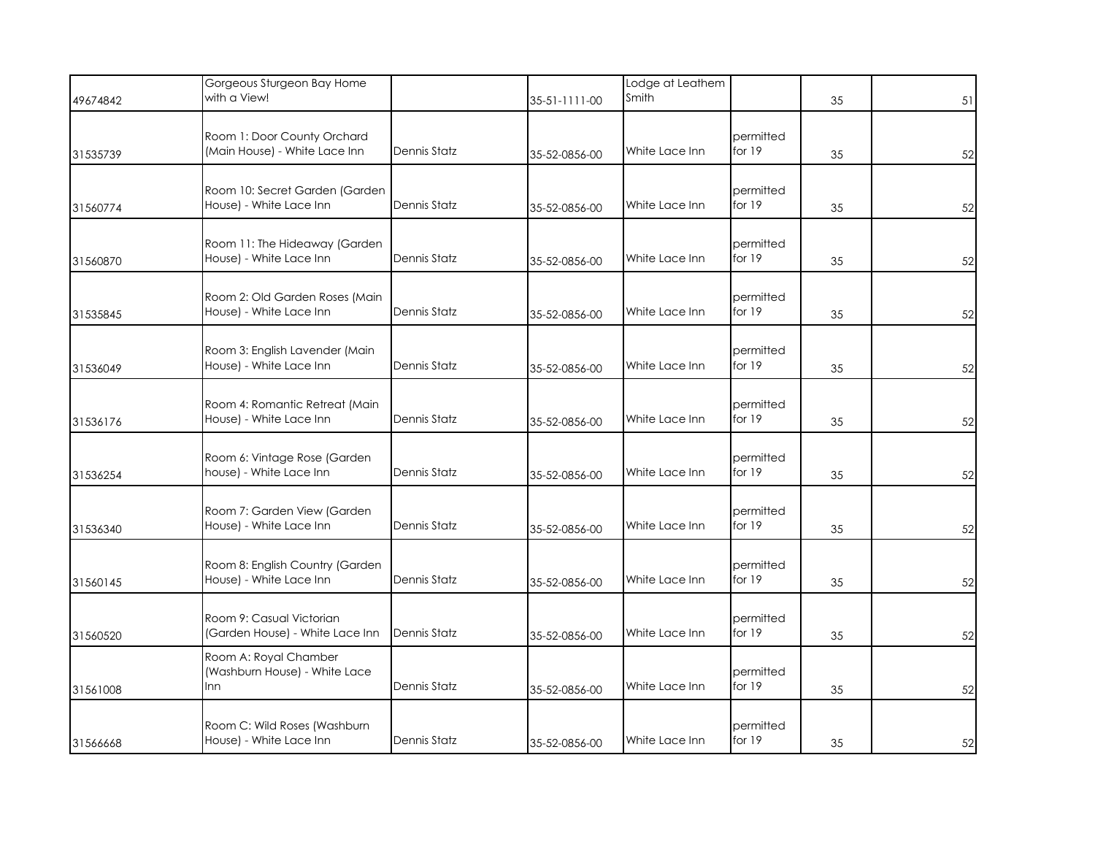| 49674842 | Gorgeous Sturgeon Bay Home<br>with a View!                    |                     | 35-51-1111-00 | Lodge at Leathem<br>Smith |                       | 35 | 51 |
|----------|---------------------------------------------------------------|---------------------|---------------|---------------------------|-----------------------|----|----|
| 31535739 | Room 1: Door County Orchard<br>(Main House) - White Lace Inn  | Dennis Statz        | 35-52-0856-00 | White Lace Inn            | permitted<br>for 19   | 35 | 52 |
| 31560774 | Room 10: Secret Garden (Garden<br>House) - White Lace Inn     | Dennis Statz        | 35-52-0856-00 | White Lace Inn            | permitted<br>for $19$ | 35 | 52 |
| 31560870 | Room 11: The Hideaway (Garden<br>House) - White Lace Inn      | Dennis Statz        | 35-52-0856-00 | White Lace Inn            | permitted<br>for $19$ | 35 | 52 |
| 31535845 | Room 2: Old Garden Roses (Main<br>House) - White Lace Inn     | Dennis Statz        | 35-52-0856-00 | White Lace Inn            | permitted<br>for $19$ | 35 | 52 |
| 31536049 | Room 3: English Lavender (Main<br>House) - White Lace Inn     | Dennis Statz        | 35-52-0856-00 | White Lace Inn            | permitted<br>for 19   | 35 | 52 |
| 31536176 | Room 4: Romantic Retreat (Main<br>House) - White Lace Inn     | Dennis Statz        | 35-52-0856-00 | White Lace Inn            | permitted<br>for 19   | 35 | 52 |
| 31536254 | Room 6: Vintage Rose (Garden<br>house) - White Lace Inn       | Dennis Statz        | 35-52-0856-00 | White Lace Inn            | permitted<br>for $19$ | 35 | 52 |
| 31536340 | Room 7: Garden View (Garden<br>House) - White Lace Inn        | Dennis Statz        | 35-52-0856-00 | White Lace Inn            | permitted<br>for 19   | 35 | 52 |
| 31560145 | Room 8: English Country (Garden<br>House) - White Lace Inn    | Dennis Statz        | 35-52-0856-00 | White Lace Inn            | permitted<br>for 19   | 35 | 52 |
| 31560520 | Room 9: Casual Victorian<br>(Garden House) - White Lace Inn   | <b>Dennis Statz</b> | 35-52-0856-00 | White Lace Inn            | permitted<br>for $19$ | 35 | 52 |
| 31561008 | Room A: Royal Chamber<br>(Washburn House) - White Lace<br>Inn | Dennis Statz        | 35-52-0856-00 | White Lace Inn            | permitted<br>for 19   | 35 | 52 |
| 31566668 | Room C: Wild Roses (Washburn<br>House) - White Lace Inn       | Dennis Statz        | 35-52-0856-00 | White Lace Inn            | permitted<br>for 19   | 35 | 52 |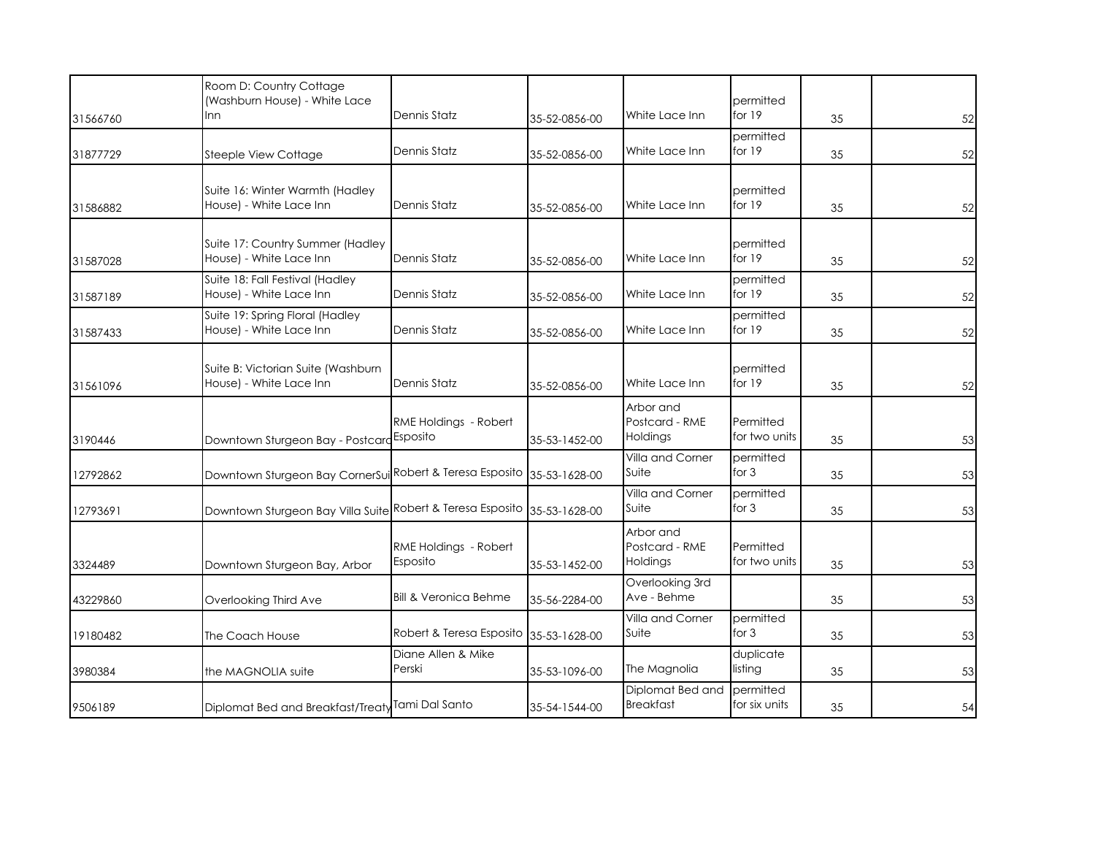|          | Room D: Country Cottage<br>(Washburn House) - White Lace      | Dennis Statz                      |               | White Lace Inn                          | permitted<br>for 19        |    |    |
|----------|---------------------------------------------------------------|-----------------------------------|---------------|-----------------------------------------|----------------------------|----|----|
| 31566760 | Inn                                                           |                                   | 35-52-0856-00 |                                         |                            | 35 | 52 |
| 31877729 | Steeple View Cottage                                          | Dennis Statz                      | 35-52-0856-00 | White Lace Inn                          | permitted<br>for 19        | 35 | 52 |
| 31586882 | Suite 16: Winter Warmth (Hadley<br>House) - White Lace Inn    | Dennis Statz                      | 35-52-0856-00 | White Lace Inn                          | permitted<br>for $19$      | 35 | 52 |
| 31587028 | Suite 17: Country Summer (Hadley<br>House) - White Lace Inn   | Dennis Statz                      | 35-52-0856-00 | White Lace Inn                          | permitted<br>for 19        | 35 | 52 |
| 31587189 | Suite 18: Fall Festival (Hadley<br>House) - White Lace Inn    | Dennis Statz                      | 35-52-0856-00 | White Lace Inn                          | permitted<br>for 19        | 35 | 52 |
| 31587433 | Suite 19: Spring Floral (Hadley<br>House) - White Lace Inn    | Dennis Statz                      | 35-52-0856-00 | White Lace Inn                          | permitted<br>for $19$      | 35 | 52 |
| 31561096 | Suite B: Victorian Suite (Washburn<br>House) - White Lace Inn | Dennis Statz                      | 35-52-0856-00 | White Lace Inn                          | permitted<br>for 19        | 35 | 52 |
| 3190446  | Downtown Sturgeon Bay - Postcard Esposito                     | RME Holdings - Robert             | 35-53-1452-00 | Arbor and<br>Postcard - RME<br>Holdings | Permitted<br>for two units | 35 | 53 |
| 12792862 | Downtown Sturgeon Bay CornerSui Robert & Teresa Esposito      |                                   | 35-53-1628-00 | Villa and Corner<br>Suite               | permitted<br>for $3$       | 35 | 53 |
| 12793691 | Downtown Sturgeon Bay Villa Suite Robert & Teresa Esposito    |                                   | 35-53-1628-00 | Villa and Corner<br>Suite               | permitted<br>for 3         | 35 | 53 |
| 3324489  | Downtown Sturgeon Bay, Arbor                                  | RME Holdings - Robert<br>Esposito | 35-53-1452-00 | Arbor and<br>Postcard - RME<br>Holdings | Permitted<br>for two units | 35 | 53 |
| 43229860 | Overlooking Third Ave                                         | <b>Bill &amp; Veronica Behme</b>  | 35-56-2284-00 | Overlooking 3rd<br>Ave - Behme          |                            | 35 | 53 |
| 19180482 | The Coach House                                               | Robert & Teresa Esposito          | 35-53-1628-00 | Villa and Corner<br>Suite               | permitted<br>for $3$       | 35 | 53 |
| 3980384  | the MAGNOLIA suite                                            | Diane Allen & Mike<br>Perski      | 35-53-1096-00 | The Magnolia                            | duplicate<br>listing       | 35 | 53 |
| 9506189  | Diplomat Bed and Breakfast/Treaty Tami Dal Santo              |                                   | 35-54-1544-00 | Diplomat Bed and<br><b>Breakfast</b>    | permitted<br>for six units | 35 | 54 |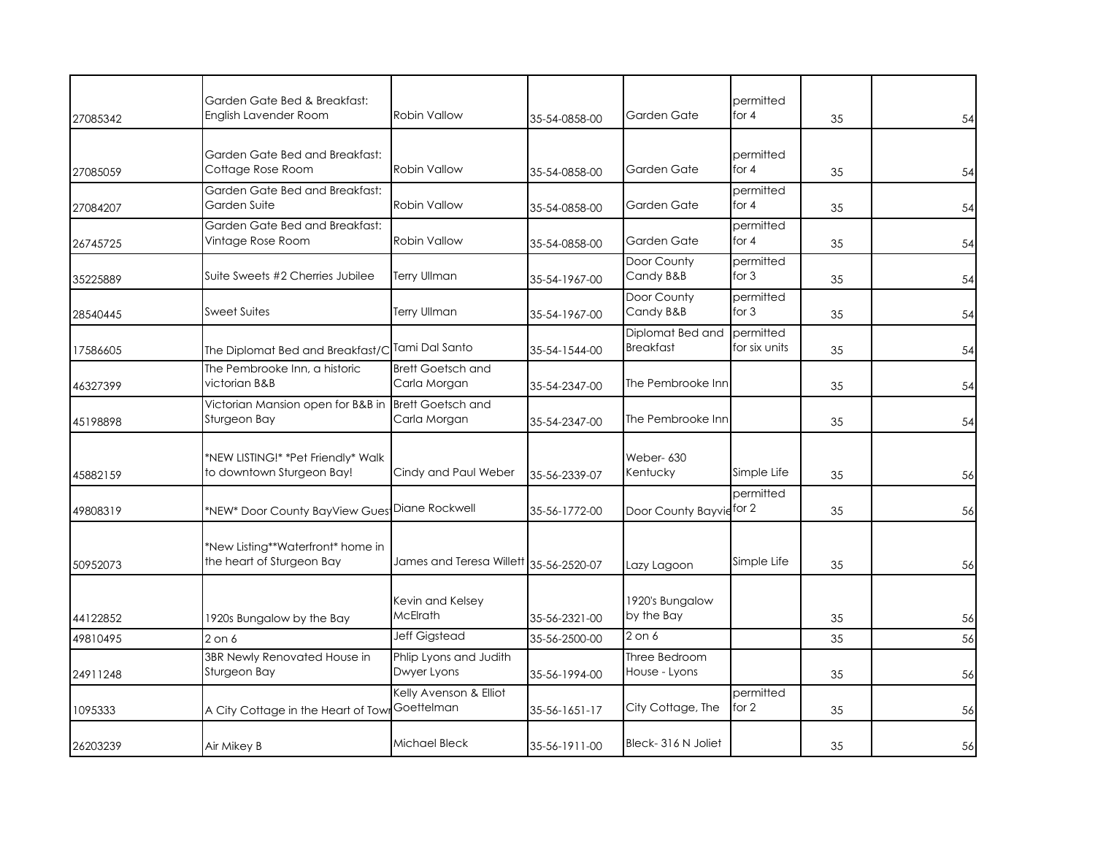| 27085342 | Garden Gate Bed & Breakfast:<br>English Lavender Room           | <b>Robin Vallow</b>                      | 35-54-0858-00 | Garden Gate                          | permitted<br>for 4         | 35 | 54 |
|----------|-----------------------------------------------------------------|------------------------------------------|---------------|--------------------------------------|----------------------------|----|----|
| 27085059 | Garden Gate Bed and Breakfast:<br>Cottage Rose Room             | <b>Robin Vallow</b>                      | 35-54-0858-00 | Garden Gate                          | permitted<br>for $4$       | 35 | 54 |
| 27084207 | Garden Gate Bed and Breakfast:<br>Garden Suite                  | <b>Robin Vallow</b>                      | 35-54-0858-00 | Garden Gate                          | permitted<br>for $4$       | 35 | 54 |
| 26745725 | Garden Gate Bed and Breakfast:<br>Vintage Rose Room             | <b>Robin Vallow</b>                      | 35-54-0858-00 | Garden Gate                          | permitted<br>for $4$       | 35 | 54 |
| 35225889 | Suite Sweets #2 Cherries Jubilee                                | <b>Terry Ullman</b>                      | 35-54-1967-00 | Door County<br>Candy B&B             | permitted<br>for $3$       | 35 | 54 |
| 28540445 | <b>Sweet Suites</b>                                             | Terry Ullman                             | 35-54-1967-00 | Door County<br>Candy B&B             | permitted<br>for $3$       | 35 | 54 |
| 17586605 | The Diplomat Bed and Breakfast/C                                | Tami Dal Santo                           | 35-54-1544-00 | Diplomat Bed and<br><b>Breakfast</b> | permitted<br>for six units | 35 | 54 |
| 46327399 | The Pembrooke Inn, a historic<br>victorian B&B                  | <b>Brett Goetsch and</b><br>Carla Morgan | 35-54-2347-00 | The Pembrooke Inn                    |                            | 35 | 54 |
| 45198898 | Victorian Mansion open for B&B in<br>Sturgeon Bay               | <b>Brett Goetsch and</b><br>Carla Morgan | 35-54-2347-00 | The Pembrooke Inn                    |                            | 35 | 54 |
| 45882159 | *NEW LISTING!* *Pet Friendly* Walk<br>to downtown Sturgeon Bay! | Cindy and Paul Weber                     | 35-56-2339-07 | Weber-630<br>Kentucky                | Simple Life                | 35 | 56 |
| 49808319 | *NEW* Door County BayView Gues                                  | Diane Rockwell                           | 35-56-1772-00 | Door County Bayvie                   | permitted<br>for 2         | 35 | 56 |
| 50952073 | *New Listing**Waterfront* home in<br>the heart of Sturgeon Bay  | James and Teresa Willett 35-56-2520-07   |               | Lazy Lagoon                          | Simple Life                | 35 | 56 |
| 44122852 | 1920s Bungalow by the Bay                                       | Kevin and Kelsey<br><b>McElrath</b>      | 35-56-2321-00 | 1920's Bungalow<br>by the Bay        |                            | 35 | 56 |
| 49810495 | $2$ on $6$                                                      | Jeff Gigstead                            | 35-56-2500-00 | $2$ on $6$                           |                            | 35 | 56 |
| 24911248 | 3BR Newly Renovated House in<br>Sturgeon Bay                    | Phlip Lyons and Judith<br>Dwyer Lyons    | 35-56-1994-00 | Three Bedroom<br>House - Lyons       |                            | 35 | 56 |
| 1095333  | A City Cottage in the Heart of Tow                              | Kelly Avenson & Elliot<br>Goettelman     | 35-56-1651-17 | City Cottage, The                    | permitted<br>for 2         | 35 | 56 |
| 26203239 | Air Mikey B                                                     | Michael Bleck                            | 35-56-1911-00 | Bleck-316 N Joliet                   |                            | 35 | 56 |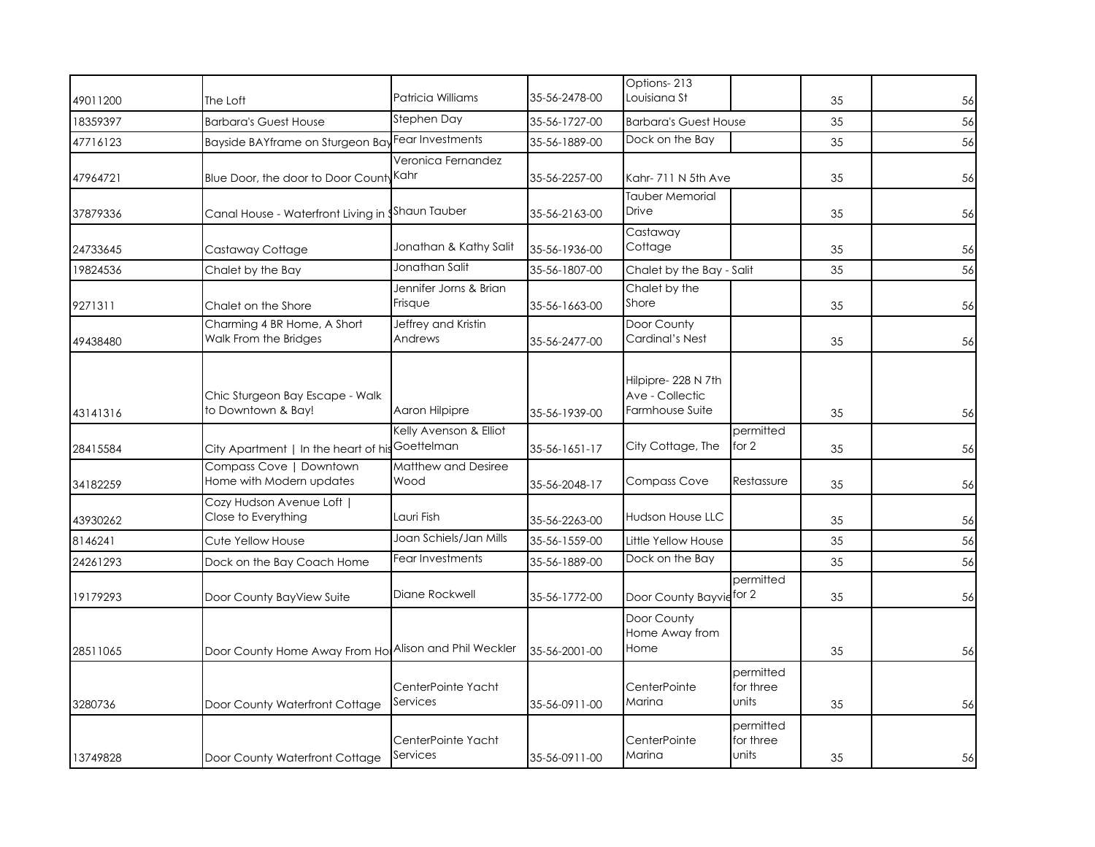|          |                                                       |                                      |               | Options-213                                              |                                 |    |    |
|----------|-------------------------------------------------------|--------------------------------------|---------------|----------------------------------------------------------|---------------------------------|----|----|
| 49011200 | The Loft                                              | Patricia Williams                    | 35-56-2478-00 | Louisiana St                                             |                                 | 35 | 56 |
| 18359397 | <b>Barbara's Guest House</b>                          | Stephen Day                          | 35-56-1727-00 | <b>Barbara's Guest House</b>                             |                                 | 35 | 56 |
| 47716123 | Bayside BAYframe on Sturgeon Ba                       | Fear Investments                     | 35-56-1889-00 | Dock on the Bay                                          |                                 | 35 | 56 |
| 47964721 | Blue Door, the door to Door County Kahr               | Veronica Fernandez                   | 35-56-2257-00 | Kahr- 711 N 5th Ave                                      |                                 | 35 | 56 |
| 37879336 | Canal House - Waterfront Living in Shaun Tauber       |                                      | 35-56-2163-00 | <b>Tauber Memorial</b><br><b>Drive</b>                   |                                 | 35 | 56 |
| 24733645 | Castaway Cottage                                      | Jonathan & Kathy Salit               | 35-56-1936-00 | Castaway<br>Cottage                                      |                                 | 35 | 56 |
| 19824536 | Chalet by the Bay                                     | Jonathan Salit                       | 35-56-1807-00 | Chalet by the Bay - Salit                                |                                 | 35 | 56 |
| 9271311  | Chalet on the Shore                                   | Jennifer Jorns & Brian<br>Frisque    | 35-56-1663-00 | Chalet by the<br>Shore                                   |                                 | 35 | 56 |
| 49438480 | Charming 4 BR Home, A Short<br>Walk From the Bridges  | Jeffrey and Kristin<br>Andrews       | 35-56-2477-00 | Door County<br>Cardinal's Nest                           |                                 | 35 | 56 |
| 43141316 | Chic Sturgeon Bay Escape - Walk<br>to Downtown & Bay! | Aaron Hilpipre                       | 35-56-1939-00 | Hilpipre-228 N 7th<br>Ave - Collectic<br>Farmhouse Suite |                                 | 35 | 56 |
| 28415584 | City Apartment   In the heart of his                  | Kelly Avenson & Elliot<br>Goettelman | 35-56-1651-17 | City Cottage, The                                        | permitted<br>for 2              | 35 | 56 |
| 34182259 | Compass Cove   Downtown<br>Home with Modern updates   | Matthew and Desiree<br>Wood          | 35-56-2048-17 | <b>Compass Cove</b>                                      | Restassure                      | 35 | 56 |
| 43930262 | Cozy Hudson Avenue Loft  <br>Close to Everything      | Lauri Fish                           | 35-56-2263-00 | Hudson House LLC                                         |                                 | 35 | 56 |
| 8146241  | Cute Yellow House                                     | Joan Schiels/Jan Mills               | 35-56-1559-00 | Little Yellow House                                      |                                 | 35 | 56 |
| 24261293 | Dock on the Bay Coach Home                            | Fear Investments                     | 35-56-1889-00 | Dock on the Bay                                          |                                 | 35 | 56 |
| 19179293 | Door County BayView Suite                             | Diane Rockwell                       | 35-56-1772-00 | Door County Bayvie for 2                                 | permitted                       | 35 | 56 |
| 28511065 | Door County Home Away From Ho Alison and Phil Weckler |                                      | 35-56-2001-00 | Door County<br>Home Away from<br>Home                    |                                 | 35 | 56 |
| 3280736  | Door County Waterfront Cottage                        | CenterPointe Yacht<br>Services       | 35-56-0911-00 | CenterPointe<br>Marina                                   | permitted<br>for three<br>units | 35 | 56 |
| 13749828 | Door County Waterfront Cottage                        | CenterPointe Yacht<br>Services       | 35-56-0911-00 | CenterPointe<br>Marina                                   | permitted<br>for three<br>units | 35 | 56 |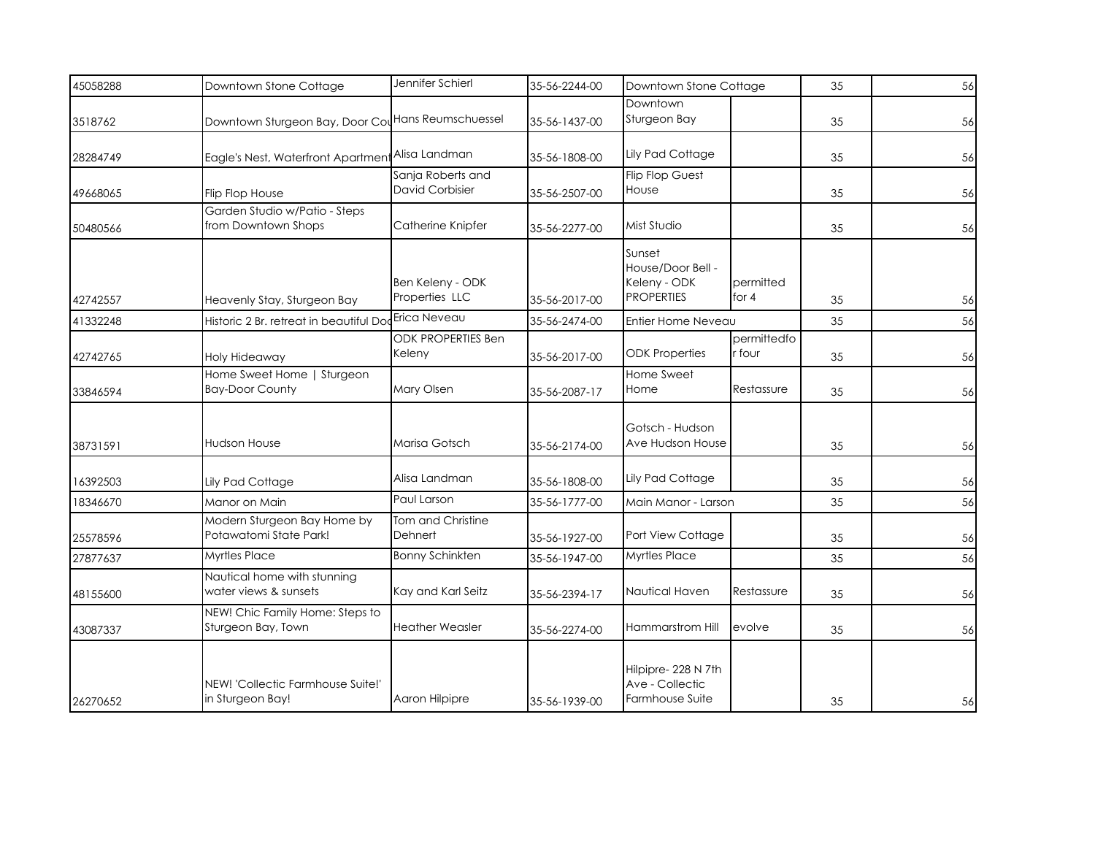| 45058288 | Downtown Stone Cottage                                      | Jennifer Schierl                            | 35-56-2244-00 | Downtown Stone Cottage                                           |                       | 35 | 56 |
|----------|-------------------------------------------------------------|---------------------------------------------|---------------|------------------------------------------------------------------|-----------------------|----|----|
| 3518762  | Downtown Sturgeon Bay, Door CouHans Reumschuessel           |                                             | 35-56-1437-00 | Downtown<br>Sturgeon Bay                                         |                       | 35 | 56 |
| 28284749 | Eagle's Nest, Waterfront Apartment <sup>Alisa</sup> Landman |                                             | 35-56-1808-00 | <b>Lily Pad Cottage</b>                                          |                       | 35 | 56 |
| 49668065 | <b>Flip Flop House</b>                                      | Sanja Roberts and<br><b>David Corbisier</b> | 35-56-2507-00 | <b>Flip Flop Guest</b><br>House                                  |                       | 35 | 56 |
| 50480566 | Garden Studio w/Patio - Steps<br>from Downtown Shops        | Catherine Knipfer                           | 35-56-2277-00 | Mist Studio                                                      |                       | 35 | 56 |
| 42742557 | Heavenly Stay, Sturgeon Bay                                 | Ben Keleny - ODK<br>Properties LLC          | 35-56-2017-00 | Sunset<br>House/Door Bell -<br>Keleny - ODK<br><b>PROPERTIES</b> | permitted<br>for $4$  | 35 | 56 |
| 41332248 | Historic 2 Br. retreat in beautiful Doc                     | Erica Neveau                                | 35-56-2474-00 | Entier Home Neveau                                               |                       | 35 | 56 |
| 42742765 | Holy Hideaway                                               | <b>ODK PROPERTIES Ben</b><br>Keleny         | 35-56-2017-00 | <b>ODK Properties</b>                                            | permittedfo<br>r four | 35 | 56 |
| 33846594 | Home Sweet Home   Sturgeon<br><b>Bay-Door County</b>        | Mary Olsen                                  | 35-56-2087-17 | Home Sweet<br>Home                                               | Restassure            | 35 | 56 |
| 38731591 | <b>Hudson House</b>                                         | Marisa Gotsch                               | 35-56-2174-00 | Gotsch - Hudson<br>Ave Hudson House                              |                       | 35 | 56 |
| 16392503 | Lily Pad Cottage                                            | Alisa Landman                               | 35-56-1808-00 | Lily Pad Cottage                                                 |                       | 35 | 56 |
| 18346670 | Manor on Main                                               | Paul Larson                                 | 35-56-1777-00 | Main Manor - Larson                                              |                       | 35 | 56 |
| 25578596 | Modern Sturgeon Bay Home by<br>Potawatomi State Park!       | Tom and Christine<br>Dehnert                | 35-56-1927-00 | Port View Cottage                                                |                       | 35 | 56 |
| 27877637 | Myrtles Place                                               | <b>Bonny Schinkten</b>                      | 35-56-1947-00 | <b>Myrtles Place</b>                                             |                       | 35 | 56 |
| 48155600 | Nautical home with stunning<br>water views & sunsets        | Kay and Karl Seitz                          | 35-56-2394-17 | Nautical Haven                                                   | Restassure            | 35 | 56 |
| 43087337 | NEW! Chic Family Home: Steps to<br>Sturgeon Bay, Town       | <b>Heather Weasler</b>                      | 35-56-2274-00 | Hammarstrom Hill                                                 | evolve                | 35 | 56 |
| 26270652 | NEW! 'Collectic Farmhouse Suite!'<br>in Sturgeon Bay!       | Aaron Hilpipre                              | 35-56-1939-00 | Hilpipre-228 N 7th<br>Ave - Collectic<br>Farmhouse Suite         |                       | 35 | 56 |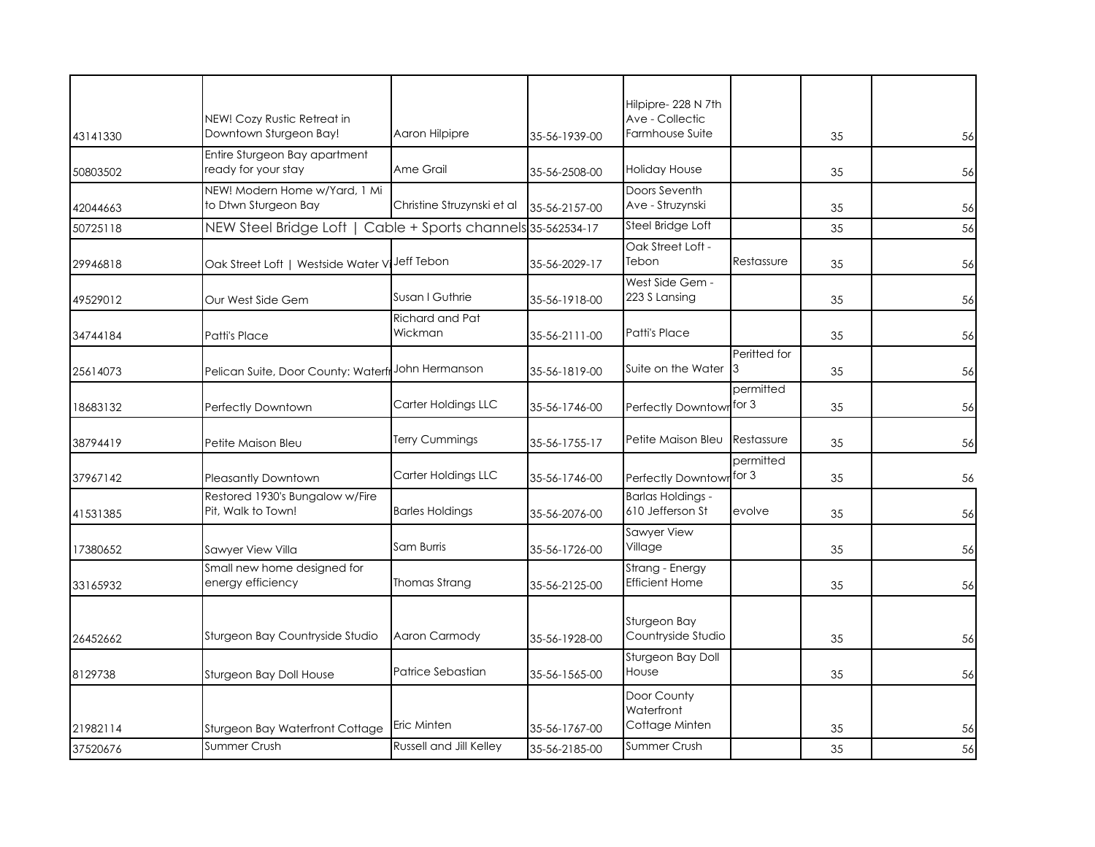| 43141330 | NEW! Cozy Rustic Retreat in<br>Downtown Sturgeon Bay!        | Aaron Hilpipre             | 35-56-1939-00 | Hilpipre-228 N 7th<br>Ave - Collectic<br>Farmhouse Suite |                    | 35 | 56 |
|----------|--------------------------------------------------------------|----------------------------|---------------|----------------------------------------------------------|--------------------|----|----|
| 50803502 | Entire Sturgeon Bay apartment<br>ready for your stay         | Ame Grail                  | 35-56-2508-00 | <b>Holiday House</b>                                     |                    | 35 | 56 |
| 42044663 | NEW! Modern Home w/Yard, 1 Mi<br>to Dtwn Sturgeon Bay        | Christine Struzynski et al | 35-56-2157-00 | Doors Seventh<br>Ave - Struzynski                        |                    | 35 | 56 |
| 50725118 | NEW Steel Bridge Loft   Cable + Sports channels 35-562534-17 |                            |               | Steel Bridge Loft                                        |                    | 35 | 56 |
| 29946818 | Oak Street Loft   Westside Water V                           | Jeff Tebon                 | 35-56-2029-17 | Oak Street Loft -<br>Tebon                               | Restassure         | 35 | 56 |
| 49529012 | Our West Side Gem                                            | Susan I Guthrie            | 35-56-1918-00 | West Side Gem -<br>223 S Lansing                         |                    | 35 | 56 |
| 34744184 | Patti's Place                                                | Richard and Pat<br>Wickman | 35-56-2111-00 | Patti's Place                                            |                    | 35 | 56 |
| 25614073 | Pelican Suite, Door County: Waterf                           | John Hermanson             | 35-56-1819-00 | Suite on the Water                                       | Peritted for<br>Ι3 | 35 | 56 |
| 18683132 | Perfectly Downtown                                           | Carter Holdings LLC        | 35-56-1746-00 | Perfectly Downtown for 3                                 | permitted          | 35 | 56 |
| 38794419 | Petite Maison Bleu                                           | Terry Cummings             | 35-56-1755-17 | Petite Maison Bleu                                       | Restassure         | 35 | 56 |
| 37967142 | <b>Pleasantly Downtown</b>                                   | Carter Holdings LLC        | 35-56-1746-00 | Perfectly Downtown for 3                                 | permitted          | 35 | 56 |
| 41531385 | Restored 1930's Bungalow w/Fire<br>Pit, Walk to Town!        | <b>Barles Holdings</b>     | 35-56-2076-00 | <b>Barlas Holdings -</b><br>610 Jefferson St             | evolve             | 35 | 56 |
| 17380652 | Sawyer View Villa                                            | Sam Burris                 | 35-56-1726-00 | <b>Sawyer View</b><br>Village                            |                    | 35 | 56 |
| 33165932 | Small new home designed for<br>energy efficiency             | Thomas Strang              | 35-56-2125-00 | Strang - Energy<br><b>Efficient Home</b>                 |                    | 35 | 56 |
| 26452662 | Sturgeon Bay Countryside Studio                              | Aaron Carmody              | 35-56-1928-00 | Sturgeon Bay<br>Countryside Studio                       |                    | 35 | 56 |
| 8129738  | Sturgeon Bay Doll House                                      | Patrice Sebastian          | 35-56-1565-00 | Sturgeon Bay Doll<br>House                               |                    | 35 | 56 |
| 21982114 | Sturgeon Bay Waterfront Cottage                              | Eric Minten                | 35-56-1767-00 | Door County<br>Waterfront<br>Cottage Minten              |                    | 35 | 56 |
| 37520676 | Summer Crush                                                 | Russell and Jill Kelley    | 35-56-2185-00 | Summer Crush                                             |                    | 35 | 56 |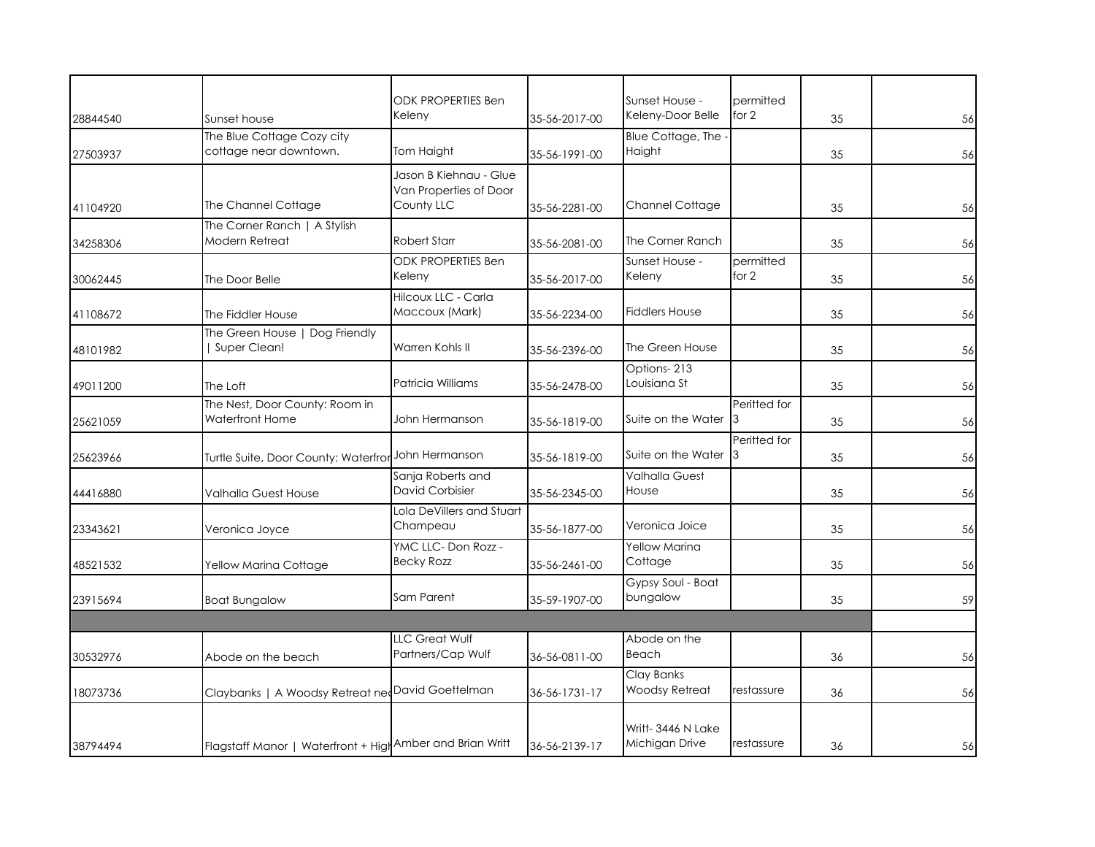| 28844540 | Sunset house                                              | <b>ODK PROPERTIES Ben</b><br>Keleny              | 35-56-2017-00 | Sunset House -<br>Keleny-Door Belle  | permitted<br>for $2$ | 35 | 56 |
|----------|-----------------------------------------------------------|--------------------------------------------------|---------------|--------------------------------------|----------------------|----|----|
|          | The Blue Cottage Cozy city                                |                                                  |               | Blue Cottage, The                    |                      |    |    |
| 27503937 | cottage near downtown.                                    | Tom Haight                                       | 35-56-1991-00 | Haight                               |                      | 35 | 56 |
|          |                                                           | Jason B Kiehnau - Glue<br>Van Properties of Door |               |                                      |                      |    |    |
| 41104920 | The Channel Cottage                                       | County LLC                                       | 35-56-2281-00 | Channel Cottage                      |                      | 35 | 56 |
| 34258306 | The Corner Ranch   A Stylish<br>Modern Retreat            | <b>Robert Starr</b>                              | 35-56-2081-00 | The Corner Ranch                     |                      | 35 | 56 |
| 30062445 | The Door Belle                                            | <b>ODK PROPERTIES Ben</b><br>Keleny              | 35-56-2017-00 | Sunset House -<br>Keleny             | permitted<br>for $2$ | 35 | 56 |
| 41108672 | The Fiddler House                                         | Hilcoux LLC - Carla<br>Maccoux (Mark)            | 35-56-2234-00 | <b>Fiddlers House</b>                |                      | 35 | 56 |
| 48101982 | The Green House   Dog Friendly<br>Super Clean!            | Warren Kohls II                                  | 35-56-2396-00 | The Green House                      |                      | 35 | 56 |
| 49011200 | The Loft                                                  | Patricia Williams                                | 35-56-2478-00 | Options-213<br>Louisiana St          |                      | 35 | 56 |
| 25621059 | The Nest, Door County: Room in<br>Waterfront Home         | John Hermanson                                   | 35-56-1819-00 | Suite on the Water                   | Peritted for<br>3    | 35 | 56 |
| 25623966 | Turtle Suite, Door County: Waterfror                      | John Hermanson                                   | 35-56-1819-00 | Suite on the Water                   | Peritted for<br>Ι3   | 35 | 56 |
| 44416880 | Valhalla Guest House                                      | Sanja Roberts and<br><b>David Corbisier</b>      | 35-56-2345-00 | <b>Valhalla Guest</b><br>House       |                      | 35 | 56 |
| 23343621 | Veronica Joyce                                            | Lola DeVillers and Stuart<br>Champeau            | 35-56-1877-00 | Veronica Joice                       |                      | 35 | 56 |
| 48521532 | Yellow Marina Cottage                                     | YMC LLC-Don Rozz -<br><b>Becky Rozz</b>          | 35-56-2461-00 | Yellow Marina<br>Cottage             |                      | 35 | 56 |
| 23915694 | <b>Boat Bungalow</b>                                      | Sam Parent                                       | 35-59-1907-00 | Gypsy Soul - Boat<br>bungalow        |                      | 35 | 59 |
|          |                                                           |                                                  |               |                                      |                      |    |    |
| 30532976 | Abode on the beach                                        | LLC Great Wulf<br>Partners/Cap Wulf              | 36-56-0811-00 | Abode on the<br>Beach                |                      | 36 | 56 |
| 18073736 | Claybanks   A Woodsy Retreat nedDavid Goettelman          |                                                  | 36-56-1731-17 | Clay Banks<br>Woodsy Retreat         | restassure           | 36 | 56 |
| 38794494 | Flagstaff Manor   Waterfront + High Amber and Brian Writt |                                                  | 36-56-2139-17 | Writt- 3446 N Lake<br>Michigan Drive | restassure           | 36 | 56 |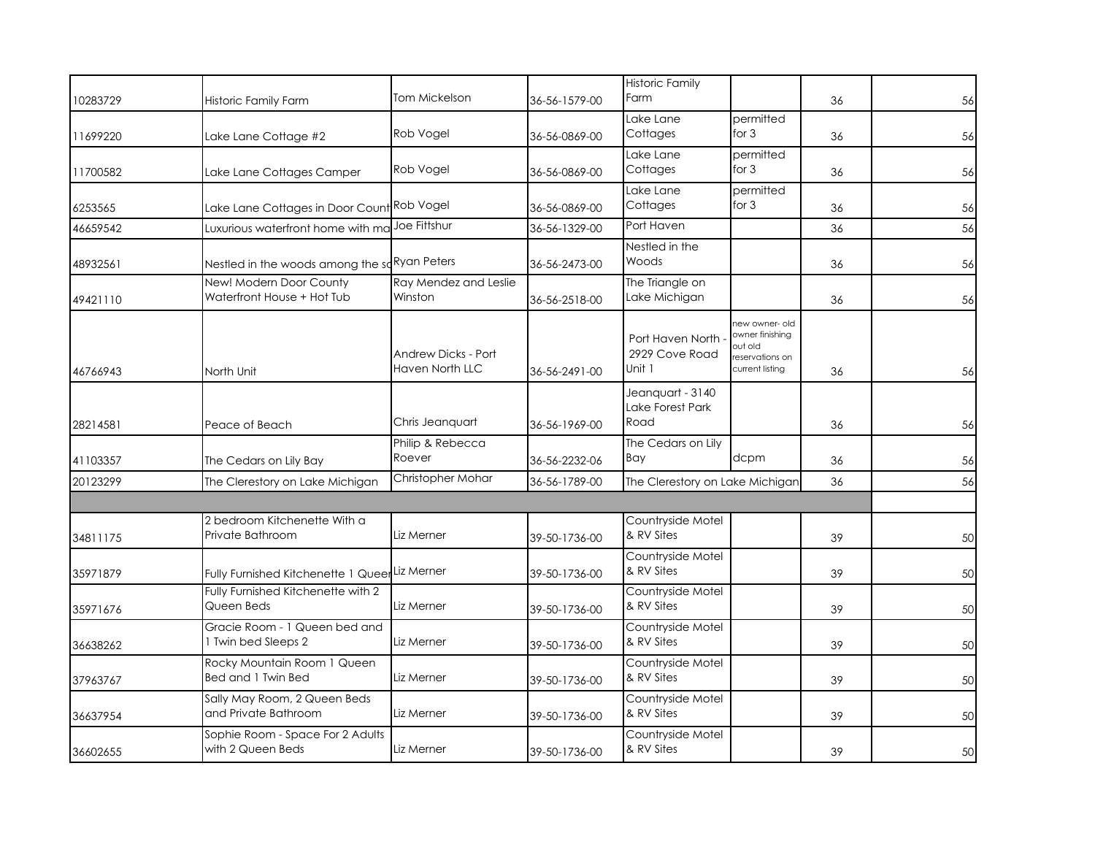| 10283729 | Historic Family Farm                                  | Tom Mickelson                                 | 36-56-1579-00 | <b>Historic Family</b><br>Farm               |                                                                                    | 36 | 56 |
|----------|-------------------------------------------------------|-----------------------------------------------|---------------|----------------------------------------------|------------------------------------------------------------------------------------|----|----|
| 11699220 | Lake Lane Cottage #2                                  | Rob Vogel                                     | 36-56-0869-00 | Lake Lane<br>Cottages                        | permitted<br>for $3$                                                               | 36 | 56 |
| 11700582 | Lake Lane Cottages Camper                             | Rob Vogel                                     | 36-56-0869-00 | Lake Lane<br>Cottages                        | permitted<br>for $3$                                                               | 36 | 56 |
| 6253565  | Lake Lane Cottages in Door Count Rob Vogel            |                                               | 36-56-0869-00 | Lake Lane<br>Cottages                        | permitted<br>for $3$                                                               | 36 | 56 |
| 46659542 | Luxurious waterfront home with mo                     | Joe Fittshur                                  | 36-56-1329-00 | Port Haven                                   |                                                                                    | 36 | 56 |
| 48932561 | Nestled in the woods among the saRyan Peters          |                                               | 36-56-2473-00 | Nestled in the<br>Woods                      |                                                                                    | 36 | 56 |
| 49421110 | New! Modern Door County<br>Waterfront House + Hot Tub | Ray Mendez and Leslie<br>Winston              | 36-56-2518-00 | The Triangle on<br>Lake Michigan             |                                                                                    | 36 | 56 |
| 46766943 | North Unit                                            | <b>Andrew Dicks - Port</b><br>Haven North LLC | 36-56-2491-00 | Port Haven North<br>2929 Cove Road<br>Unit 1 | new owner- old<br>owner finishing<br>out old<br>reservations on<br>current listing | 36 | 56 |
| 28214581 | Peace of Beach                                        | Chris Jeanquart                               | 36-56-1969-00 | Jeanguart - 3140<br>Lake Forest Park<br>Road |                                                                                    | 36 | 56 |
| 41103357 | The Cedars on Lily Bay                                | Philip & Rebecca<br>Roever                    | 36-56-2232-06 | The Cedars on Lily<br>Bay                    | dcpm                                                                               | 36 | 56 |
| 20123299 | The Clerestory on Lake Michigan                       | Christopher Mohar                             | 36-56-1789-00 | The Clerestory on Lake Michigan              |                                                                                    | 36 | 56 |
| 34811175 | 2 bedroom Kitchenette With a<br>Private Bathroom      | Liz Merner                                    | 39-50-1736-00 | Countryside Motel<br>& RV Sites              |                                                                                    | 39 | 50 |
| 35971879 | Fully Furnished Kitchenette 1 QueerLiz Merner         |                                               | 39-50-1736-00 | Countryside Motel<br>& RV Sites              |                                                                                    | 39 | 50 |
| 35971676 | Fully Furnished Kitchenette with 2<br>Queen Beds      | Liz Merner                                    | 39-50-1736-00 | Countryside Motel<br>& RV Sites              |                                                                                    | 39 | 50 |
| 36638262 | Gracie Room - 1 Queen bed and<br>1 Twin bed Sleeps 2  | Liz Merner                                    | 39-50-1736-00 | Countryside Motel<br>& RV Sites              |                                                                                    | 39 | 50 |
| 37963767 | Rocky Mountain Room 1 Queen<br>Bed and 1 Twin Bed     | Liz Merner                                    | 39-50-1736-00 | Countryside Motel<br>& RV Sites              |                                                                                    | 39 | 50 |
| 36637954 | Sally May Room, 2 Queen Beds<br>and Private Bathroom  | Liz Merner                                    | 39-50-1736-00 | Countryside Motel<br>& RV Sites              |                                                                                    | 39 | 50 |
| 36602655 | Sophie Room - Space For 2 Adults<br>with 2 Queen Beds | Liz Merner                                    | 39-50-1736-00 | Countryside Motel<br>& RV Sites              |                                                                                    | 39 | 50 |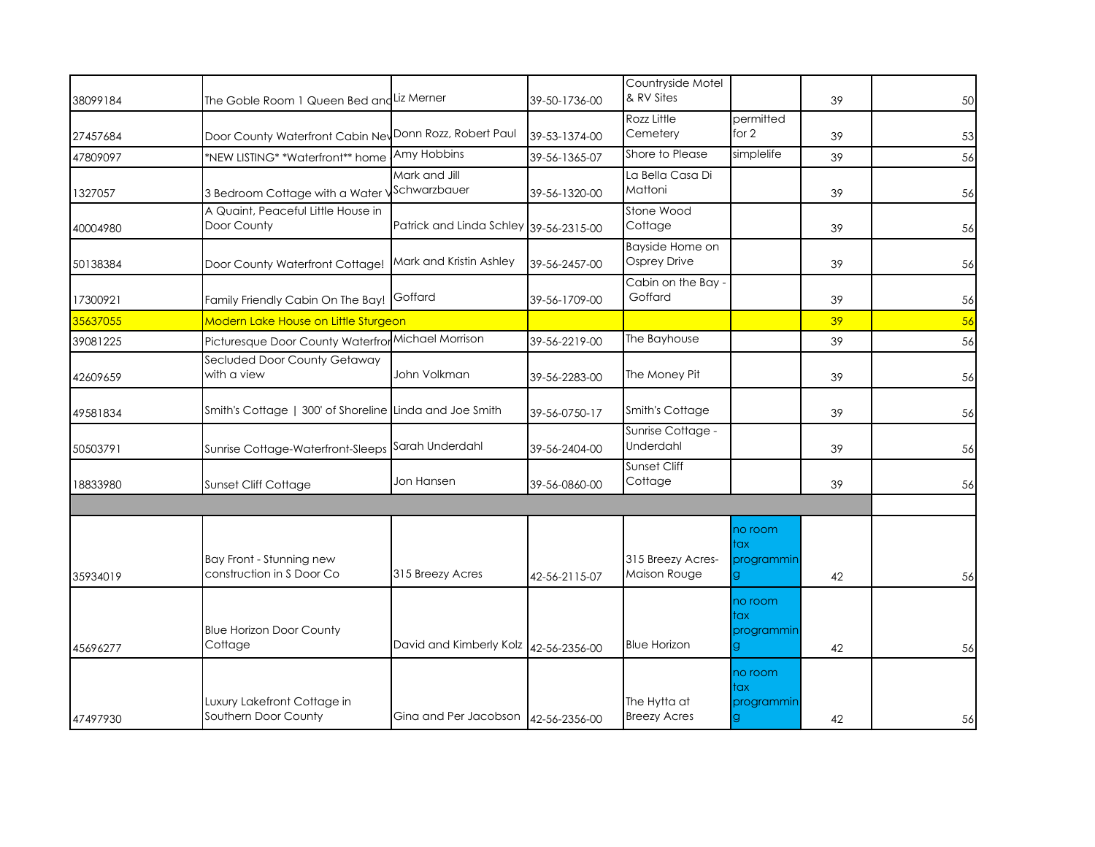|          |                                                         |                                         |               | Countryside Motel                   |                                   |    |    |
|----------|---------------------------------------------------------|-----------------------------------------|---------------|-------------------------------------|-----------------------------------|----|----|
| 38099184 | The Goble Room 1 Queen Bed and Liz Merner               |                                         | 39-50-1736-00 | & RV Sites                          |                                   | 39 | 50 |
| 27457684 | Door County Waterfront Cabin Nev Donn Rozz, Robert Paul |                                         | 39-53-1374-00 | Rozz Little<br>Cemetery             | permitted<br>for 2                | 39 | 53 |
| 47809097 | *NEW LISTING* *Waterfront** home                        | Amy Hobbins                             | 39-56-1365-07 | Shore to Please                     | simplelife                        | 39 | 56 |
| 1327057  | 3 Bedroom Cottage with a Water '                        | Mark and Jill<br>Schwarzbauer           | 39-56-1320-00 | La Bella Casa Di<br>Mattoni         |                                   | 39 | 56 |
| 40004980 | A Quaint, Peaceful Little House in<br>Door County       | Patrick and Linda Schley 39-56-2315-00  |               | Stone Wood<br>Cottage               |                                   | 39 | 56 |
| 50138384 | Door County Waterfront Cottage!                         | Mark and Kristin Ashley                 | 39-56-2457-00 | Bayside Home on<br>Osprey Drive     |                                   | 39 | 56 |
| 17300921 | Family Friendly Cabin On The Bay! Goffard               |                                         | 39-56-1709-00 | Cabin on the Bay -<br>Goffard       |                                   | 39 | 56 |
| 35637055 | Modern Lake House on Little Sturgeon                    |                                         |               |                                     |                                   | 39 | 56 |
| 39081225 | Picturesque Door County Waterfror                       | Michael Morrison                        | 39-56-2219-00 | The Bayhouse                        |                                   | 39 | 56 |
| 42609659 | Secluded Door County Getaway<br>with a view             | John Volkman                            | 39-56-2283-00 | The Money Pit                       |                                   | 39 | 56 |
| 49581834 | Smith's Cottage   300' of Shoreline Linda and Joe Smith |                                         | 39-56-0750-17 | Smith's Cottage                     |                                   | 39 | 56 |
| 50503791 | Sunrise Cottage-Waterfront-Sleeps                       | Sarah Underdahl                         | 39-56-2404-00 | Sunrise Cottage -<br>Underdahl      |                                   | 39 | 56 |
| 18833980 | Sunset Cliff Cottage                                    | Jon Hansen                              | 39-56-0860-00 | <b>Sunset Cliff</b><br>Cottage      |                                   | 39 | 56 |
|          |                                                         |                                         |               |                                     |                                   |    |    |
| 35934019 | Bay Front - Stunning new<br>construction in S Door Co   | 315 Breezy Acres                        | 42-56-2115-07 | 315 Breezy Acres-<br>Maison Rouge   | no room<br>tax<br>programmin      | 42 | 56 |
| 45696277 | <b>Blue Horizon Door County</b><br>Cottage              | David and Kimberly Kolz   42-56-2356-00 |               | <b>Blue Horizon</b>                 | no room<br>tax<br>programmin<br>g | 42 | 56 |
| 47497930 | Luxury Lakefront Cottage in<br>Southern Door County     | Gina and Per Jacobson   42-56-2356-00   |               | The Hytta at<br><b>Breezy Acres</b> | no room<br>tax<br>programmin      | 42 | 56 |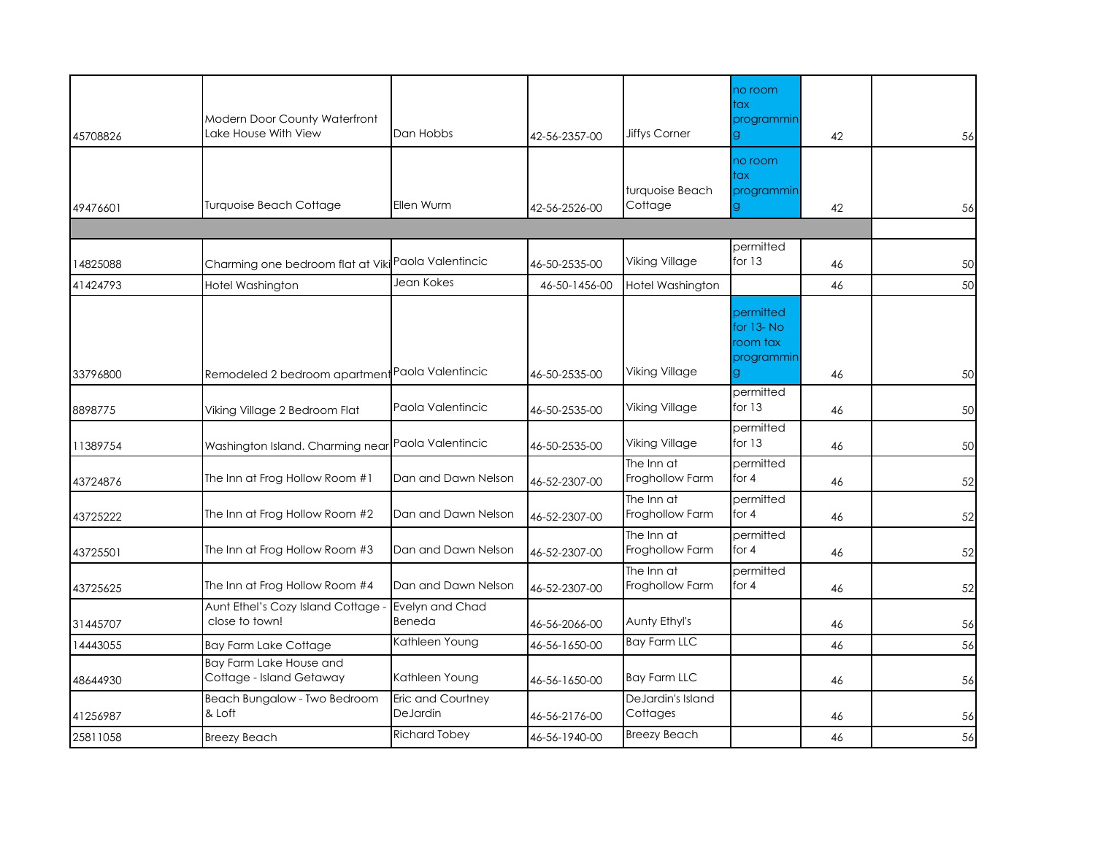| 45708826 | <b>Modern Door County Waterfront</b><br>Lake House With View | Dan Hobbs                     | 42-56-2357-00 | <b>Jiffys Corner</b>          | no room<br>tax<br>programmin<br>g                | 42 | 56 |
|----------|--------------------------------------------------------------|-------------------------------|---------------|-------------------------------|--------------------------------------------------|----|----|
| 49476601 | <b>Turquoise Beach Cottage</b>                               | Ellen Wurm                    | 42-56-2526-00 | turquoise Beach<br>Cottage    | no room<br>tax<br>programmin                     | 42 | 56 |
|          |                                                              |                               |               |                               |                                                  |    |    |
| 14825088 | Charming one bedroom flat at Viki Paola Valentincic          |                               | 46-50-2535-00 | Viking Village                | permitted<br>for $13$                            | 46 | 50 |
| 41424793 | Hotel Washington                                             | Jean Kokes                    | 46-50-1456-00 | Hotel Washington              |                                                  | 46 | 50 |
| 33796800 | Remodeled 2 bedroom apartment Paola Valentincic              |                               | 46-50-2535-00 | Viking Village                | permitted<br>for 13-No<br>room tax<br>programmin | 46 | 50 |
| 8898775  | Viking Village 2 Bedroom Flat                                | Paola Valentincic             | 46-50-2535-00 | Viking Village                | permitted<br>for $13$                            | 46 | 50 |
| 11389754 | Washington Island. Charming near Paola Valentincic           |                               | 46-50-2535-00 | <b>Viking Village</b>         | permitted<br>for $13$                            | 46 | 50 |
| 43724876 | The Inn at Frog Hollow Room #1                               | Dan and Dawn Nelson           | 46-52-2307-00 | The Inn at<br>Froghollow Farm | permitted<br>for $4$                             | 46 | 52 |
| 43725222 | The Inn at Frog Hollow Room #2                               | Dan and Dawn Nelson           | 46-52-2307-00 | The Inn at<br>Froghollow Farm | permitted<br>for $4$                             | 46 | 52 |
| 43725501 | The Inn at Frog Hollow Room #3                               | Dan and Dawn Nelson           | 46-52-2307-00 | The Inn at<br>Froghollow Farm | permitted<br>for $4$                             | 46 | 52 |
| 43725625 | The Inn at Frog Hollow Room #4                               | Dan and Dawn Nelson           | 46-52-2307-00 | The Inn at<br>Froghollow Farm | permitted<br>for $4$                             | 46 | 52 |
| 31445707 | Aunt Ethel's Cozy Island Cottage -<br>close to town!         | Evelyn and Chad<br>Beneda     | 46-56-2066-00 | Aunty Ethyl's                 |                                                  | 46 | 56 |
| 14443055 | <b>Bay Farm Lake Cottage</b>                                 | Kathleen Young                | 46-56-1650-00 | <b>Bay Farm LLC</b>           |                                                  | 46 | 56 |
| 48644930 | <b>Bay Farm Lake House and</b><br>Cottage - Island Getaway   | Kathleen Young                | 46-56-1650-00 | <b>Bay Farm LLC</b>           |                                                  | 46 | 56 |
| 41256987 | Beach Bungalow - Two Bedroom<br>& Loft                       | Eric and Courtney<br>DeJardin | 46-56-2176-00 | DeJardin's Island<br>Cottages |                                                  | 46 | 56 |
| 25811058 | <b>Breezy Beach</b>                                          | <b>Richard Tobey</b>          | 46-56-1940-00 | <b>Breezy Beach</b>           |                                                  | 46 | 56 |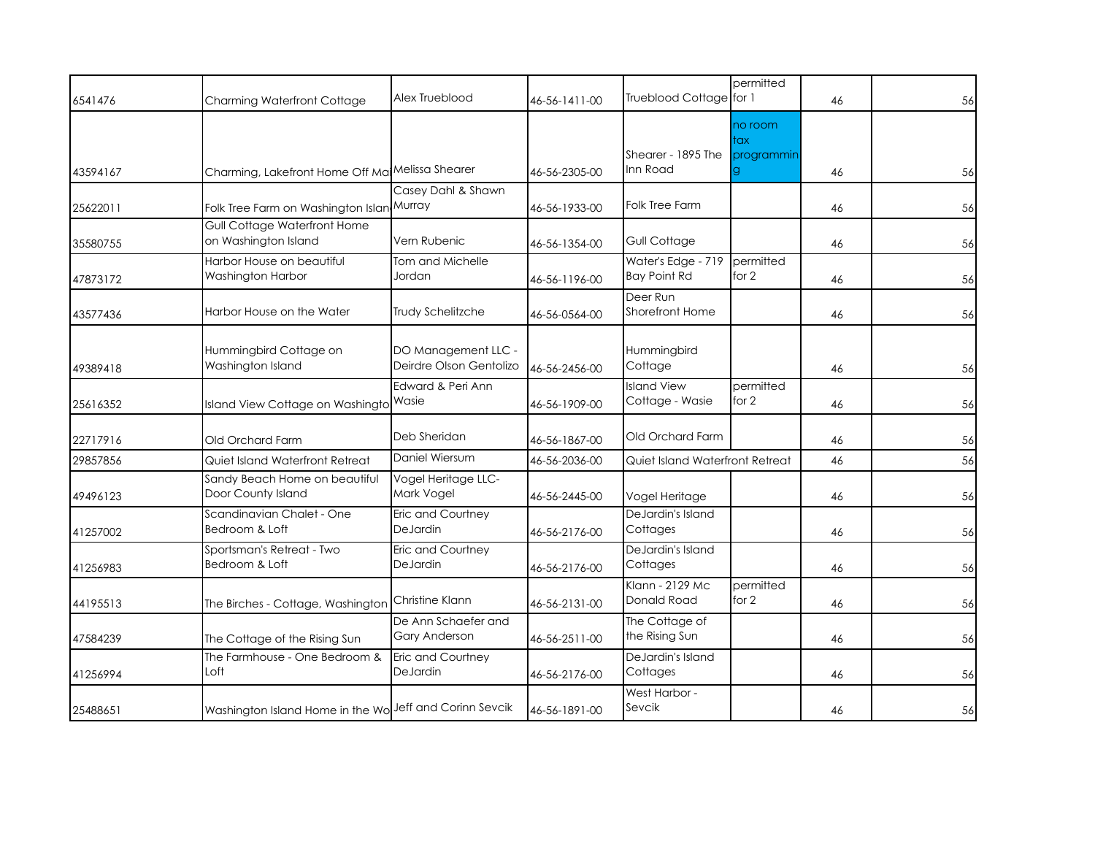| 6541476  | Charming Waterfront Cottage                             | Alex Trueblood                                 | 46-56-1411-00 | Trueblood Cottage for 1                   | permitted                    | 46 | 56 |
|----------|---------------------------------------------------------|------------------------------------------------|---------------|-------------------------------------------|------------------------------|----|----|
| 43594167 | Charming, Lakefront Home Off Ma Melissa Shearer         |                                                | 46-56-2305-00 | Shearer - 1895 The<br>Inn Road            | no room<br>tax<br>programmin | 46 | 56 |
| 25622011 | Folk Tree Farm on Washington Islan Murray               | Casey Dahl & Shawn                             | 46-56-1933-00 | Folk Tree Farm                            |                              | 46 | 56 |
| 35580755 | Gull Cottage Waterfront Home<br>on Washington Island    | Vern Rubenic                                   | 46-56-1354-00 | Gull Cottage                              |                              | 46 | 56 |
| 47873172 | Harbor House on beautiful<br>Washington Harbor          | Tom and Michelle<br>Jordan                     | 46-56-1196-00 | Water's Edge - 719<br><b>Bay Point Rd</b> | permitted<br>for 2           | 46 | 56 |
| 43577436 | Harbor House on the Water                               | Trudy Schelitzche                              | 46-56-0564-00 | Deer Run<br><b>Shorefront Home</b>        |                              | 46 | 56 |
| 49389418 | Hummingbird Cottage on<br>Washington Island             | DO Management LLC -<br>Deirdre Olson Gentolizo | 46-56-2456-00 | Hummingbird<br>Cottage                    |                              | 46 | 56 |
| 25616352 | Island View Cottage on Washingto Wasie                  | Edward & Peri Ann                              | 46-56-1909-00 | <b>Island View</b><br>Cottage - Wasie     | permitted<br>for 2           | 46 | 56 |
| 22717916 | Old Orchard Farm                                        | Deb Sheridan                                   | 46-56-1867-00 | Old Orchard Farm                          |                              | 46 | 56 |
| 29857856 | Quiet Island Waterfront Retreat                         | Daniel Wiersum                                 | 46-56-2036-00 | Quiet Island Waterfront Retreat           |                              | 46 | 56 |
| 49496123 | Sandy Beach Home on beautiful<br>Door County Island     | Vogel Heritage LLC-<br>Mark Vogel              | 46-56-2445-00 | Vogel Heritage                            |                              | 46 | 56 |
| 41257002 | Scandinavian Chalet - One<br>Bedroom & Loft             | Eric and Courtney<br>DeJardin                  | 46-56-2176-00 | DeJardin's Island<br>Cottages             |                              | 46 | 56 |
| 41256983 | Sportsman's Retreat - Two<br>Bedroom & Loft             | Eric and Courtney<br>DeJardin                  | 46-56-2176-00 | DeJardin's Island<br>Cottages             |                              | 46 | 56 |
| 44195513 | The Birches - Cottage, Washington                       | Christine Klann                                | 46-56-2131-00 | Klann - 2129 Mc<br>Donald Road            | permitted<br>for 2           | 46 | 56 |
| 47584239 | The Cottage of the Rising Sun                           | De Ann Schaefer and<br>Gary Anderson           | 46-56-2511-00 | The Cottage of<br>the Rising Sun          |                              | 46 | 56 |
| 41256994 | The Farmhouse - One Bedroom &<br>Loft                   | <b>Eric and Courtney</b><br>DeJardin           | 46-56-2176-00 | DeJardin's Island<br>Cottages             |                              | 46 | 56 |
| 25488651 | Washington Island Home in the Wo Jeff and Corinn Sevcik |                                                | 46-56-1891-00 | West Harbor -<br>Sevcik                   |                              | 46 | 56 |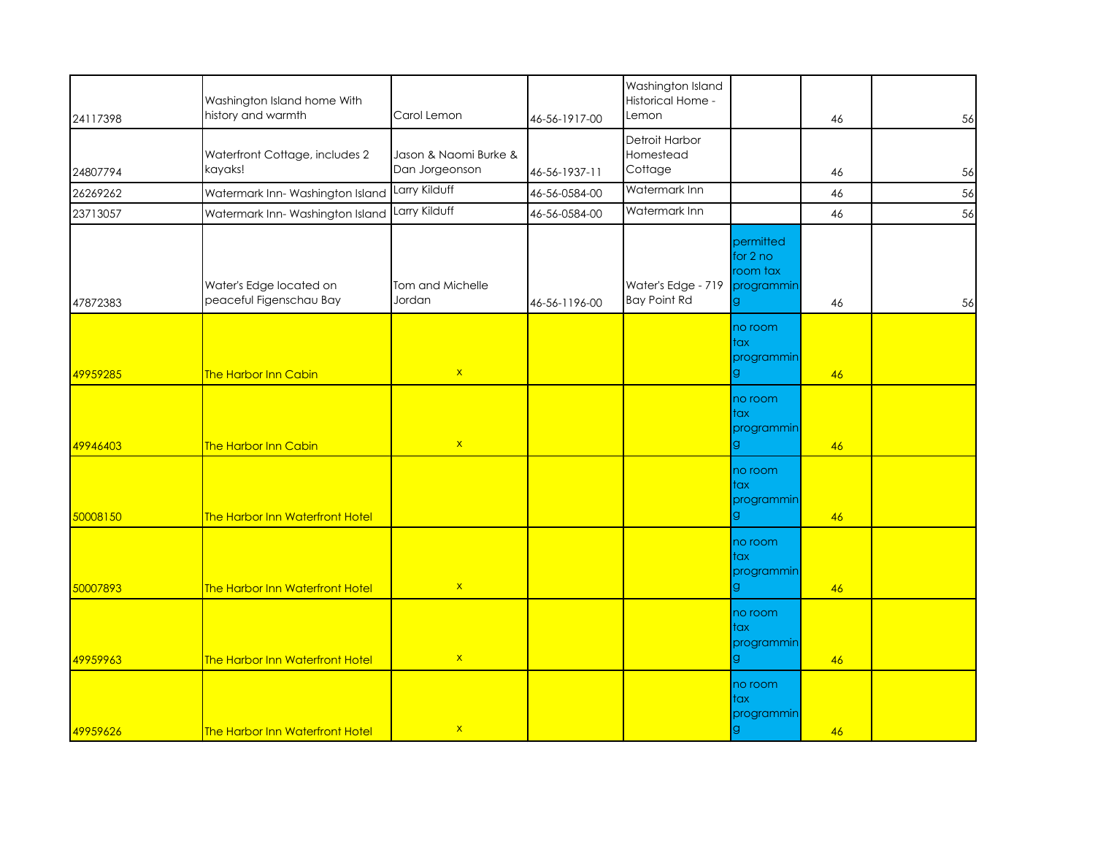| 24117398 | Washington Island home With<br>history and warmth  | Carol Lemon                             | 46-56-1917-00 | Washington Island<br>Historical Home -<br>Lemon |                                                 | 46 | 56 |
|----------|----------------------------------------------------|-----------------------------------------|---------------|-------------------------------------------------|-------------------------------------------------|----|----|
| 24807794 | Waterfront Cottage, includes 2<br>kayaks!          | Jason & Naomi Burke &<br>Dan Jorgeonson | 46-56-1937-11 | Detroit Harbor<br>Homestead<br>Cottage          |                                                 | 46 | 56 |
| 26269262 | Watermark Inn-Washington Island                    | Larry Kilduff                           | 46-56-0584-00 | Watermark Inn                                   |                                                 | 46 | 56 |
| 23713057 | Watermark Inn-Washington Island                    | Larry Kilduff                           | 46-56-0584-00 | Watermark Inn                                   |                                                 | 46 | 56 |
| 47872383 | Water's Edge located on<br>peaceful Figenschau Bay | Tom and Michelle<br>Jordan              | 46-56-1196-00 | Water's Edge - 719<br><b>Bay Point Rd</b>       | permitted<br>for 2 no<br>room tax<br>programmin | 46 | 56 |
| 49959285 | The Harbor Inn Cabin                               | $\mathsf{X}$                            |               |                                                 | no room<br>tax<br>programmin                    | 46 |    |
| 49946403 | The Harbor Inn Cabin                               | $\mathsf{X}$                            |               |                                                 | no room<br>tax<br>programmin                    | 46 |    |
| 50008150 | The Harbor Inn Waterfront Hotel                    |                                         |               |                                                 | no room<br>tax<br>programmin                    | 46 |    |
| 50007893 | The Harbor Inn Waterfront Hotel                    | $\mathsf X$                             |               |                                                 | no room<br>tax<br>programmin                    | 46 |    |
| 49959963 | The Harbor Inn Waterfront Hotel                    | $\mathsf X$                             |               |                                                 | no room<br>tax<br>programmin                    | 46 |    |
| 49959626 | <b>The Harbor Inn Waterfront Hotel</b>             | $\mathsf{X}$                            |               |                                                 | no room<br>tax<br>programmin                    | 46 |    |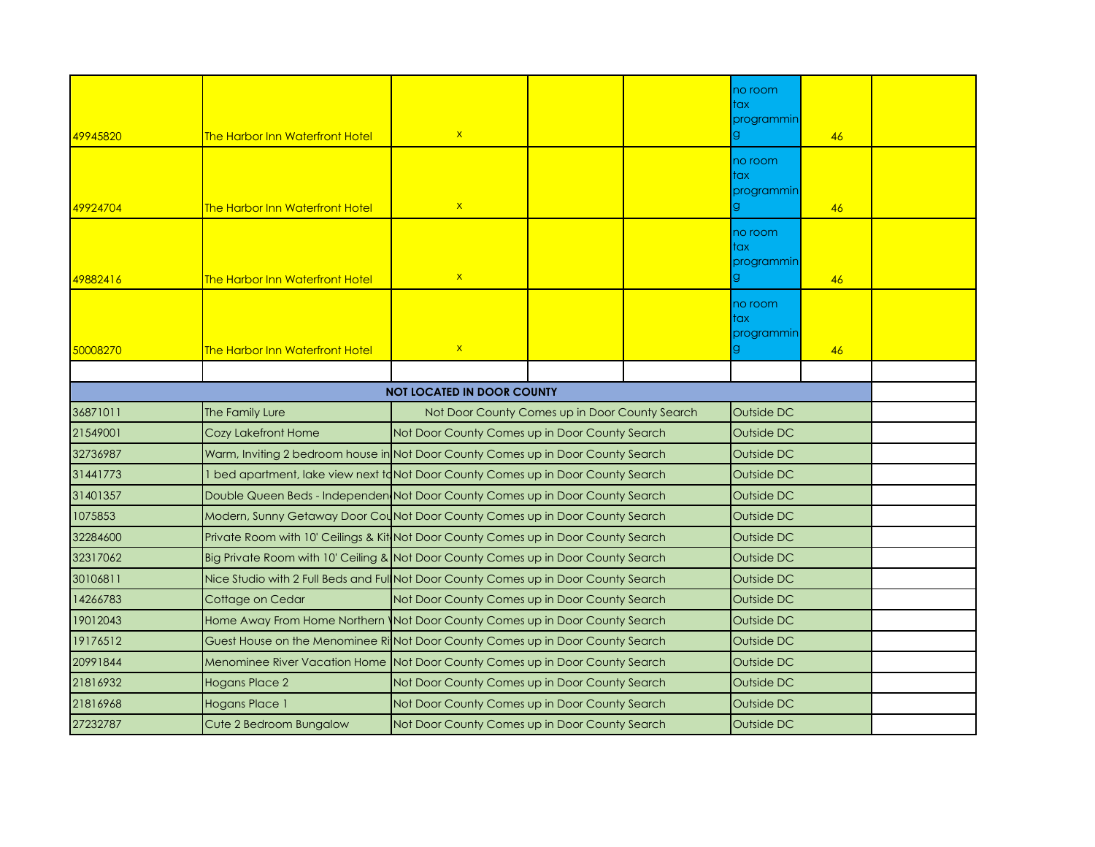| 49945820                          | <b>The Harbor Inn Waterfront Hotel</b>                                               | $\mathsf X$                                    |            |  | no room<br>tax<br>programmin<br>g. | 46 |  |
|-----------------------------------|--------------------------------------------------------------------------------------|------------------------------------------------|------------|--|------------------------------------|----|--|
| 49924704                          | <b>The Harbor Inn Waterfront Hotel</b>                                               | $\mathsf{X}$                                   |            |  | no room<br>tax<br>programmin       | 46 |  |
| 49882416                          | <b>The Harbor Inn Waterfront Hotel</b>                                               | $\mathsf{x}$                                   |            |  | no room<br>tax<br>programmin<br>g. | 46 |  |
| 50008270                          | <b>The Harbor Inn Waterfront Hotel</b>                                               | $\mathsf{x}$                                   |            |  | no room<br>tax<br>programmin       | 46 |  |
|                                   |                                                                                      |                                                |            |  |                                    |    |  |
| <b>NOT LOCATED IN DOOR COUNTY</b> |                                                                                      |                                                |            |  |                                    |    |  |
| 36871011                          | The Family Lure                                                                      | Not Door County Comes up in Door County Search |            |  |                                    |    |  |
| 21549001                          | <b>Cozy Lakefront Home</b>                                                           | Not Door County Comes up in Door County Search | Outside DC |  |                                    |    |  |
| 32736987                          | Warm, Inviting 2 bedroom house in Not Door County Comes up in Door County Search     |                                                |            |  |                                    |    |  |
| 31441773                          | 1 bed apartment, lake view next t $d$ Not Door County Comes up in Door County Search |                                                |            |  |                                    |    |  |
| 31401357                          | Double Queen Beds - Independen Not Door County Comes up in Door County Search        |                                                |            |  | Outside DC                         |    |  |
| 1075853                           | Modern, Sunny Getaway Door Counot Door County Comes up in Door County Search         |                                                |            |  | Outside DC                         |    |  |
| 32284600                          | Private Room with 10' Ceilings & Kit Not Door County Comes up in Door County Search  |                                                |            |  | Outside DC                         |    |  |
| 32317062                          | Big Private Room with 10' Ceiling & Not Door County Comes up in Door County Search   |                                                |            |  | Outside DC                         |    |  |
| 30106811                          | Nice Studio with 2 Full Beds and Ful Not Door County Comes up in Door County Search  |                                                |            |  | Outside DC                         |    |  |
| 14266783                          | Cottage on Cedar                                                                     | Not Door County Comes up in Door County Search |            |  | Outside DC                         |    |  |
| 19012043                          | Home Away From Home Northern   Not Door County Comes up in Door County Search        |                                                |            |  | Outside DC                         |    |  |
| 19176512                          | Guest House on the Menominee Ri Not Door County Comes up in Door County Search       |                                                |            |  | Outside DC                         |    |  |
| 20991844                          | Menominee River Vacation Home Not Door County Comes up in Door County Search         |                                                |            |  | Outside DC                         |    |  |
| 21816932                          | <b>Hogans Place 2</b>                                                                | Not Door County Comes up in Door County Search |            |  | Outside DC                         |    |  |
| 21816968                          | Hogans Place 1                                                                       | Not Door County Comes up in Door County Search |            |  | Outside DC                         |    |  |
| 27232787                          | Cute 2 Bedroom Bungalow                                                              | Not Door County Comes up in Door County Search |            |  | Outside DC                         |    |  |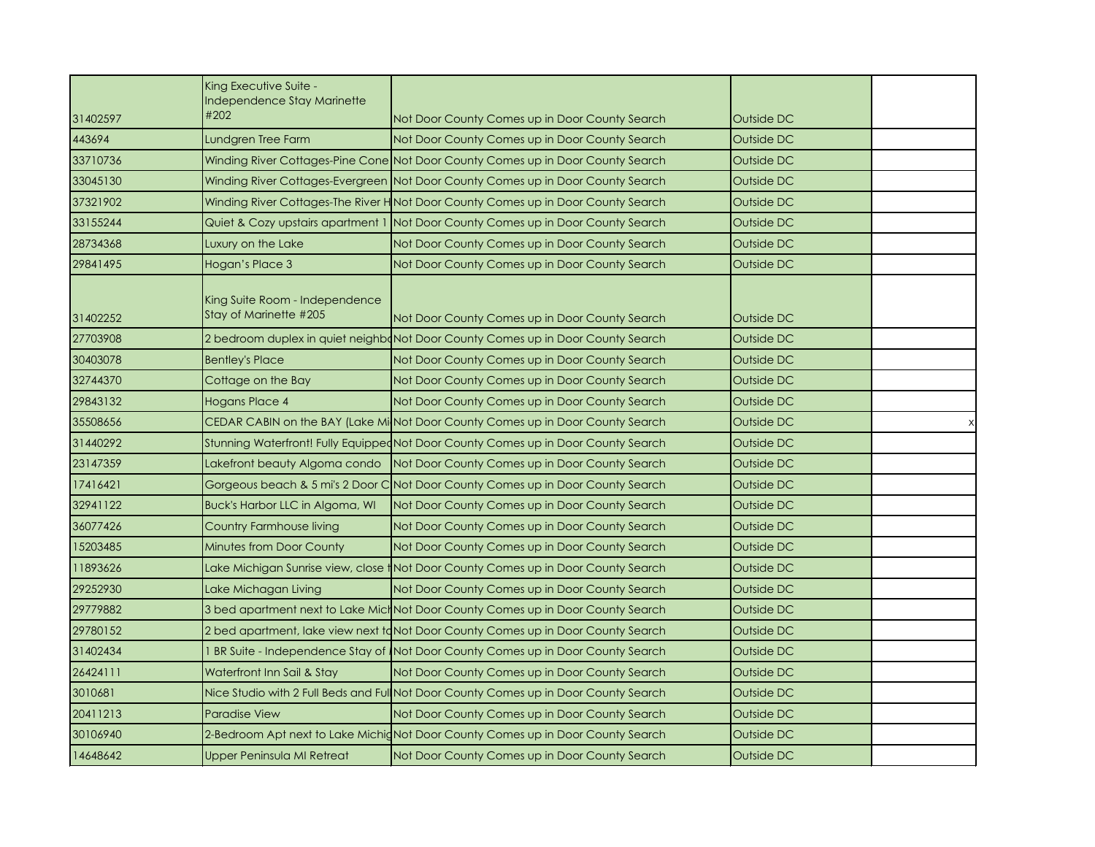|          | King Executive Suite -<br>Independence Stay Marinette    |                                                                                     |            |  |
|----------|----------------------------------------------------------|-------------------------------------------------------------------------------------|------------|--|
| 31402597 | #202                                                     | Not Door County Comes up in Door County Search                                      | Outside DC |  |
| 443694   | Lundgren Tree Farm                                       | Not Door County Comes up in Door County Search                                      | Outside DC |  |
| 33710736 |                                                          | Winding River Cottages-Pine Cone Not Door County Comes up in Door County Search     | Outside DC |  |
| 33045130 |                                                          | Winding River Cottages-Evergreen Not Door County Comes up in Door County Search     | Outside DC |  |
| 37321902 |                                                          | Winding River Cottages-The River H Not Door County Comes up in Door County Search   | Outside DC |  |
| 33155244 | Quiet & Cozy upstairs apartment 1                        | Not Door County Comes up in Door County Search                                      | Outside DC |  |
| 28734368 | Luxury on the Lake                                       | Not Door County Comes up in Door County Search                                      | Outside DC |  |
| 29841495 | Hogan's Place 3                                          | Not Door County Comes up in Door County Search                                      | Outside DC |  |
| 31402252 | King Suite Room - Independence<br>Stay of Marinette #205 | Not Door County Comes up in Door County Search                                      | Outside DC |  |
| 27703908 |                                                          | 2 bedroom duplex in quiet neighbond Door County Comes up in Door County Search      | Outside DC |  |
| 30403078 | <b>Bentley's Place</b>                                   | Not Door County Comes up in Door County Search                                      | Outside DC |  |
| 32744370 | Cottage on the Bay                                       | Not Door County Comes up in Door County Search                                      | Outside DC |  |
| 29843132 | Hogans Place 4                                           | Not Door County Comes up in Door County Search                                      | Outside DC |  |
| 35508656 |                                                          | CEDAR CABIN on the BAY (Lake MilNot Door County Comes up in Door County Search      | Outside DC |  |
| 31440292 |                                                          | Stunning Waterfront! Fully EquippedNot Door County Comes up in Door County Search   | Outside DC |  |
| 23147359 | Lakefront beauty Algoma condo                            | Not Door County Comes up in Door County Search                                      | Outside DC |  |
| 17416421 |                                                          | Gorgeous beach & 5 mi's 2 Door C Not Door County Comes up in Door County Search     | Outside DC |  |
| 32941122 | Buck's Harbor LLC in Algoma, WI                          | Not Door County Comes up in Door County Search                                      | Outside DC |  |
| 36077426 | Country Farmhouse living                                 | Not Door County Comes up in Door County Search                                      | Outside DC |  |
| 15203485 | <b>Minutes from Door County</b>                          | Not Door County Comes up in Door County Search                                      | Outside DC |  |
| 11893626 |                                                          | Lake Michigan Sunrise view, close †Not Door County Comes up in Door County Search   | Outside DC |  |
| 29252930 | Lake Michagan Living                                     | Not Door County Comes up in Door County Search                                      | Outside DC |  |
| 29779882 |                                                          | 3 bed apartment next to Lake MichNot Door County Comes up in Door County Search     | Outside DC |  |
| 29780152 |                                                          | 2 bed apartment, lake view next taNot Door County Comes up in Door County Search    | Outside DC |  |
| 31402434 |                                                          | 1 BR Suite - Independence Stay of Not Door County Comes up in Door County Search    | Outside DC |  |
| 26424111 | Waterfront Inn Sail & Stay                               | Not Door County Comes up in Door County Search                                      | Outside DC |  |
| 3010681  |                                                          | Nice Studio with 2 Full Beds and Ful Not Door County Comes up in Door County Search | Outside DC |  |
| 20411213 | <b>Paradise View</b>                                     | Not Door County Comes up in Door County Search                                      | Outside DC |  |
| 30106940 |                                                          | 2-Bedroom Apt next to Lake Michid Not Door County Comes up in Door County Search    | Outside DC |  |
| 14648642 | Upper Peninsula MI Retreat                               | Not Door County Comes up in Door County Search                                      | Outside DC |  |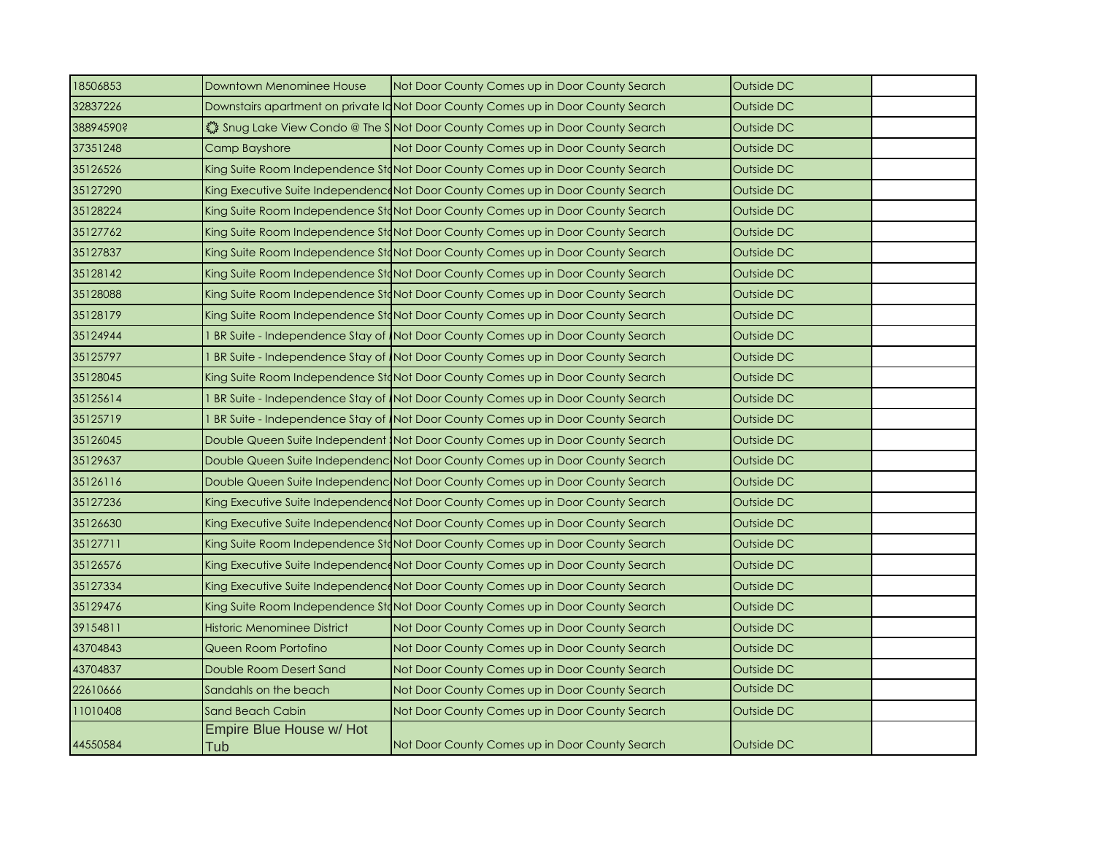| 18506853  | Downtown Menominee House        | Not Door County Comes up in Door County Search                                   | Outside DC |  |
|-----------|---------------------------------|----------------------------------------------------------------------------------|------------|--|
| 32837226  |                                 | Downstairs apartment on private IdNot Door County Comes up in Door County Search | Outside DC |  |
| 38894590? |                                 | Shug Lake View Condo @ The S Not Door County Comes up in Door County Search      | Outside DC |  |
| 37351248  | Camp Bayshore                   | Not Door County Comes up in Door County Search                                   | Outside DC |  |
| 35126526  |                                 | King Suite Room Independence StoNot Door County Comes up in Door County Search   | Outside DC |  |
| 35127290  |                                 | King Executive Suite Independence Not Door County Comes up in Door County Search | Outside DC |  |
| 35128224  |                                 | King Suite Room Independence StaNot Door County Comes up in Door County Search   | Outside DC |  |
| 35127762  |                                 | King Suite Room Independence StaNot Door County Comes up in Door County Search   | Outside DC |  |
| 35127837  |                                 | King Suite Room Independence StaNot Door County Comes up in Door County Search   | Outside DC |  |
| 35128142  |                                 | King Suite Room Independence StaNot Door County Comes up in Door County Search   | Outside DC |  |
| 35128088  |                                 | King Suite Room Independence StaNot Door County Comes up in Door County Search   | Outside DC |  |
| 35128179  |                                 | King Suite Room Independence StaNot Door County Comes up in Door County Search   | Outside DC |  |
| 35124944  |                                 | 1 BR Suite - Independence Stay of Not Door County Comes up in Door County Search | Outside DC |  |
| 35125797  |                                 | BR Suite - Independence Stay of Not Door County Comes up in Door County Search   | Outside DC |  |
| 35128045  |                                 | King Suite Room Independence StaNot Door County Comes up in Door County Search   | Outside DC |  |
| 35125614  |                                 | I BR Suite - Independence Stay of Not Door County Comes up in Door County Search | Outside DC |  |
| 35125719  |                                 | I BR Suite - Independence Stay of Not Door County Comes up in Door County Search | Outside DC |  |
| 35126045  |                                 | Double Queen Suite Independent Not Door County Comes up in Door County Search    | Outside DC |  |
| 35129637  |                                 | Double Queen Suite Independenc Not Door County Comes up in Door County Search    | Outside DC |  |
| 35126116  |                                 | Double Queen Suite Independenc Not Door County Comes up in Door County Search    | Outside DC |  |
| 35127236  |                                 | King Executive Suite Independence Not Door County Comes up in Door County Search | Outside DC |  |
| 35126630  |                                 | King Executive Suite IndependenceNot Door County Comes up in Door County Search  | Outside DC |  |
| 35127711  |                                 | King Suite Room Independence StoNot Door County Comes up in Door County Search   | Outside DC |  |
| 35126576  |                                 | King Executive Suite Independence Not Door County Comes up in Door County Search | Outside DC |  |
| 35127334  |                                 | King Executive Suite Independence Not Door County Comes up in Door County Search | Outside DC |  |
| 35129476  |                                 | King Suite Room Independence StaNot Door County Comes up in Door County Search   | Outside DC |  |
| 39154811  | Historic Menominee District     | Not Door County Comes up in Door County Search                                   | Outside DC |  |
| 43704843  | Queen Room Portofino            | Not Door County Comes up in Door County Search                                   | Outside DC |  |
| 43704837  | Double Room Desert Sand         | Not Door County Comes up in Door County Search                                   | Outside DC |  |
| 22610666  | Sandahls on the beach           | Not Door County Comes up in Door County Search                                   | Outside DC |  |
| 11010408  | Sand Beach Cabin                | Not Door County Comes up in Door County Search                                   | Outside DC |  |
| 44550584  | Empire Blue House w/ Hot<br>Tub | Not Door County Comes up in Door County Search                                   | Outside DC |  |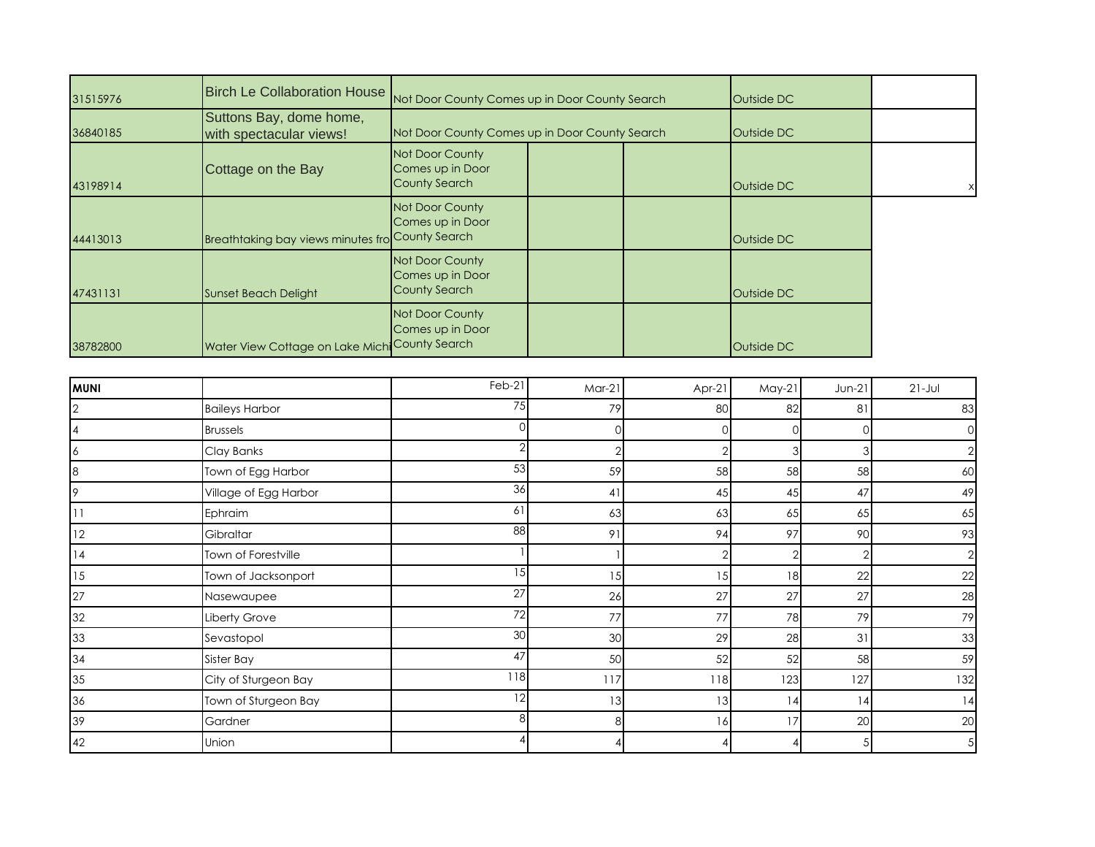| 31515976       | <b>Birch Le Collaboration House</b>                | Not Door County Comes up in Door County Search              | Outside DC |        |                |                |                |
|----------------|----------------------------------------------------|-------------------------------------------------------------|------------|--------|----------------|----------------|----------------|
| 36840185       | Suttons Bay, dome home,<br>with spectacular views! | Not Door County Comes up in Door County Search              |            |        | Outside DC     |                |                |
| 43198914       | Cottage on the Bay                                 | Not Door County<br>Comes up in Door<br><b>County Search</b> |            |        | Outside DC     |                |                |
| 44413013       | Breathtaking bay views minutes fro                 | Not Door County<br>Comes up in Door<br><b>County Search</b> |            |        | Outside DC     |                |                |
| 47431131       | <b>Sunset Beach Delight</b>                        | Not Door County<br>Comes up in Door<br><b>County Search</b> |            |        | Outside DC     |                |                |
| 38782800       | Water View Cottage on Lake Michi                   | Not Door County<br>Comes up in Door<br><b>County Search</b> |            |        | Outside DC     |                |                |
|                |                                                    |                                                             |            |        |                |                |                |
| <b>MUNI</b>    |                                                    | Feb-21                                                      | $Mar-21$   | Apr-21 | $May-21$       | Jun-21         | $21 - Jul$     |
| $\overline{2}$ | <b>Baileys Harbor</b>                              | 75                                                          | 79         | 80     | 82             | 81             | 83             |
| 4              | <b>Brussels</b>                                    | $\sqrt{ }$                                                  | 0          |        | $\cap$         |                |                |
| 6              | Clay Banks                                         | 2                                                           |            |        | 3              |                | 2              |
| 8              | Town of Egg Harbor                                 | $\overline{53}$                                             | 59         | 58     | 58             | 58             | 60             |
| 9              | Village of Egg Harbor                              | 36                                                          | 41         | 45     | 45             | 47             | 49             |
| 11             | Ephraim                                            | 61                                                          | 63         | 63     | 65             | 65             | 65             |
| 12             | Gibraltar                                          | 88                                                          | 91         | 94     | 97             | 90             | 93             |
| 14             | Town of Forestville                                |                                                             |            |        | $\overline{2}$ | $\overline{2}$ | $\overline{2}$ |
| 15             | Town of Jacksonport                                | $\overline{15}$                                             | 15         | 15     | 18             | 22             | 22             |
| 27             | Nasewaupee                                         | $\overline{27}$                                             | 26         | 27     | 27             | 27             | 28             |
| 32             | Liberty Grove                                      | 72                                                          | 77         | 77     | 78             | 79             | 79             |
| 33             | Sevastopol                                         | 30                                                          | 30         | 29     | 28             | 31             | 33             |
| 34             | Sister Bay                                         | 47                                                          | 50         | 52     | 52             | 58             | 59             |
| 35             | City of Sturgeon Bay                               | 118                                                         | 117        | 118    | 123            | 127            | 132            |
| 36             | Town of Sturgeon Bay                               | 12                                                          | 13         | 13     | 14             | 4              | 14             |
| 39             | Gardner                                            | 8                                                           | 8          | 16     | 17             | 20             | 20             |
| 42             | Union                                              |                                                             |            |        |                | 5 <sup>1</sup> | $\overline{5}$ |